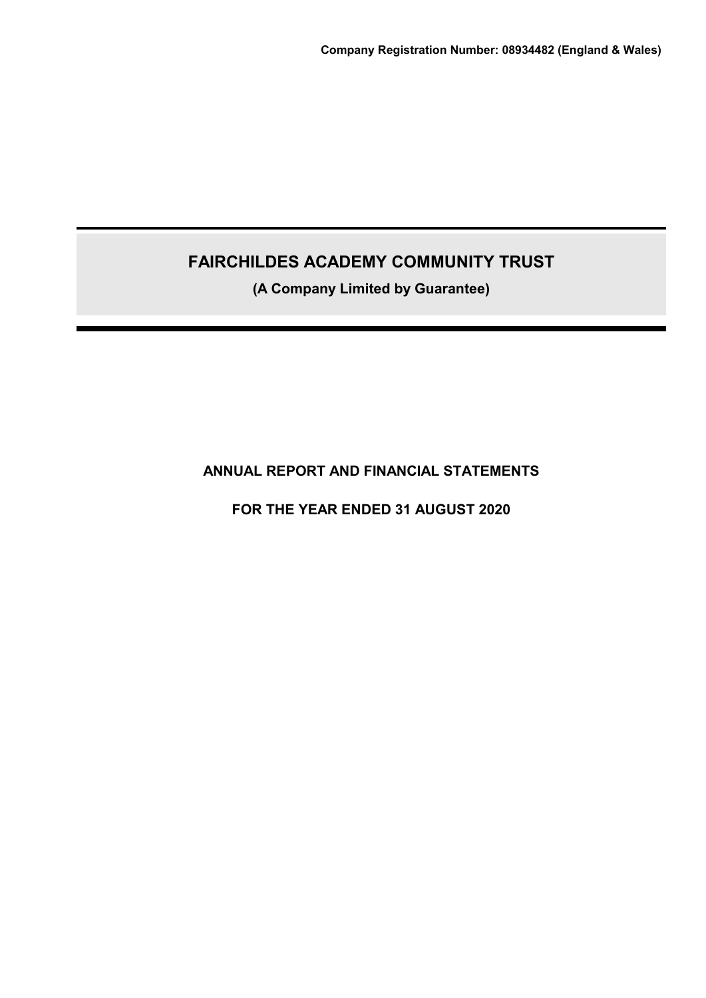**(A Company Limited by Guarantee)**

**ANNUAL REPORT AND FINANCIAL STATEMENTS**

**FOR THE YEAR ENDED 31 AUGUST 2020**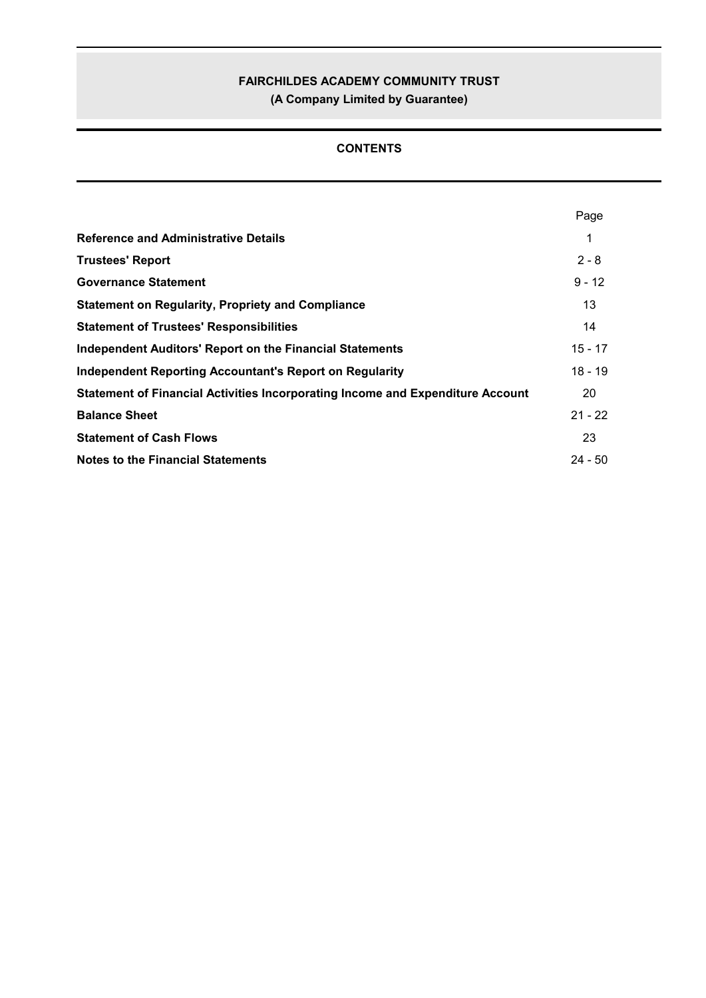**(A Company Limited by Guarantee)**

# **CONTENTS**

|                                                                                | Page      |
|--------------------------------------------------------------------------------|-----------|
| <b>Reference and Administrative Details</b>                                    | 1         |
| <b>Trustees' Report</b>                                                        | $2 - 8$   |
| <b>Governance Statement</b>                                                    | $9 - 12$  |
| <b>Statement on Regularity, Propriety and Compliance</b>                       | 13        |
| <b>Statement of Trustees' Responsibilities</b>                                 | 14        |
| Independent Auditors' Report on the Financial Statements                       | $15 - 17$ |
| Independent Reporting Accountant's Report on Regularity                        | $18 - 19$ |
| Statement of Financial Activities Incorporating Income and Expenditure Account | 20        |
| <b>Balance Sheet</b>                                                           | $21 - 22$ |
| <b>Statement of Cash Flows</b>                                                 | 23        |
| <b>Notes to the Financial Statements</b>                                       | $24 - 50$ |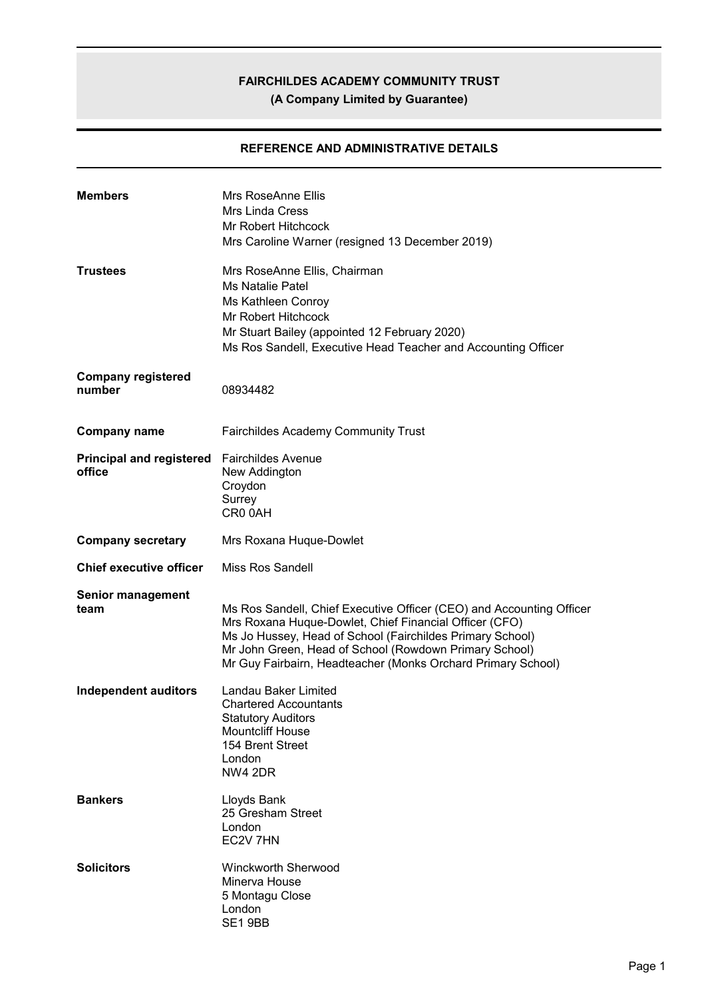**(A Company Limited by Guarantee)**

# **REFERENCE AND ADMINISTRATIVE DETAILS**

| <b>Members</b>                            | Mrs RoseAnne Ellis<br>Mrs Linda Cress<br>Mr Robert Hitchcock<br>Mrs Caroline Warner (resigned 13 December 2019)                                                                                                                                                                                                       |
|-------------------------------------------|-----------------------------------------------------------------------------------------------------------------------------------------------------------------------------------------------------------------------------------------------------------------------------------------------------------------------|
| <b>Trustees</b>                           | Mrs RoseAnne Ellis, Chairman<br>Ms Natalie Patel<br>Ms Kathleen Conroy<br>Mr Robert Hitchcock<br>Mr Stuart Bailey (appointed 12 February 2020)<br>Ms Ros Sandell, Executive Head Teacher and Accounting Officer                                                                                                       |
| <b>Company registered</b><br>number       | 08934482                                                                                                                                                                                                                                                                                                              |
| <b>Company name</b>                       | <b>Fairchildes Academy Community Trust</b>                                                                                                                                                                                                                                                                            |
| <b>Principal and registered</b><br>office | <b>Fairchildes Avenue</b><br>New Addington<br>Croydon<br>Surrey<br>CR00AH                                                                                                                                                                                                                                             |
| <b>Company secretary</b>                  | Mrs Roxana Huque-Dowlet                                                                                                                                                                                                                                                                                               |
| <b>Chief executive officer</b>            | Miss Ros Sandell                                                                                                                                                                                                                                                                                                      |
| Senior management<br>team                 | Ms Ros Sandell, Chief Executive Officer (CEO) and Accounting Officer<br>Mrs Roxana Huque-Dowlet, Chief Financial Officer (CFO)<br>Ms Jo Hussey, Head of School (Fairchildes Primary School)<br>Mr John Green, Head of School (Rowdown Primary School)<br>Mr Guy Fairbairn, Headteacher (Monks Orchard Primary School) |
| <b>Independent auditors</b>               | Landau Baker Limited<br><b>Chartered Accountants</b><br><b>Statutory Auditors</b><br><b>Mountcliff House</b><br>154 Brent Street<br>London<br>NW4 2DR                                                                                                                                                                 |
| <b>Bankers</b>                            | Lloyds Bank<br>25 Gresham Street<br>London<br>EC2V 7HN                                                                                                                                                                                                                                                                |
| <b>Solicitors</b>                         | <b>Winckworth Sherwood</b><br>Minerva House<br>5 Montagu Close<br>London<br>SE1 9BB                                                                                                                                                                                                                                   |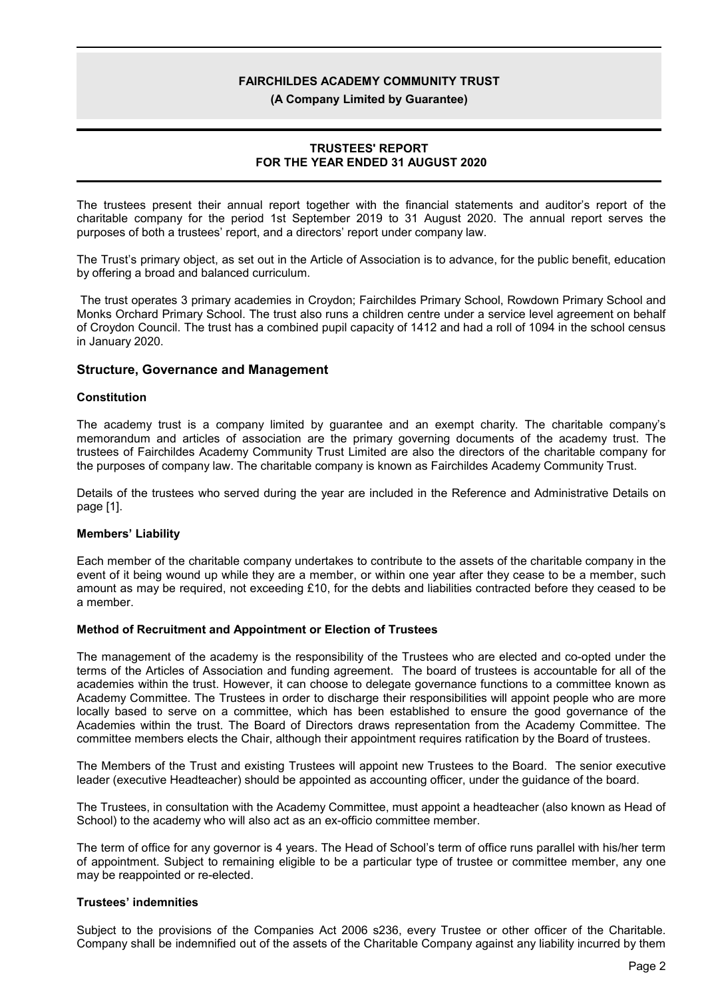**(A Company Limited by Guarantee)**

## **TRUSTEES' REPORT FOR THE YEAR ENDED 31 AUGUST 2020**

The trustees present their annual report together with the financial statements and auditor's report of the charitable company for the period 1st September 2019 to 31 August 2020. The annual report serves the purposes of both a trustees' report, and a directors' report under company law.

The Trust's primary object, as set out in the Article of Association is to advance, for the public benefit, education by offering a broad and balanced curriculum.

 The trust operates 3 primary academies in Croydon; Fairchildes Primary School, Rowdown Primary School and Monks Orchard Primary School. The trust also runs a children centre under a service level agreement on behalf of Croydon Council. The trust has a combined pupil capacity of 1412 and had a roll of 1094 in the school census in January 2020.

# **Structure, Governance and Management**

### **Constitution**

The academy trust is a company limited by guarantee and an exempt charity. The charitable company's memorandum and articles of association are the primary governing documents of the academy trust. The trustees of Fairchildes Academy Community Trust Limited are also the directors of the charitable company for the purposes of company law. The charitable company is known as Fairchildes Academy Community Trust.

Details of the trustees who served during the year are included in the Reference and Administrative Details on page [1].

#### **Members' Liability**

Each member of the charitable company undertakes to contribute to the assets of the charitable company in the event of it being wound up while they are a member, or within one year after they cease to be a member, such amount as may be required, not exceeding £10, for the debts and liabilities contracted before they ceased to be a member.

### **Method of Recruitment and Appointment or Election of Trustees**

The management of the academy is the responsibility of the Trustees who are elected and co-opted under the terms of the Articles of Association and funding agreement. The board of trustees is accountable for all of the academies within the trust. However, it can choose to delegate governance functions to a committee known as Academy Committee. The Trustees in order to discharge their responsibilities will appoint people who are more locally based to serve on a committee, which has been established to ensure the good governance of the Academies within the trust. The Board of Directors draws representation from the Academy Committee. The committee members elects the Chair, although their appointment requires ratification by the Board of trustees.

The Members of the Trust and existing Trustees will appoint new Trustees to the Board. The senior executive leader (executive Headteacher) should be appointed as accounting officer, under the guidance of the board.

The Trustees, in consultation with the Academy Committee, must appoint a headteacher (also known as Head of School) to the academy who will also act as an ex-officio committee member.

The term of office for any governor is 4 years. The Head of School's term of office runs parallel with his/her term of appointment. Subject to remaining eligible to be a particular type of trustee or committee member, any one may be reappointed or re-elected.

### **Trustees' indemnities**

Subject to the provisions of the Companies Act 2006 s236, every Trustee or other officer of the Charitable. Company shall be indemnified out of the assets of the Charitable Company against any liability incurred by them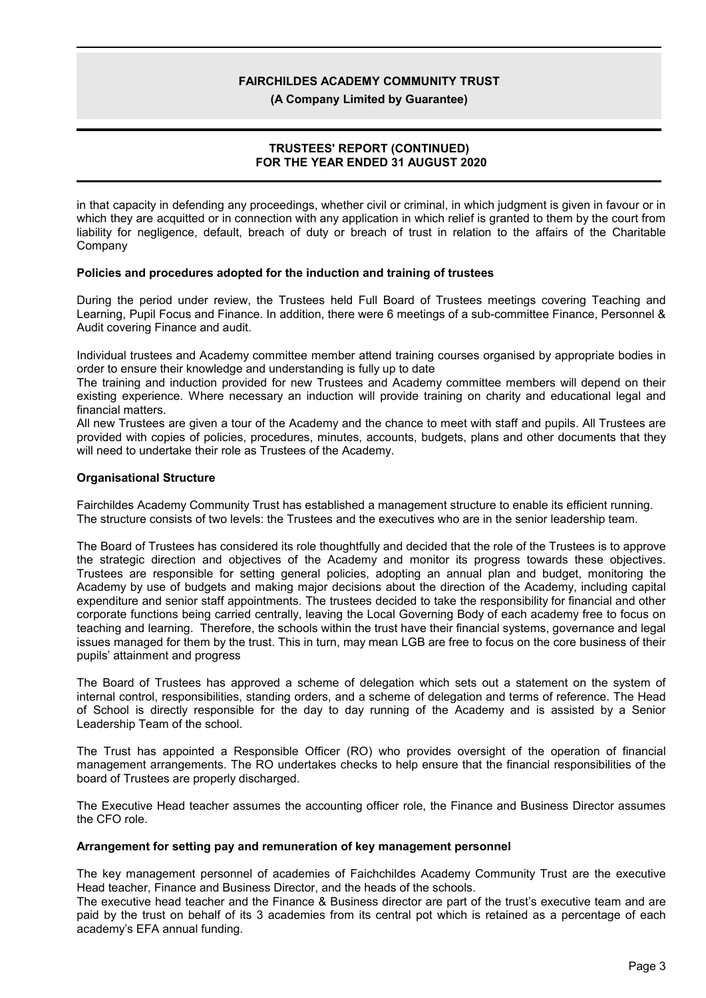**(A Company Limited by Guarantee)**

# **TRUSTEES' REPORT (CONTINUED) FOR THE YEAR ENDED 31 AUGUST 2020**

in that capacity in defending any proceedings, whether civil or criminal, in which judgment is given in favour or in which they are acquitted or in connection with any application in which relief is granted to them by the court from liability for negligence, default, breach of duty or breach of trust in relation to the affairs of the Charitable Company

# **Policies and procedures adopted for the induction and training of trustees**

During the period under review, the Trustees held Full Board of Trustees meetings covering Teaching and Learning, Pupil Focus and Finance. In addition, there were 6 meetings of a sub-committee Finance, Personnel & Audit covering Finance and audit.

Individual trustees and Academy committee member attend training courses organised by appropriate bodies in order to ensure their knowledge and understanding is fully up to date

The training and induction provided for new Trustees and Academy committee members will depend on their existing experience. Where necessary an induction will provide training on charity and educational legal and financial matters.

All new Trustees are given a tour of the Academy and the chance to meet with staff and pupils. All Trustees are provided with copies of policies, procedures, minutes, accounts, budgets, plans and other documents that they will need to undertake their role as Trustees of the Academy.

## **Organisational Structure**

Fairchildes Academy Community Trust has established a management structure to enable its efficient running. The structure consists of two levels: the Trustees and the executives who are in the senior leadership team.

The Board of Trustees has considered its role thoughtfully and decided that the role of the Trustees is to approve the strategic direction and objectives of the Academy and monitor its progress towards these objectives. Trustees are responsible for setting general policies, adopting an annual plan and budget, monitoring the Academy by use of budgets and making major decisions about the direction of the Academy, including capital expenditure and senior staff appointments. The trustees decided to take the responsibility for financial and other corporate functions being carried centrally, leaving the Local Governing Body of each academy free to focus on teaching and learning. Therefore, the schools within the trust have their financial systems, governance and legal issues managed for them by the trust. This in turn, may mean LGB are free to focus on the core business of their pupils' attainment and progress

The Board of Trustees has approved a scheme of delegation which sets out a statement on the system of internal control, responsibilities, standing orders, and a scheme of delegation and terms of reference. The Head of School is directly responsible for the day to day running of the Academy and is assisted by a Senior Leadership Team of the school.

The Trust has appointed a Responsible Officer (RO) who provides oversight of the operation of financial management arrangements. The RO undertakes checks to help ensure that the financial responsibilities of the board of Trustees are properly discharged.

The Executive Head teacher assumes the accounting officer role, the Finance and Business Director assumes the CFO role.

#### **Arrangement for setting pay and remuneration of key management personnel**

The key management personnel of academies of Faichchildes Academy Community Trust are the executive Head teacher, Finance and Business Director, and the heads of the schools.

The executive head teacher and the Finance & Business director are part of the trust's executive team and are paid by the trust on behalf of its 3 academies from its central pot which is retained as a percentage of each academy's EFA annual funding.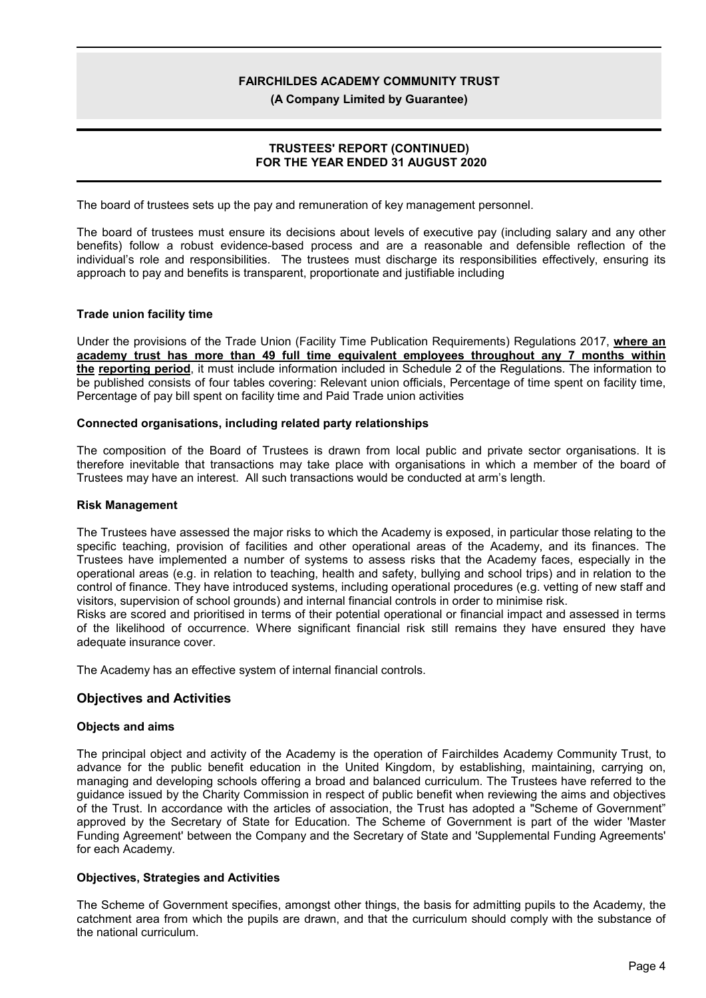**(A Company Limited by Guarantee)**

# **TRUSTEES' REPORT (CONTINUED) FOR THE YEAR ENDED 31 AUGUST 2020**

The board of trustees sets up the pay and remuneration of key management personnel.

The board of trustees must ensure its decisions about levels of executive pay (including salary and any other benefits) follow a robust evidence-based process and are a reasonable and defensible reflection of the individual's role and responsibilities. The trustees must discharge its responsibilities effectively, ensuring its approach to pay and benefits is transparent, proportionate and justifiable including

## **Trade union facility time**

Under the provisions of the Trade Union (Facility Time Publication Requirements) Regulations 2017, **where an academy trust has more than 49 full time equivalent employees throughout any 7 months within the reporting period**, it must include information included in Schedule 2 of the Regulations. The information to be published consists of four tables covering: Relevant union officials, Percentage of time spent on facility time, Percentage of pay bill spent on facility time and Paid Trade union activities

#### **Connected organisations, including related party relationships**

The composition of the Board of Trustees is drawn from local public and private sector organisations. It is therefore inevitable that transactions may take place with organisations in which a member of the board of Trustees may have an interest. All such transactions would be conducted at arm's length.

#### **Risk Management**

The Trustees have assessed the major risks to which the Academy is exposed, in particular those relating to the specific teaching, provision of facilities and other operational areas of the Academy, and its finances. The Trustees have implemented a number of systems to assess risks that the Academy faces, especially in the operational areas (e.g. in relation to teaching, health and safety, bullying and school trips) and in relation to the control of finance. They have introduced systems, including operational procedures (e.g. vetting of new staff and visitors, supervision of school grounds) and internal financial controls in order to minimise risk.

Risks are scored and prioritised in terms of their potential operational or financial impact and assessed in terms of the likelihood of occurrence. Where significant financial risk still remains they have ensured they have adequate insurance cover.

The Academy has an effective system of internal financial controls.

# **Objectives and Activities**

# **Objects and aims**

The principal object and activity of the Academy is the operation of Fairchildes Academy Community Trust, to advance for the public benefit education in the United Kingdom, by establishing, maintaining, carrying on, managing and developing schools offering a broad and balanced curriculum. The Trustees have referred to the guidance issued by the Charity Commission in respect of public benefit when reviewing the aims and objectives of the Trust. In accordance with the articles of association, the Trust has adopted a "Scheme of Government" approved by the Secretary of State for Education. The Scheme of Government is part of the wider 'Master Funding Agreement' between the Company and the Secretary of State and 'Supplemental Funding Agreements' for each Academy.

#### **Objectives, Strategies and Activities**

The Scheme of Government specifies, amongst other things, the basis for admitting pupils to the Academy, the catchment area from which the pupils are drawn, and that the curriculum should comply with the substance of the national curriculum.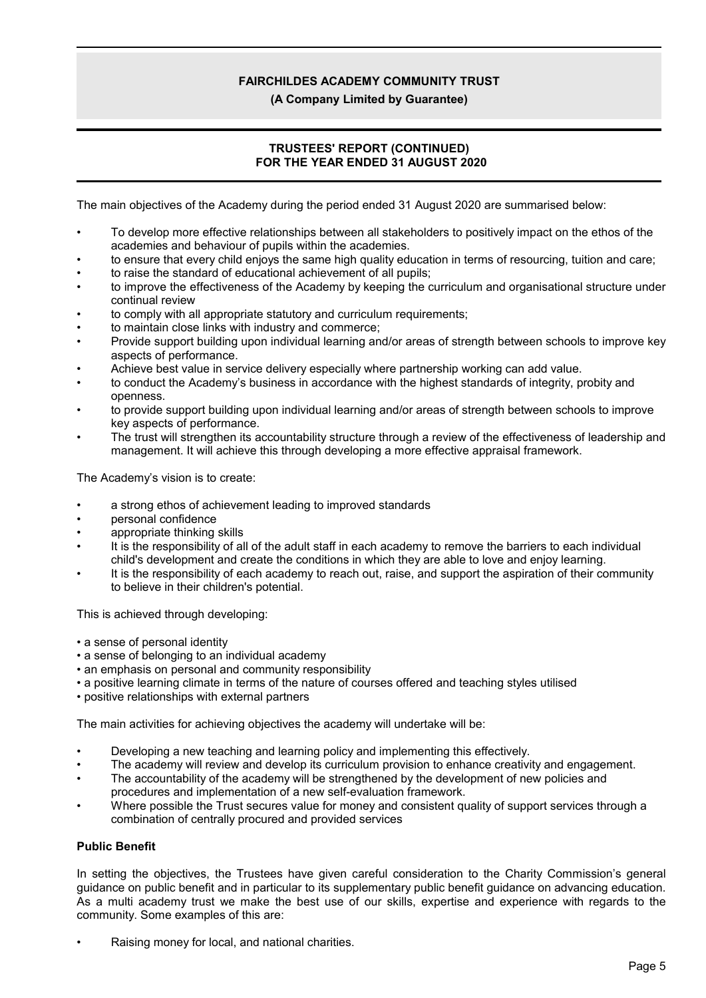**(A Company Limited by Guarantee)**

# **TRUSTEES' REPORT (CONTINUED) FOR THE YEAR ENDED 31 AUGUST 2020**

The main objectives of the Academy during the period ended 31 August 2020 are summarised below:

- To develop more effective relationships between all stakeholders to positively impact on the ethos of the academies and behaviour of pupils within the academies.
- to ensure that every child enjoys the same high quality education in terms of resourcing, tuition and care;
- to raise the standard of educational achievement of all pupils;
- to improve the effectiveness of the Academy by keeping the curriculum and organisational structure under continual review
- to comply with all appropriate statutory and curriculum requirements;
- to maintain close links with industry and commerce;
- Provide support building upon individual learning and/or areas of strength between schools to improve key aspects of performance.
- Achieve best value in service delivery especially where partnership working can add value.
- to conduct the Academy's business in accordance with the highest standards of integrity, probity and openness.
- to provide support building upon individual learning and/or areas of strength between schools to improve key aspects of performance.
- The trust will strengthen its accountability structure through a review of the effectiveness of leadership and management. It will achieve this through developing a more effective appraisal framework.

The Academy's vision is to create:

- a strong ethos of achievement leading to improved standards
- personal confidence
- appropriate thinking skills
- It is the responsibility of all of the adult staff in each academy to remove the barriers to each individual child's development and create the conditions in which they are able to love and enjoy learning.
- It is the responsibility of each academy to reach out, raise, and support the aspiration of their community to believe in their children's potential.

This is achieved through developing:

- a sense of personal identity
- a sense of belonging to an individual academy
- an emphasis on personal and community responsibility
- a positive learning climate in terms of the nature of courses offered and teaching styles utilised
- positive relationships with external partners

The main activities for achieving objectives the academy will undertake will be:

- Developing a new teaching and learning policy and implementing this effectively.
- The academy will review and develop its curriculum provision to enhance creativity and engagement.
- The accountability of the academy will be strengthened by the development of new policies and
- procedures and implementation of a new self-evaluation framework. • Where possible the Trust secures value for money and consistent quality of support services through a combination of centrally procured and provided services

# **Public Benefit**

In setting the objectives, the Trustees have given careful consideration to the Charity Commission's general guidance on public benefit and in particular to its supplementary public benefit guidance on advancing education. As a multi academy trust we make the best use of our skills, expertise and experience with regards to the community. Some examples of this are:

Raising money for local, and national charities.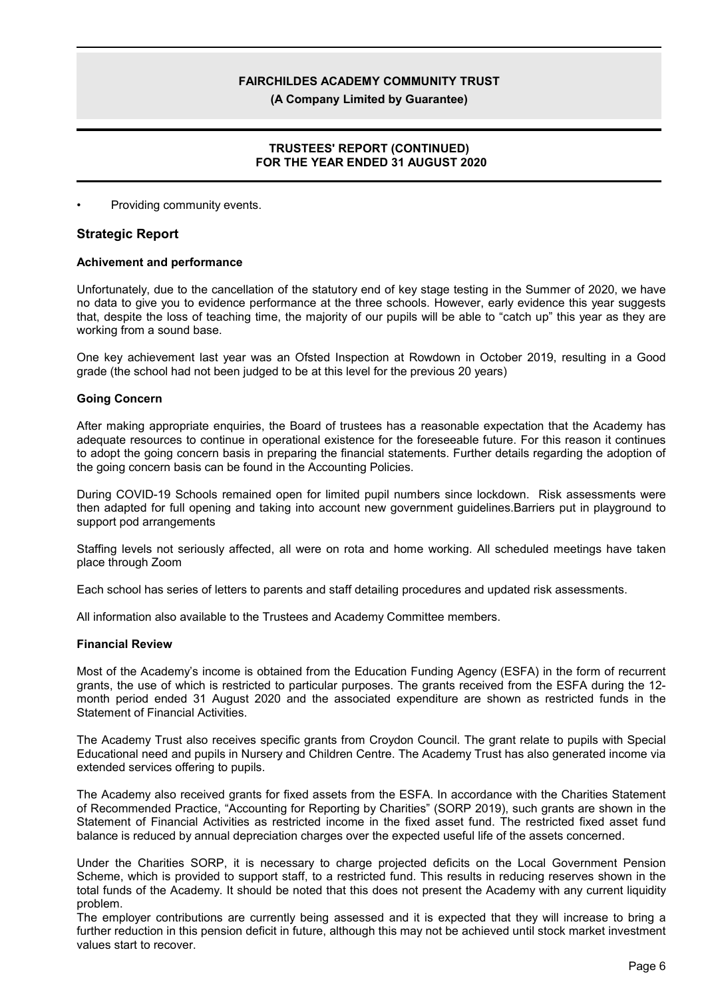**(A Company Limited by Guarantee)**

# **TRUSTEES' REPORT (CONTINUED) FOR THE YEAR ENDED 31 AUGUST 2020**

Providing community events.

# **Strategic Report**

## **Achivement and performance**

Unfortunately, due to the cancellation of the statutory end of key stage testing in the Summer of 2020, we have no data to give you to evidence performance at the three schools. However, early evidence this year suggests that, despite the loss of teaching time, the majority of our pupils will be able to "catch up" this year as they are working from a sound base.

One key achievement last year was an Ofsted Inspection at Rowdown in October 2019, resulting in a Good grade (the school had not been judged to be at this level for the previous 20 years)

# **Going Concern**

After making appropriate enquiries, the Board of trustees has a reasonable expectation that the Academy has adequate resources to continue in operational existence for the foreseeable future. For this reason it continues to adopt the going concern basis in preparing the financial statements. Further details regarding the adoption of the going concern basis can be found in the Accounting Policies.

During COVID-19 Schools remained open for limited pupil numbers since lockdown. Risk assessments were then adapted for full opening and taking into account new government guidelines.Barriers put in playground to support pod arrangements

Staffing levels not seriously affected, all were on rota and home working. All scheduled meetings have taken place through Zoom

Each school has series of letters to parents and staff detailing procedures and updated risk assessments.

All information also available to the Trustees and Academy Committee members.

#### **Financial Review**

Most of the Academy's income is obtained from the Education Funding Agency (ESFA) in the form of recurrent grants, the use of which is restricted to particular purposes. The grants received from the ESFA during the 12 month period ended 31 August 2020 and the associated expenditure are shown as restricted funds in the Statement of Financial Activities.

The Academy Trust also receives specific grants from Croydon Council. The grant relate to pupils with Special Educational need and pupils in Nursery and Children Centre. The Academy Trust has also generated income via extended services offering to pupils.

The Academy also received grants for fixed assets from the ESFA. In accordance with the Charities Statement of Recommended Practice, "Accounting for Reporting by Charities" (SORP 2019), such grants are shown in the Statement of Financial Activities as restricted income in the fixed asset fund. The restricted fixed asset fund balance is reduced by annual depreciation charges over the expected useful life of the assets concerned.

Under the Charities SORP, it is necessary to charge projected deficits on the Local Government Pension Scheme, which is provided to support staff, to a restricted fund. This results in reducing reserves shown in the total funds of the Academy. It should be noted that this does not present the Academy with any current liquidity problem.

The employer contributions are currently being assessed and it is expected that they will increase to bring a further reduction in this pension deficit in future, although this may not be achieved until stock market investment values start to recover.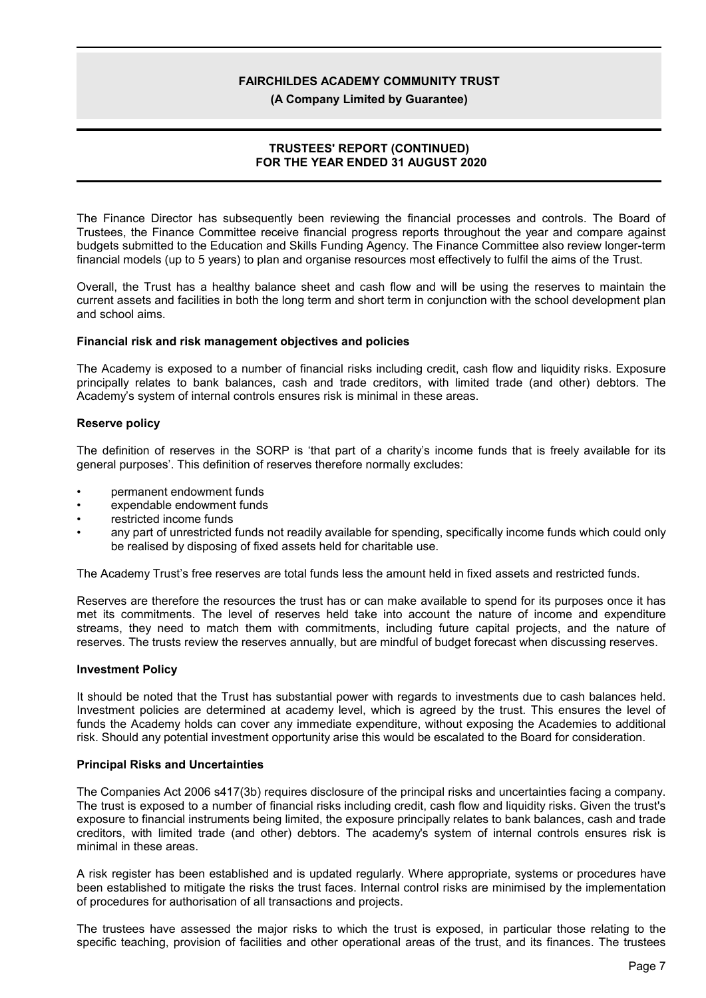**(A Company Limited by Guarantee)**

# **TRUSTEES' REPORT (CONTINUED) FOR THE YEAR ENDED 31 AUGUST 2020**

The Finance Director has subsequently been reviewing the financial processes and controls. The Board of Trustees, the Finance Committee receive financial progress reports throughout the year and compare against budgets submitted to the Education and Skills Funding Agency. The Finance Committee also review longer-term financial models (up to 5 years) to plan and organise resources most effectively to fulfil the aims of the Trust.

Overall, the Trust has a healthy balance sheet and cash flow and will be using the reserves to maintain the current assets and facilities in both the long term and short term in conjunction with the school development plan and school aims.

## **Financial risk and risk management objectives and policies**

The Academy is exposed to a number of financial risks including credit, cash flow and liquidity risks. Exposure principally relates to bank balances, cash and trade creditors, with limited trade (and other) debtors. The Academy's system of internal controls ensures risk is minimal in these areas.

## **Reserve policy**

The definition of reserves in the SORP is 'that part of a charity's income funds that is freely available for its general purposes'. This definition of reserves therefore normally excludes:

- permanent endowment funds
- expendable endowment funds
- restricted income funds
- any part of unrestricted funds not readily available for spending, specifically income funds which could only be realised by disposing of fixed assets held for charitable use.

The Academy Trust's free reserves are total funds less the amount held in fixed assets and restricted funds.

Reserves are therefore the resources the trust has or can make available to spend for its purposes once it has met its commitments. The level of reserves held take into account the nature of income and expenditure streams, they need to match them with commitments, including future capital projects, and the nature of reserves. The trusts review the reserves annually, but are mindful of budget forecast when discussing reserves.

#### **Investment Policy**

It should be noted that the Trust has substantial power with regards to investments due to cash balances held. Investment policies are determined at academy level, which is agreed by the trust. This ensures the level of funds the Academy holds can cover any immediate expenditure, without exposing the Academies to additional risk. Should any potential investment opportunity arise this would be escalated to the Board for consideration.

## **Principal Risks and Uncertainties**

The Companies Act 2006 s417(3b) requires disclosure of the principal risks and uncertainties facing a company. The trust is exposed to a number of financial risks including credit, cash flow and liquidity risks. Given the trust's exposure to financial instruments being limited, the exposure principally relates to bank balances, cash and trade creditors, with limited trade (and other) debtors. The academy's system of internal controls ensures risk is minimal in these areas.

A risk register has been established and is updated regularly. Where appropriate, systems or procedures have been established to mitigate the risks the trust faces. Internal control risks are minimised by the implementation of procedures for authorisation of all transactions and projects.

The trustees have assessed the major risks to which the trust is exposed, in particular those relating to the specific teaching, provision of facilities and other operational areas of the trust, and its finances. The trustees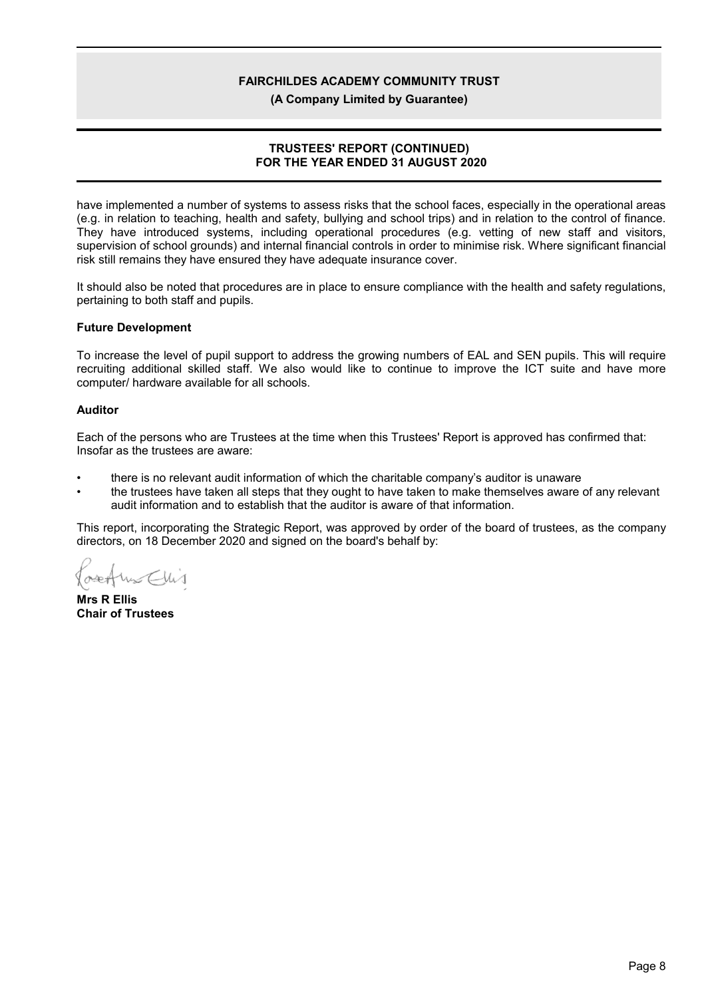**(A Company Limited by Guarantee)**

# **TRUSTEES' REPORT (CONTINUED) FOR THE YEAR ENDED 31 AUGUST 2020**

have implemented a number of systems to assess risks that the school faces, especially in the operational areas (e.g. in relation to teaching, health and safety, bullying and school trips) and in relation to the control of finance. They have introduced systems, including operational procedures (e.g. vetting of new staff and visitors, supervision of school grounds) and internal financial controls in order to minimise risk. Where significant financial risk still remains they have ensured they have adequate insurance cover.

It should also be noted that procedures are in place to ensure compliance with the health and safety regulations, pertaining to both staff and pupils.

# **Future Development**

To increase the level of pupil support to address the growing numbers of EAL and SEN pupils. This will require recruiting additional skilled staff. We also would like to continue to improve the ICT suite and have more computer/ hardware available for all schools.

## **Auditor**

Each of the persons who are Trustees at the time when this Trustees' Report is approved has confirmed that: Insofar as the trustees are aware:

- there is no relevant audit information of which the charitable company's auditor is unaware
- the trustees have taken all steps that they ought to have taken to make themselves aware of any relevant audit information and to establish that the auditor is aware of that information.

This report, incorporating the Strategic Report, was approved by order of the board of trustees, as the company directors, on 18 December 2020 and signed on the board's behalf by:

 $u \leq Uu$ 

**Mrs R Ellis Chair of Trustees**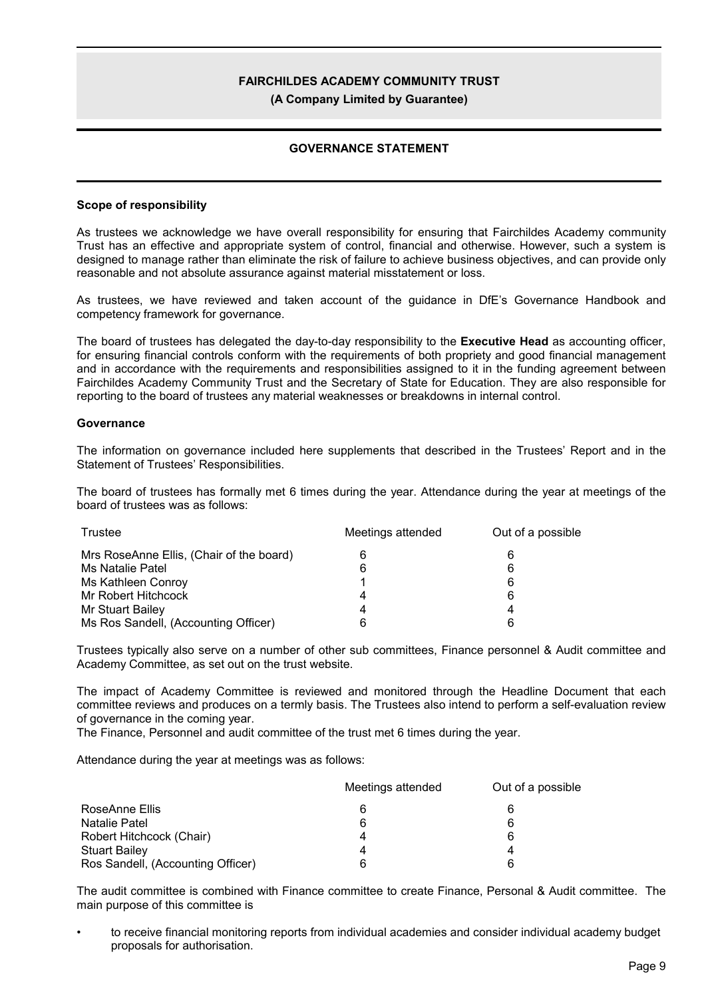**(A Company Limited by Guarantee)**

## **GOVERNANCE STATEMENT**

#### **Scope of responsibility**

As trustees we acknowledge we have overall responsibility for ensuring that Fairchildes Academy community Trust has an effective and appropriate system of control, financial and otherwise. However, such a system is designed to manage rather than eliminate the risk of failure to achieve business objectives, and can provide only reasonable and not absolute assurance against material misstatement or loss.

As trustees, we have reviewed and taken account of the guidance in DfE's Governance Handbook and competency framework for governance.

The board of trustees has delegated the day-to-day responsibility to the **Executive Head** as accounting officer, for ensuring financial controls conform with the requirements of both propriety and good financial management and in accordance with the requirements and responsibilities assigned to it in the funding agreement between Fairchildes Academy Community Trust and the Secretary of State for Education. They are also responsible for reporting to the board of trustees any material weaknesses or breakdowns in internal control.

#### **Governance**

The information on governance included here supplements that described in the Trustees' Report and in the Statement of Trustees' Responsibilities.

The board of trustees has formally met 6 times during the year. Attendance during the year at meetings of the board of trustees was as follows:

| Trustee                                  | Meetings attended | Out of a possible |
|------------------------------------------|-------------------|-------------------|
| Mrs RoseAnne Ellis, (Chair of the board) | 6                 | 6                 |
| Ms Natalie Patel                         | 6                 | 6                 |
| Ms Kathleen Conroy                       |                   | 6                 |
| Mr Robert Hitchcock                      | 4                 | 6                 |
| Mr Stuart Bailey                         | 4                 | 4                 |
| Ms Ros Sandell, (Accounting Officer)     | 6                 | 6                 |

Trustees typically also serve on a number of other sub committees, Finance personnel & Audit committee and Academy Committee, as set out on the trust website.

The impact of Academy Committee is reviewed and monitored through the Headline Document that each committee reviews and produces on a termly basis. The Trustees also intend to perform a self-evaluation review of governance in the coming year.

The Finance, Personnel and audit committee of the trust met 6 times during the year.

Attendance during the year at meetings was as follows:

|                                   | Meetings attended | Out of a possible |
|-----------------------------------|-------------------|-------------------|
| RoseAnne Ellis                    |                   |                   |
| Natalie Patel                     | 6                 | 6                 |
| Robert Hitchcock (Chair)          |                   | 6                 |
| <b>Stuart Bailey</b>              | 4                 |                   |
| Ros Sandell, (Accounting Officer) |                   |                   |

The audit committee is combined with Finance committee to create Finance, Personal & Audit committee. The main purpose of this committee is

• to receive financial monitoring reports from individual academies and consider individual academy budget proposals for authorisation.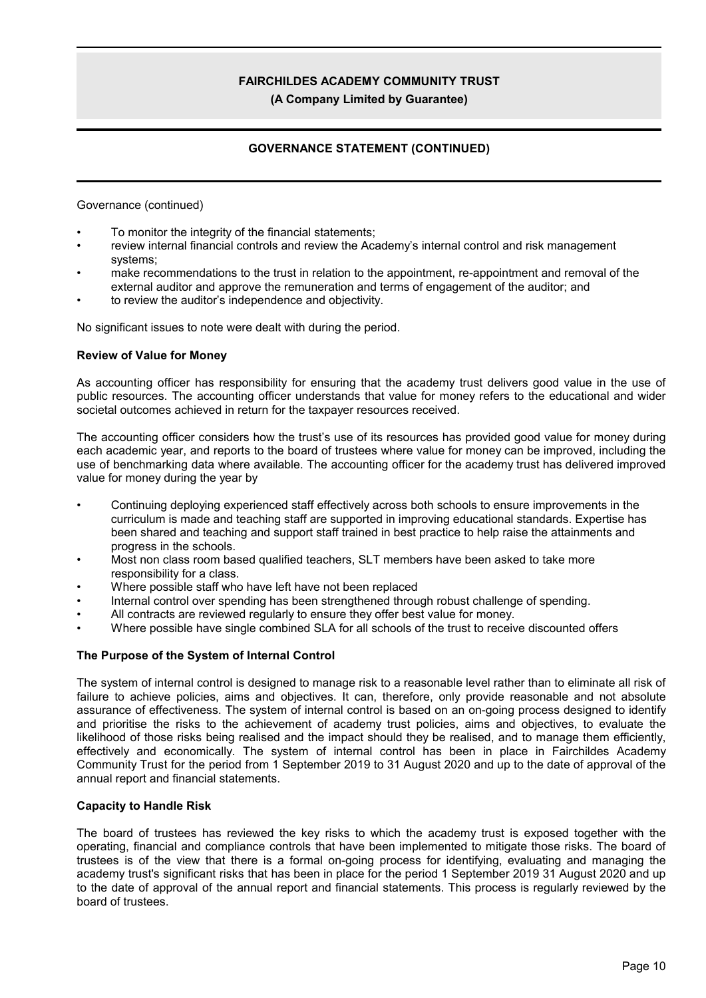**(A Company Limited by Guarantee)**

# **GOVERNANCE STATEMENT (CONTINUED)**

Governance (continued)

- To monitor the integrity of the financial statements;
- review internal financial controls and review the Academy's internal control and risk management systems;
- make recommendations to the trust in relation to the appointment, re-appointment and removal of the external auditor and approve the remuneration and terms of engagement of the auditor; and
- to review the auditor's independence and objectivity.

No significant issues to note were dealt with during the period.

## **Review of Value for Money**

As accounting officer has responsibility for ensuring that the academy trust delivers good value in the use of public resources. The accounting officer understands that value for money refers to the educational and wider societal outcomes achieved in return for the taxpayer resources received.

The accounting officer considers how the trust's use of its resources has provided good value for money during each academic year, and reports to the board of trustees where value for money can be improved, including the use of benchmarking data where available. The accounting officer for the academy trust has delivered improved value for money during the year by

- Continuing deploying experienced staff effectively across both schools to ensure improvements in the curriculum is made and teaching staff are supported in improving educational standards. Expertise has been shared and teaching and support staff trained in best practice to help raise the attainments and progress in the schools.
- Most non class room based qualified teachers, SLT members have been asked to take more responsibility for a class.
- Where possible staff who have left have not been replaced
- Internal control over spending has been strengthened through robust challenge of spending.
- All contracts are reviewed regularly to ensure they offer best value for money.
- Where possible have single combined SLA for all schools of the trust to receive discounted offers

# **The Purpose of the System of Internal Control**

The system of internal control is designed to manage risk to a reasonable level rather than to eliminate all risk of failure to achieve policies, aims and objectives. It can, therefore, only provide reasonable and not absolute assurance of effectiveness. The system of internal control is based on an on-going process designed to identify and prioritise the risks to the achievement of academy trust policies, aims and objectives, to evaluate the likelihood of those risks being realised and the impact should they be realised, and to manage them efficiently, effectively and economically. The system of internal control has been in place in Fairchildes Academy Community Trust for the period from 1 September 2019 to 31 August 2020 and up to the date of approval of the annual report and financial statements.

#### **Capacity to Handle Risk**

The board of trustees has reviewed the key risks to which the academy trust is exposed together with the operating, financial and compliance controls that have been implemented to mitigate those risks. The board of trustees is of the view that there is a formal on-going process for identifying, evaluating and managing the academy trust's significant risks that has been in place for the period 1 September 2019 31 August 2020 and up to the date of approval of the annual report and financial statements. This process is regularly reviewed by the board of trustees.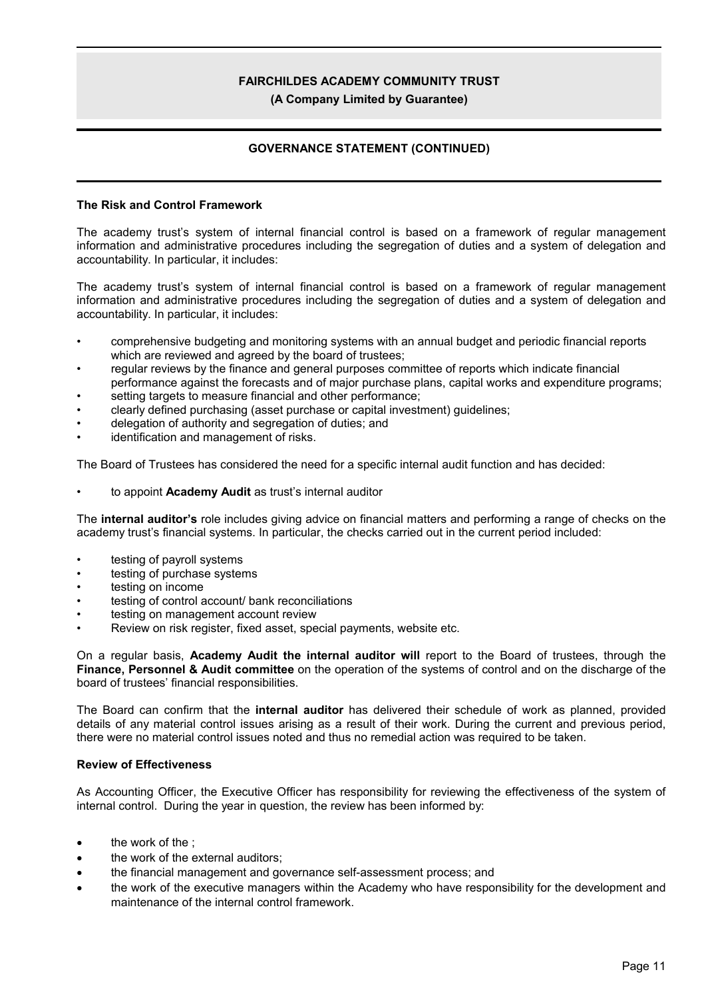### **(A Company Limited by Guarantee)**

# **GOVERNANCE STATEMENT (CONTINUED)**

### **The Risk and Control Framework**

The academy trust's system of internal financial control is based on a framework of regular management information and administrative procedures including the segregation of duties and a system of delegation and accountability. In particular, it includes:

The academy trust's system of internal financial control is based on a framework of regular management information and administrative procedures including the segregation of duties and a system of delegation and accountability. In particular, it includes:

- comprehensive budgeting and monitoring systems with an annual budget and periodic financial reports which are reviewed and agreed by the board of trustees;
- regular reviews by the finance and general purposes committee of reports which indicate financial performance against the forecasts and of major purchase plans, capital works and expenditure programs;
- setting targets to measure financial and other performance:
- clearly defined purchasing (asset purchase or capital investment) guidelines;
- delegation of authority and segregation of duties; and
- identification and management of risks.

The Board of Trustees has considered the need for a specific internal audit function and has decided:

• to appoint **Academy Audit** as trust's internal auditor

The **internal auditor's** role includes giving advice on financial matters and performing a range of checks on the academy trust's financial systems. In particular, the checks carried out in the current period included:

- testing of payroll systems
- testing of purchase systems
- testing on income
- testing of control account/ bank reconciliations
- testing on management account review
- Review on risk register, fixed asset, special payments, website etc.

On a regular basis, **Academy Audit the internal auditor will** report to the Board of trustees, through the **Finance, Personnel & Audit committee** on the operation of the systems of control and on the discharge of the board of trustees' financial responsibilities.

The Board can confirm that the **internal auditor** has delivered their schedule of work as planned, provided details of any material control issues arising as a result of their work. During the current and previous period, there were no material control issues noted and thus no remedial action was required to be taken.

#### **Review of Effectiveness**

As Accounting Officer, the Executive Officer has responsibility for reviewing the effectiveness of the system of internal control. During the year in question, the review has been informed by:

- the work of the ;
- the work of the external auditors;
- the financial management and governance self-assessment process; and
- the work of the executive managers within the Academy who have responsibility for the development and maintenance of the internal control framework.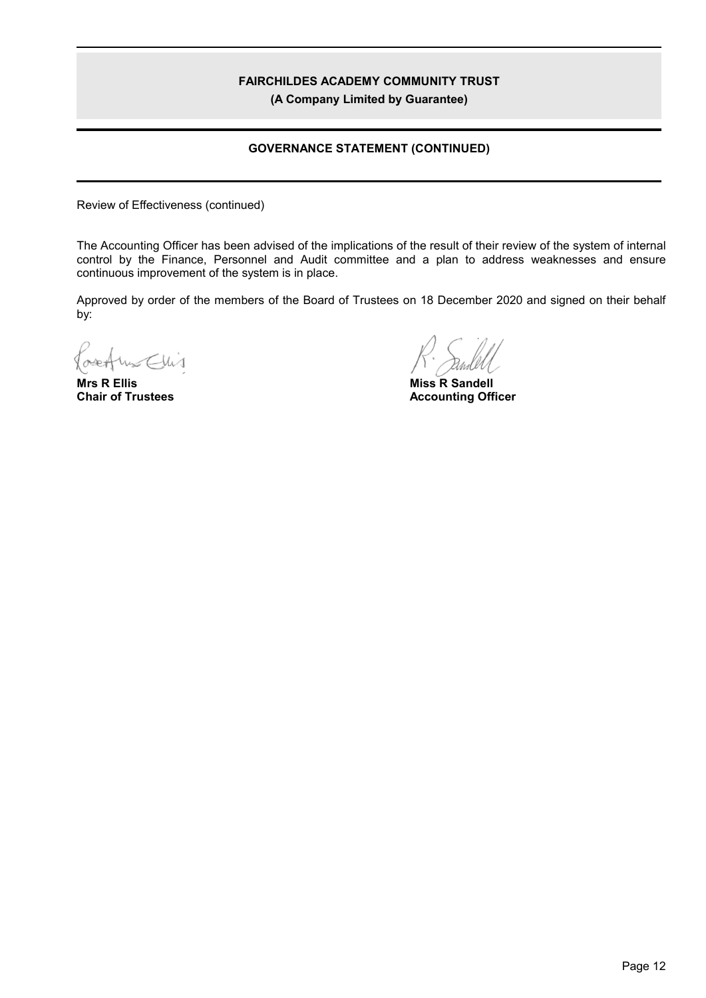**(A Company Limited by Guarantee)**

# **GOVERNANCE STATEMENT (CONTINUED)**

Review of Effectiveness (continued)

The Accounting Officer has been advised of the implications of the result of their review of the system of internal control by the Finance, Personnel and Audit committee and a plan to address weaknesses and ensure continuous improvement of the system is in place.

Approved by order of the members of the Board of Trustees on 18 December 2020 and signed on their behalf by:

Ins Ellis neet

**Mrs R Ellis Chair of Trustees**

**Miss R Sandell Accounting Officer**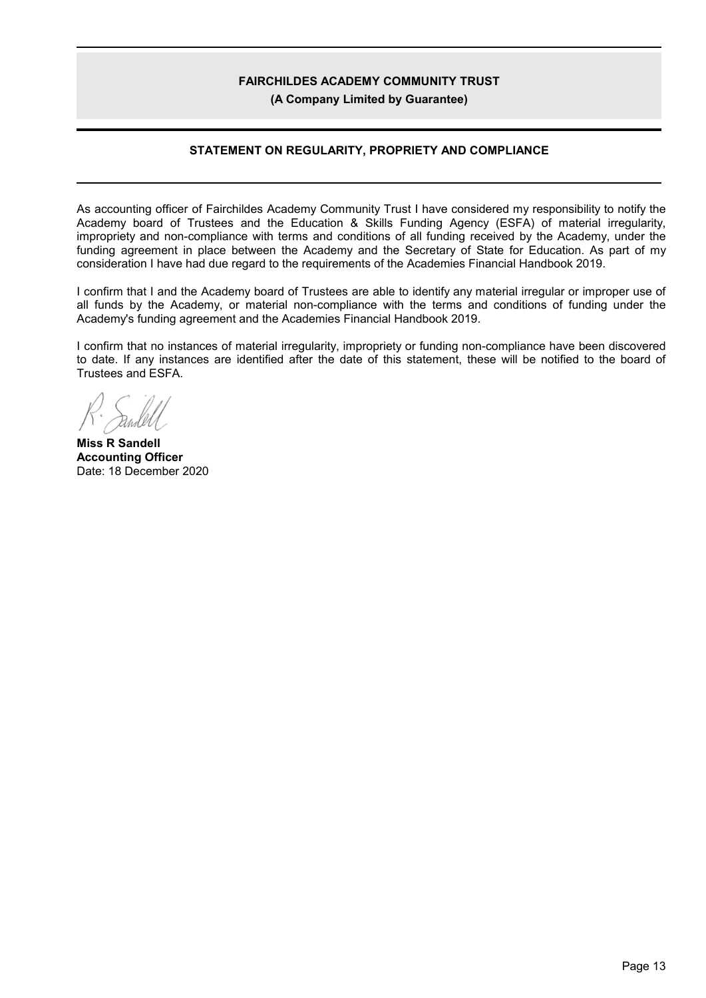**(A Company Limited by Guarantee)**

# **STATEMENT ON REGULARITY, PROPRIETY AND COMPLIANCE**

As accounting officer of Fairchildes Academy Community Trust I have considered my responsibility to notify the Academy board of Trustees and the Education & Skills Funding Agency (ESFA) of material irregularity, impropriety and non-compliance with terms and conditions of all funding received by the Academy, under the funding agreement in place between the Academy and the Secretary of State for Education. As part of my consideration I have had due regard to the requirements of the Academies Financial Handbook 2019.

I confirm that I and the Academy board of Trustees are able to identify any material irregular or improper use of all funds by the Academy, or material non-compliance with the terms and conditions of funding under the Academy's funding agreement and the Academies Financial Handbook 2019.

I confirm that no instances of material irregularity, impropriety or funding non-compliance have been discovered to date. If any instances are identified after the date of this statement, these will be notified to the board of Trustees and ESFA.

**Miss R Sandell Accounting Officer** Date: 18 December 2020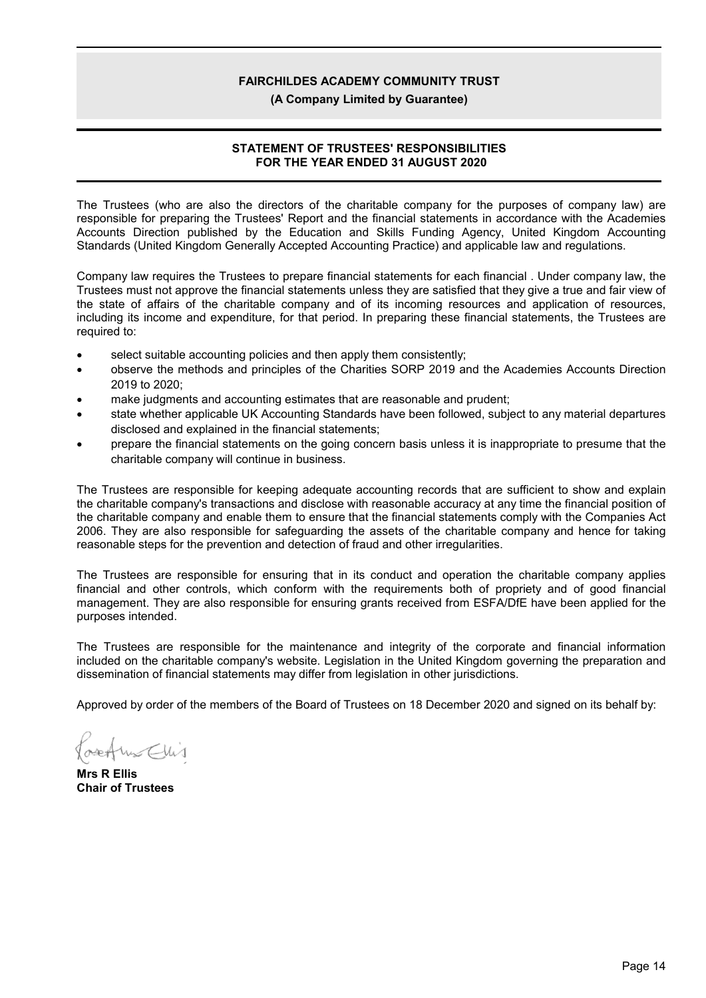### **(A Company Limited by Guarantee)**

# **STATEMENT OF TRUSTEES' RESPONSIBILITIES FOR THE YEAR ENDED 31 AUGUST 2020**

The Trustees (who are also the directors of the charitable company for the purposes of company law) are responsible for preparing the Trustees' Report and the financial statements in accordance with the Academies Accounts Direction published by the Education and Skills Funding Agency, United Kingdom Accounting Standards (United Kingdom Generally Accepted Accounting Practice) and applicable law and regulations.

Company law requires the Trustees to prepare financial statements for each financial . Under company law, the Trustees must not approve the financial statements unless they are satisfied that they give a true and fair view of the state of affairs of the charitable company and of its incoming resources and application of resources, including its income and expenditure, for that period. In preparing these financial statements, the Trustees are required to:

- select suitable accounting policies and then apply them consistently;
- observe the methods and principles of the Charities SORP 2019 and the Academies Accounts Direction 2019 to 2020;
- make judgments and accounting estimates that are reasonable and prudent;
- state whether applicable UK Accounting Standards have been followed, subject to any material departures disclosed and explained in the financial statements;
- prepare the financial statements on the going concern basis unless it is inappropriate to presume that the charitable company will continue in business.

The Trustees are responsible for keeping adequate accounting records that are sufficient to show and explain the charitable company's transactions and disclose with reasonable accuracy at any time the financial position of the charitable company and enable them to ensure that the financial statements comply with the Companies Act 2006. They are also responsible for safeguarding the assets of the charitable company and hence for taking reasonable steps for the prevention and detection of fraud and other irregularities.

The Trustees are responsible for ensuring that in its conduct and operation the charitable company applies financial and other controls, which conform with the requirements both of propriety and of good financial management. They are also responsible for ensuring grants received from ESFA/DfE have been applied for the purposes intended.

The Trustees are responsible for the maintenance and integrity of the corporate and financial information included on the charitable company's website. Legislation in the United Kingdom governing the preparation and dissemination of financial statements may differ from legislation in other jurisdictions.

Approved by order of the members of the Board of Trustees on 18 December 2020 and signed on its behalf by:

Chis

**Mrs R Ellis Chair of Trustees**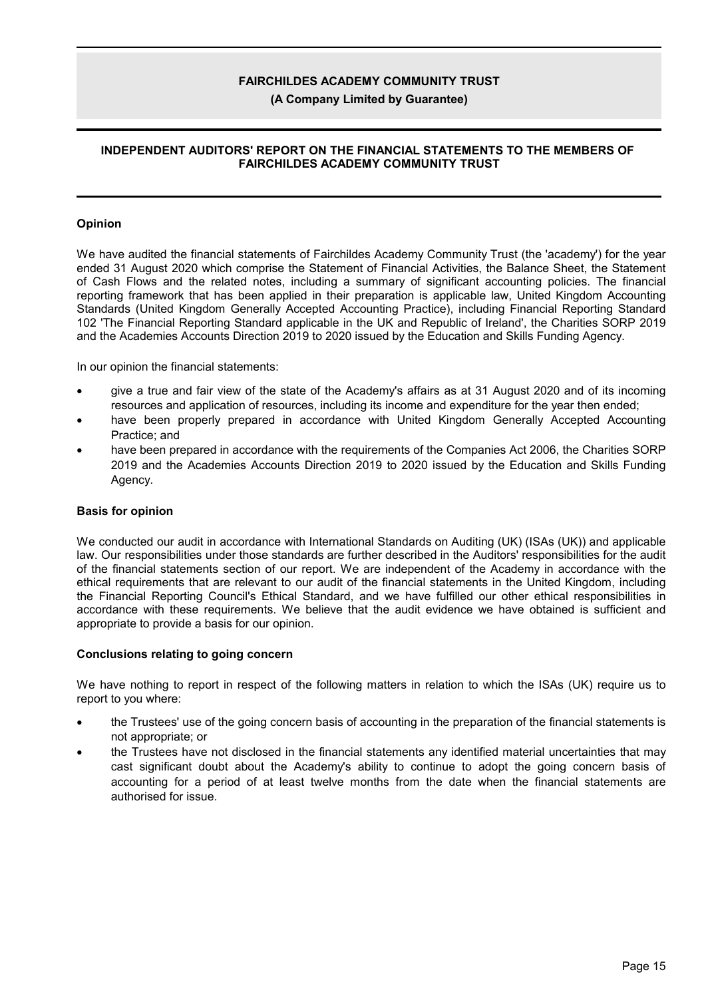## **(A Company Limited by Guarantee)**

## **INDEPENDENT AUDITORS' REPORT ON THE FINANCIAL STATEMENTS TO THE MEMBERS OF FAIRCHILDES ACADEMY COMMUNITY TRUST**

### **Opinion**

We have audited the financial statements of Fairchildes Academy Community Trust (the 'academy') for the year ended 31 August 2020 which comprise the Statement of Financial Activities, the Balance Sheet, the Statement of Cash Flows and the related notes, including a summary of significant accounting policies. The financial reporting framework that has been applied in their preparation is applicable law, United Kingdom Accounting Standards (United Kingdom Generally Accepted Accounting Practice), including Financial Reporting Standard 102 'The Financial Reporting Standard applicable in the UK and Republic of Ireland', the Charities SORP 2019 and the Academies Accounts Direction 2019 to 2020 issued by the Education and Skills Funding Agency.

In our opinion the financial statements:

- give a true and fair view of the state of the Academy's affairs as at 31 August 2020 and of its incoming resources and application of resources, including its income and expenditure for the year then ended;
- have been properly prepared in accordance with United Kingdom Generally Accepted Accounting Practice; and
- have been prepared in accordance with the requirements of the Companies Act 2006, the Charities SORP 2019 and the Academies Accounts Direction 2019 to 2020 issued by the Education and Skills Funding Agency.

### **Basis for opinion**

We conducted our audit in accordance with International Standards on Auditing (UK) (ISAs (UK)) and applicable law. Our responsibilities under those standards are further described in the Auditors' responsibilities for the audit of the financial statements section of our report. We are independent of the Academy in accordance with the ethical requirements that are relevant to our audit of the financial statements in the United Kingdom, including the Financial Reporting Council's Ethical Standard, and we have fulfilled our other ethical responsibilities in accordance with these requirements. We believe that the audit evidence we have obtained is sufficient and appropriate to provide a basis for our opinion.

#### **Conclusions relating to going concern**

We have nothing to report in respect of the following matters in relation to which the ISAs (UK) require us to report to you where:

- the Trustees' use of the going concern basis of accounting in the preparation of the financial statements is not appropriate; or
- the Trustees have not disclosed in the financial statements any identified material uncertainties that may cast significant doubt about the Academy's ability to continue to adopt the going concern basis of accounting for a period of at least twelve months from the date when the financial statements are authorised for issue.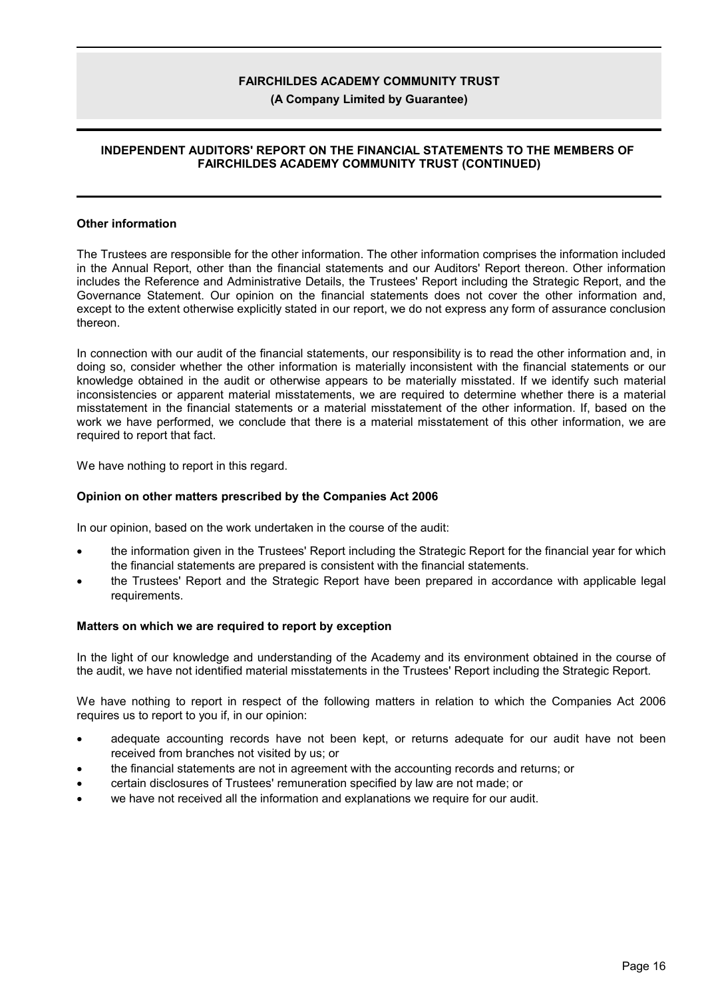### **(A Company Limited by Guarantee)**

# **INDEPENDENT AUDITORS' REPORT ON THE FINANCIAL STATEMENTS TO THE MEMBERS OF FAIRCHILDES ACADEMY COMMUNITY TRUST (CONTINUED)**

#### **Other information**

The Trustees are responsible for the other information. The other information comprises the information included in the Annual Report, other than the financial statements and our Auditors' Report thereon. Other information includes the Reference and Administrative Details, the Trustees' Report including the Strategic Report, and the Governance Statement. Our opinion on the financial statements does not cover the other information and, except to the extent otherwise explicitly stated in our report, we do not express any form of assurance conclusion thereon.

In connection with our audit of the financial statements, our responsibility is to read the other information and, in doing so, consider whether the other information is materially inconsistent with the financial statements or our knowledge obtained in the audit or otherwise appears to be materially misstated. If we identify such material inconsistencies or apparent material misstatements, we are required to determine whether there is a material misstatement in the financial statements or a material misstatement of the other information. If, based on the work we have performed, we conclude that there is a material misstatement of this other information, we are required to report that fact.

We have nothing to report in this regard.

### **Opinion on other matters prescribed by the Companies Act 2006**

In our opinion, based on the work undertaken in the course of the audit:

- the information given in the Trustees' Report including the Strategic Report for the financial year for which the financial statements are prepared is consistent with the financial statements.
- the Trustees' Report and the Strategic Report have been prepared in accordance with applicable legal requirements.

#### **Matters on which we are required to report by exception**

In the light of our knowledge and understanding of the Academy and its environment obtained in the course of the audit, we have not identified material misstatements in the Trustees' Report including the Strategic Report.

We have nothing to report in respect of the following matters in relation to which the Companies Act 2006 requires us to report to you if, in our opinion:

- adequate accounting records have not been kept, or returns adequate for our audit have not been received from branches not visited by us; or
- the financial statements are not in agreement with the accounting records and returns; or
- certain disclosures of Trustees' remuneration specified by law are not made; or
- we have not received all the information and explanations we require for our audit.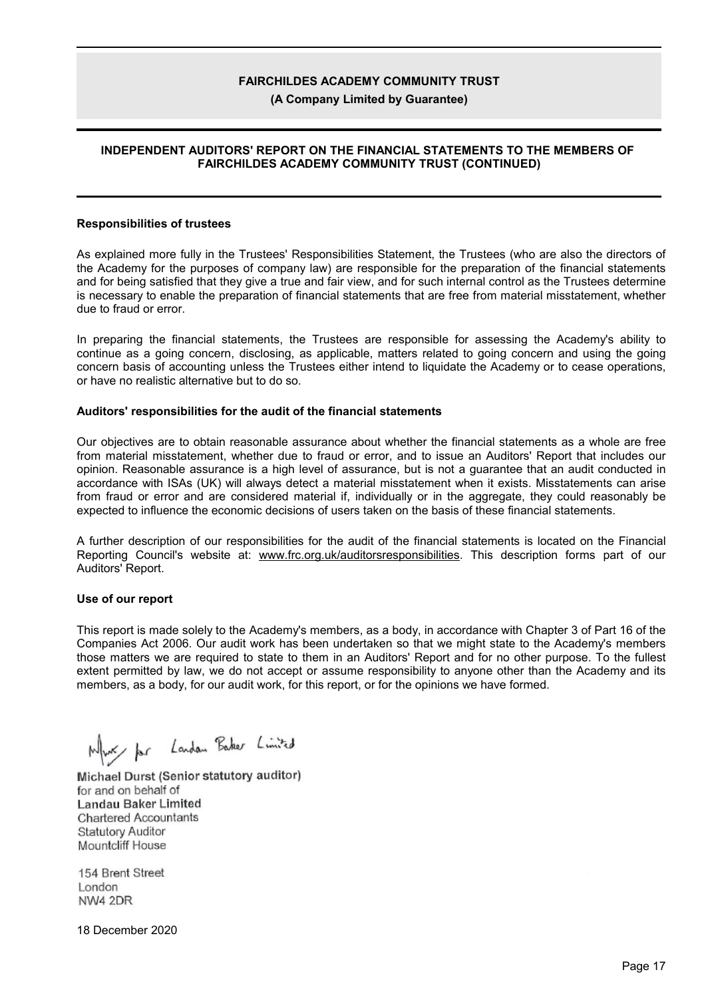#### **(A Company Limited by Guarantee)**

# **INDEPENDENT AUDITORS' REPORT ON THE FINANCIAL STATEMENTS TO THE MEMBERS OF FAIRCHILDES ACADEMY COMMUNITY TRUST (CONTINUED)**

#### **Responsibilities of trustees**

As explained more fully in the Trustees' Responsibilities Statement, the Trustees (who are also the directors of the Academy for the purposes of company law) are responsible for the preparation of the financial statements and for being satisfied that they give a true and fair view, and for such internal control as the Trustees determine is necessary to enable the preparation of financial statements that are free from material misstatement, whether due to fraud or error.

In preparing the financial statements, the Trustees are responsible for assessing the Academy's ability to continue as a going concern, disclosing, as applicable, matters related to going concern and using the going concern basis of accounting unless the Trustees either intend to liquidate the Academy or to cease operations, or have no realistic alternative but to do so.

#### **Auditors' responsibilities for the audit of the financial statements**

Our objectives are to obtain reasonable assurance about whether the financial statements as a whole are free from material misstatement, whether due to fraud or error, and to issue an Auditors' Report that includes our opinion. Reasonable assurance is a high level of assurance, but is not a guarantee that an audit conducted in accordance with ISAs (UK) will always detect a material misstatement when it exists. Misstatements can arise from fraud or error and are considered material if, individually or in the aggregate, they could reasonably be expected to influence the economic decisions of users taken on the basis of these financial statements.

A further description of our responsibilities for the audit of the financial statements is located on the Financial Reporting Council's website at: www.frc.org.uk/auditorsresponsibilities. This description forms part of our Auditors' Report.

#### **Use of our report**

This report is made solely to the Academy's members, as a body, in accordance with Chapter 3 of Part 16 of the Companies Act 2006. Our audit work has been undertaken so that we might state to the Academy's members those matters we are required to state to them in an Auditors' Report and for no other purpose. To the fullest extent permitted by law, we do not accept or assume responsibility to anyone other than the Academy and its members, as a body, for our audit work, for this report, or for the opinions we have formed.

**Jake Lew (Senior Statutory Auditor)**

Michael Durst (Senior statutory auditor) **Landau Baker Limited** Chartered Accountants Mountcliff House

154 Brent Street London **LONGO**  $N = 2D$ 

18 December 2020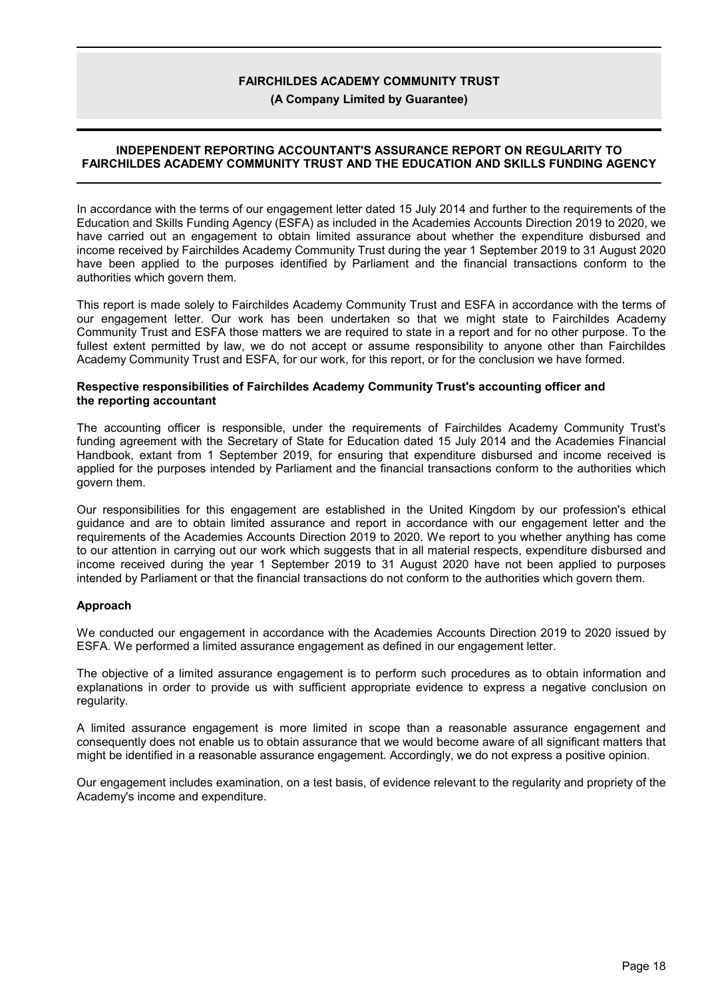**(A Company Limited by Guarantee)**

## **INDEPENDENT REPORTING ACCOUNTANT'S ASSURANCE REPORT ON REGULARITY TO FAIRCHILDES ACADEMY COMMUNITY TRUST AND THE EDUCATION AND SKILLS FUNDING AGENCY**

In accordance with the terms of our engagement letter dated 15 July 2014 and further to the requirements of the Education and Skills Funding Agency (ESFA) as included in the Academies Accounts Direction 2019 to 2020, we have carried out an engagement to obtain limited assurance about whether the expenditure disbursed and income received by Fairchildes Academy Community Trust during the year 1 September 2019 to 31 August 2020 have been applied to the purposes identified by Parliament and the financial transactions conform to the authorities which govern them.

This report is made solely to Fairchildes Academy Community Trust and ESFA in accordance with the terms of our engagement letter. Our work has been undertaken so that we might state to Fairchildes Academy Community Trust and ESFA those matters we are required to state in a report and for no other purpose. To the fullest extent permitted by law, we do not accept or assume responsibility to anyone other than Fairchildes Academy Community Trust and ESFA, for our work, for this report, or for the conclusion we have formed.

#### **Respective responsibilities of Fairchildes Academy Community Trust's accounting officer and the reporting accountant**

The accounting officer is responsible, under the requirements of Fairchildes Academy Community Trust's funding agreement with the Secretary of State for Education dated 15 July 2014 and the Academies Financial Handbook, extant from 1 September 2019, for ensuring that expenditure disbursed and income received is applied for the purposes intended by Parliament and the financial transactions conform to the authorities which govern them.

Our responsibilities for this engagement are established in the United Kingdom by our profession's ethical guidance and are to obtain limited assurance and report in accordance with our engagement letter and the requirements of the Academies Accounts Direction 2019 to 2020. We report to you whether anything has come to our attention in carrying out our work which suggests that in all material respects, expenditure disbursed and income received during the year 1 September 2019 to 31 August 2020 have not been applied to purposes intended by Parliament or that the financial transactions do not conform to the authorities which govern them.

# **Approach**

We conducted our engagement in accordance with the Academies Accounts Direction 2019 to 2020 issued by ESFA. We performed a limited assurance engagement as defined in our engagement letter.

The objective of a limited assurance engagement is to perform such procedures as to obtain information and explanations in order to provide us with sufficient appropriate evidence to express a negative conclusion on regularity.

A limited assurance engagement is more limited in scope than a reasonable assurance engagement and consequently does not enable us to obtain assurance that we would become aware of all significant matters that might be identified in a reasonable assurance engagement. Accordingly, we do not express a positive opinion.

Our engagement includes examination, on a test basis, of evidence relevant to the regularity and propriety of the Academy's income and expenditure.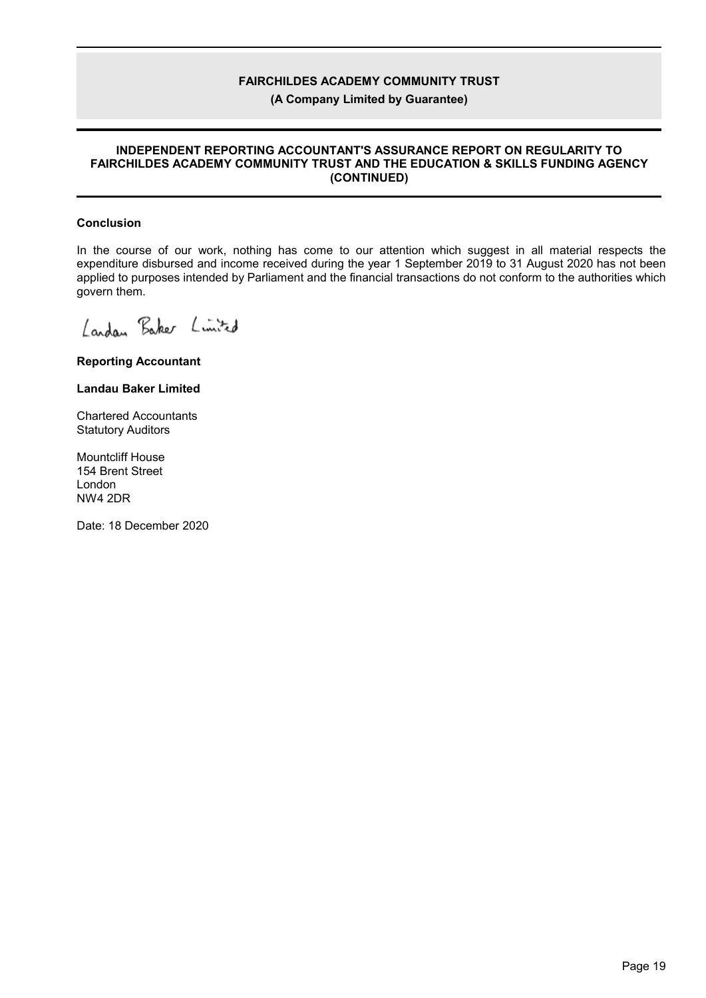### **(A Company Limited by Guarantee)**

### **INDEPENDENT REPORTING ACCOUNTANT'S ASSURANCE REPORT ON REGULARITY TO FAIRCHILDES ACADEMY COMMUNITY TRUST AND THE EDUCATION & SKILLS FUNDING AGENCY (CONTINUED)**

#### **Conclusion**

In the course of our work, nothing has come to our attention which suggest in all material respects the expenditure disbursed and income received during the year 1 September 2019 to 31 August 2020 has not been applied to purposes intended by Parliament and the financial transactions do not conform to the authorities which govern them.

Landan Baker Limited

# **Reporting Accountant**

## **Landau Baker Limited**

Chartered Accountants Statutory Auditors

Mountcliff House 154 Brent Street London NW4 2DR

Date: 18 December 2020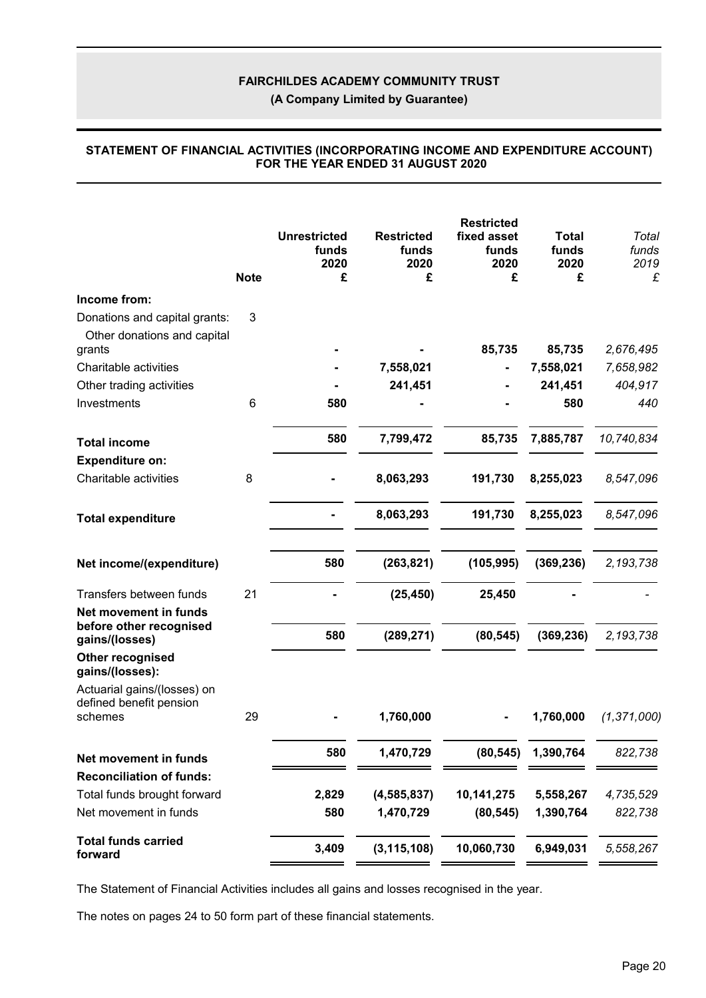**(A Company Limited by Guarantee)**

|                                                        | <b>Note</b> | <b>Unrestricted</b><br>funds<br>2020<br>£ | <b>Restricted</b><br>funds<br>2020<br>£ | <b>Restricted</b><br>fixed asset<br>funds<br>2020<br>£ | Total<br>funds<br>2020<br>£ | Total<br>funds<br>2019<br>£ |
|--------------------------------------------------------|-------------|-------------------------------------------|-----------------------------------------|--------------------------------------------------------|-----------------------------|-----------------------------|
| Income from:                                           |             |                                           |                                         |                                                        |                             |                             |
|                                                        | 3           |                                           |                                         |                                                        |                             |                             |
| Donations and capital grants:                          |             |                                           |                                         |                                                        |                             |                             |
| Other donations and capital<br>grants                  |             |                                           |                                         | 85,735                                                 | 85,735                      | 2,676,495                   |
| Charitable activities                                  |             |                                           | 7,558,021                               |                                                        | 7,558,021                   | 7,658,982                   |
| Other trading activities                               |             |                                           | 241,451                                 |                                                        | 241,451                     | 404,917                     |
| Investments                                            | 6           | 580                                       |                                         |                                                        | 580                         | 440                         |
| <b>Total income</b>                                    |             | 580                                       | 7,799,472                               | 85,735                                                 | 7,885,787                   | 10,740,834                  |
| <b>Expenditure on:</b>                                 |             |                                           |                                         |                                                        |                             |                             |
| Charitable activities                                  | 8           |                                           | 8,063,293                               | 191,730                                                | 8,255,023                   | 8,547,096                   |
| <b>Total expenditure</b>                               |             |                                           | 8,063,293                               | 191,730                                                | 8,255,023                   | 8,547,096                   |
|                                                        |             | 580                                       | (263, 821)                              | (105, 995)                                             | (369, 236)                  | 2, 193, 738                 |
| Net income/(expenditure)                               |             |                                           |                                         |                                                        |                             |                             |
| Transfers between funds                                | 21          |                                           | (25, 450)                               | 25,450                                                 |                             |                             |
| Net movement in funds<br>before other recognised       |             | 580                                       | (289, 271)                              | (80, 545)                                              | (369, 236)                  | 2, 193, 738                 |
| gains/(losses)<br>Other recognised<br>gains/(losses):  |             |                                           |                                         |                                                        |                             |                             |
| Actuarial gains/(losses) on<br>defined benefit pension |             |                                           |                                         |                                                        |                             |                             |
| schemes                                                | 29          |                                           | 1,760,000                               |                                                        | 1,760,000                   | (1, 371, 000)               |
| Net movement in funds                                  |             | 580                                       | 1,470,729                               | (80, 545)                                              | 1,390,764                   | 822,738                     |
| <b>Reconciliation of funds:</b>                        |             |                                           |                                         |                                                        |                             |                             |
| Total funds brought forward                            |             | 2,829                                     | (4, 585, 837)                           | 10,141,275                                             | 5,558,267                   | 4,735,529                   |
| Net movement in funds                                  |             | 580                                       | 1,470,729                               | (80, 545)                                              | 1,390,764                   | 822,738                     |
| <b>Total funds carried</b><br>forward                  |             | 3,409                                     | (3, 115, 108)                           | 10,060,730                                             | 6,949,031                   | 5,558,267                   |

## **STATEMENT OF FINANCIAL ACTIVITIES (INCORPORATING INCOME AND EXPENDITURE ACCOUNT) FOR THE YEAR ENDED 31 AUGUST 2020**

The Statement of Financial Activities includes all gains and losses recognised in the year.

The notes on pages 24 to 50 form part of these financial statements.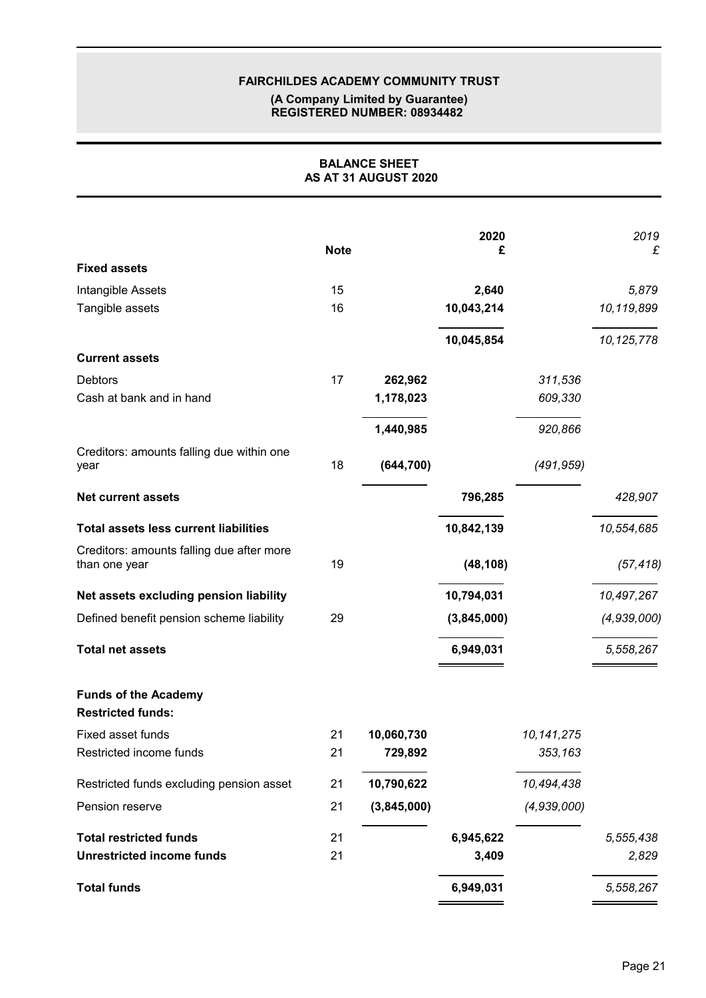#### **(A Company Limited by Guarantee) REGISTERED NUMBER: 08934482**

| <b>BALANCE SHEET</b><br>AS AT 31 AUGUST 2020               |             |             |             |              |              |
|------------------------------------------------------------|-------------|-------------|-------------|--------------|--------------|
|                                                            | <b>Note</b> |             | 2020<br>£   |              | 2019<br>£    |
| <b>Fixed assets</b>                                        |             |             |             |              |              |
| Intangible Assets                                          | 15          |             | 2,640       |              | 5,879        |
| Tangible assets                                            | 16          |             | 10,043,214  |              | 10,119,899   |
|                                                            |             |             | 10,045,854  |              | 10, 125, 778 |
| <b>Current assets</b>                                      |             |             |             |              |              |
| <b>Debtors</b>                                             | 17          | 262,962     |             | 311,536      |              |
| Cash at bank and in hand                                   |             | 1,178,023   |             | 609,330      |              |
|                                                            |             | 1,440,985   |             | 920,866      |              |
| Creditors: amounts falling due within one<br>year          | 18          | (644, 700)  |             | (491, 959)   |              |
| <b>Net current assets</b>                                  |             |             | 796,285     |              | 428,907      |
| <b>Total assets less current liabilities</b>               |             |             | 10,842,139  |              | 10,554,685   |
| Creditors: amounts falling due after more<br>than one year | 19          |             | (48, 108)   |              | (57, 418)    |
| Net assets excluding pension liability                     |             |             | 10,794,031  |              | 10,497,267   |
| Defined benefit pension scheme liability                   | 29          |             | (3,845,000) |              | (4,939,000)  |
| <b>Total net assets</b>                                    |             |             | 6,949,031   |              | 5,558,267    |
| <b>Funds of the Academy</b><br><b>Restricted funds:</b>    |             |             |             |              |              |
| Fixed asset funds                                          | 21          | 10,060,730  |             | 10, 141, 275 |              |
| Restricted income funds                                    | 21          | 729,892     |             | 353,163      |              |
| Restricted funds excluding pension asset                   | 21          | 10,790,622  |             | 10,494,438   |              |
| Pension reserve                                            | 21          | (3,845,000) |             | (4,939,000)  |              |
| <b>Total restricted funds</b>                              | 21          |             | 6,945,622   |              | 5,555,438    |
| <b>Unrestricted income funds</b>                           | 21          |             | 3,409       |              | 2,829        |
| <b>Total funds</b>                                         |             |             | 6,949,031   |              | 5,558,267    |

 $\qquad \qquad \overbrace{\qquad \qquad }$ 

 $\qquad \qquad \overbrace{\qquad \qquad }$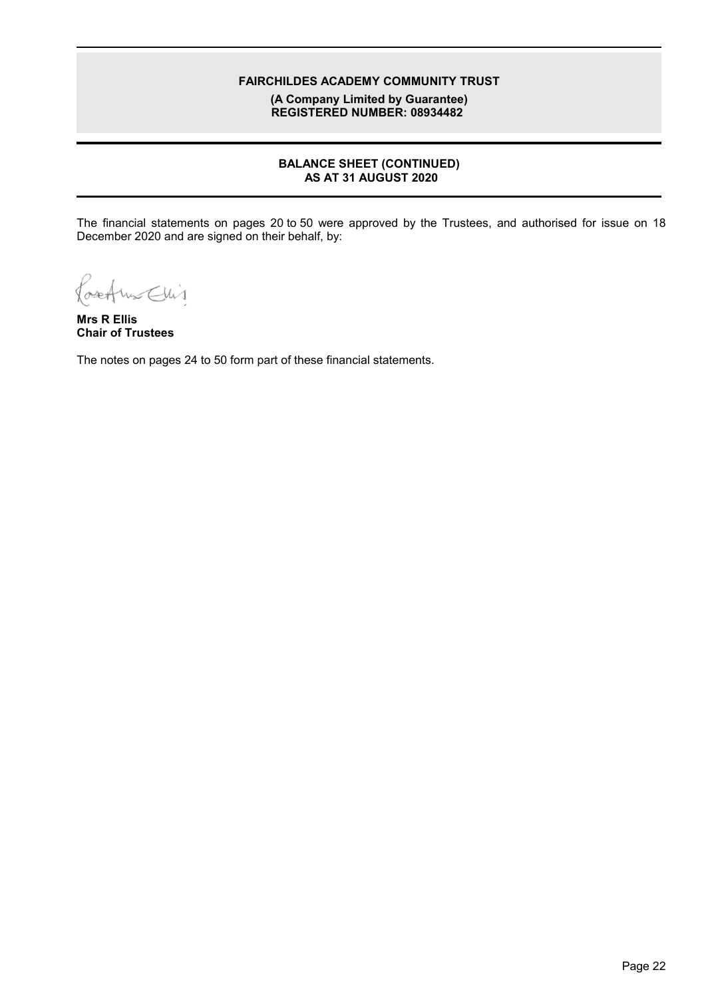**(A Company Limited by Guarantee) REGISTERED NUMBER: 08934482**

# **BALANCE SHEET (CONTINUED) AS AT 31 AUGUST 2020**

The financial statements on pages 20 to 50 were approved by the Trustees, and authorised for issue on 18 December 2020 and are signed on their behalf, by:

foreflux Ellis

**Mrs R Ellis Chair of Trustees**

The notes on pages 24 to 50 form part of these financial statements.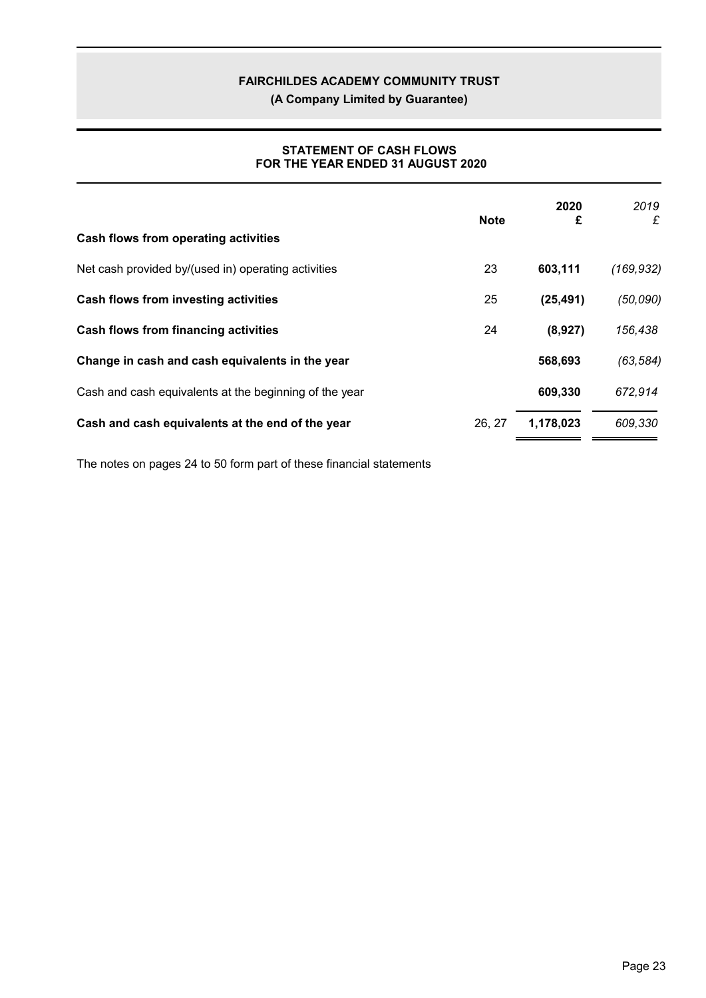**(A Company Limited by Guarantee)**

# **STATEMENT OF CASH FLOWS FOR THE YEAR ENDED 31 AUGUST 2020**

|                                                        | <b>Note</b> | 2020<br>£ | 2019<br>£  |
|--------------------------------------------------------|-------------|-----------|------------|
| Cash flows from operating activities                   |             |           |            |
| Net cash provided by/(used in) operating activities    | 23          | 603,111   | (169, 932) |
| Cash flows from investing activities                   | 25          | (25, 491) | (50,090)   |
| <b>Cash flows from financing activities</b>            | 24          | (8,927)   | 156,438    |
| Change in cash and cash equivalents in the year        |             | 568,693   | (63, 584)  |
| Cash and cash equivalents at the beginning of the year |             | 609,330   | 672,914    |
| Cash and cash equivalents at the end of the year       | 26, 27      | 1,178,023 | 609,330    |

The notes on pages 24 to 50 form part of these financial statements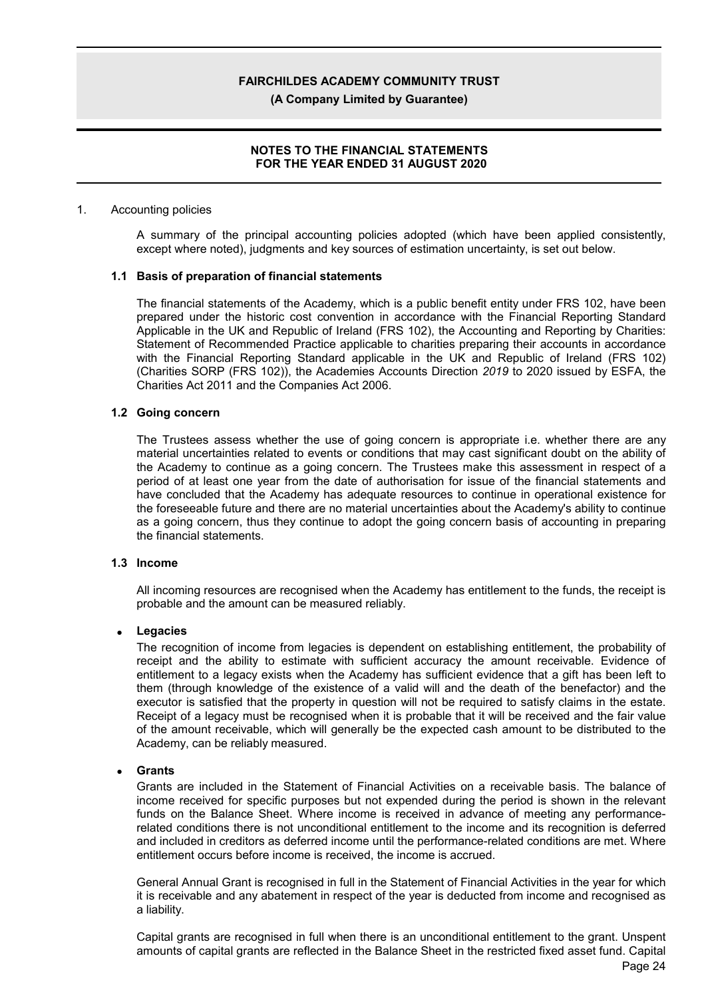**(A Company Limited by Guarantee)**

## **NOTES TO THE FINANCIAL STATEMENTS FOR THE YEAR ENDED 31 AUGUST 2020**

#### 1. Accounting policies

A summary of the principal accounting policies adopted (which have been applied consistently, except where noted), judgments and key sources of estimation uncertainty, is set out below.

#### **1.1 Basis of preparation of financial statements**

The financial statements of the Academy, which is a public benefit entity under FRS 102, have been prepared under the historic cost convention in accordance with the Financial Reporting Standard Applicable in the UK and Republic of Ireland (FRS 102), the Accounting and Reporting by Charities: Statement of Recommended Practice applicable to charities preparing their accounts in accordance with the Financial Reporting Standard applicable in the UK and Republic of Ireland (FRS 102) (Charities SORP (FRS 102)), the Academies Accounts Direction *2019* to 2020 issued by ESFA, the Charities Act 2011 and the Companies Act 2006.

### **1.2 Going concern**

The Trustees assess whether the use of going concern is appropriate i.e. whether there are any material uncertainties related to events or conditions that may cast significant doubt on the ability of the Academy to continue as a going concern. The Trustees make this assessment in respect of a period of at least one year from the date of authorisation for issue of the financial statements and have concluded that the Academy has adequate resources to continue in operational existence for the foreseeable future and there are no material uncertainties about the Academy's ability to continue as a going concern, thus they continue to adopt the going concern basis of accounting in preparing the financial statements.

#### **1.3 Income**

All incoming resources are recognised when the Academy has entitlement to the funds, the receipt is probable and the amount can be measured reliably.

#### **Legacies**

The recognition of income from legacies is dependent on establishing entitlement, the probability of receipt and the ability to estimate with sufficient accuracy the amount receivable. Evidence of entitlement to a legacy exists when the Academy has sufficient evidence that a gift has been left to them (through knowledge of the existence of a valid will and the death of the benefactor) and the executor is satisfied that the property in question will not be required to satisfy claims in the estate. Receipt of a legacy must be recognised when it is probable that it will be received and the fair value of the amount receivable, which will generally be the expected cash amount to be distributed to the Academy, can be reliably measured.

### **Grants**

Grants are included in the Statement of Financial Activities on a receivable basis. The balance of income received for specific purposes but not expended during the period is shown in the relevant funds on the Balance Sheet. Where income is received in advance of meeting any performancerelated conditions there is not unconditional entitlement to the income and its recognition is deferred and included in creditors as deferred income until the performance-related conditions are met. Where entitlement occurs before income is received, the income is accrued.

General Annual Grant is recognised in full in the Statement of Financial Activities in the year for which it is receivable and any abatement in respect of the year is deducted from income and recognised as a liability.

Capital grants are recognised in full when there is an unconditional entitlement to the grant. Unspent amounts of capital grants are reflected in the Balance Sheet in the restricted fixed asset fund. Capital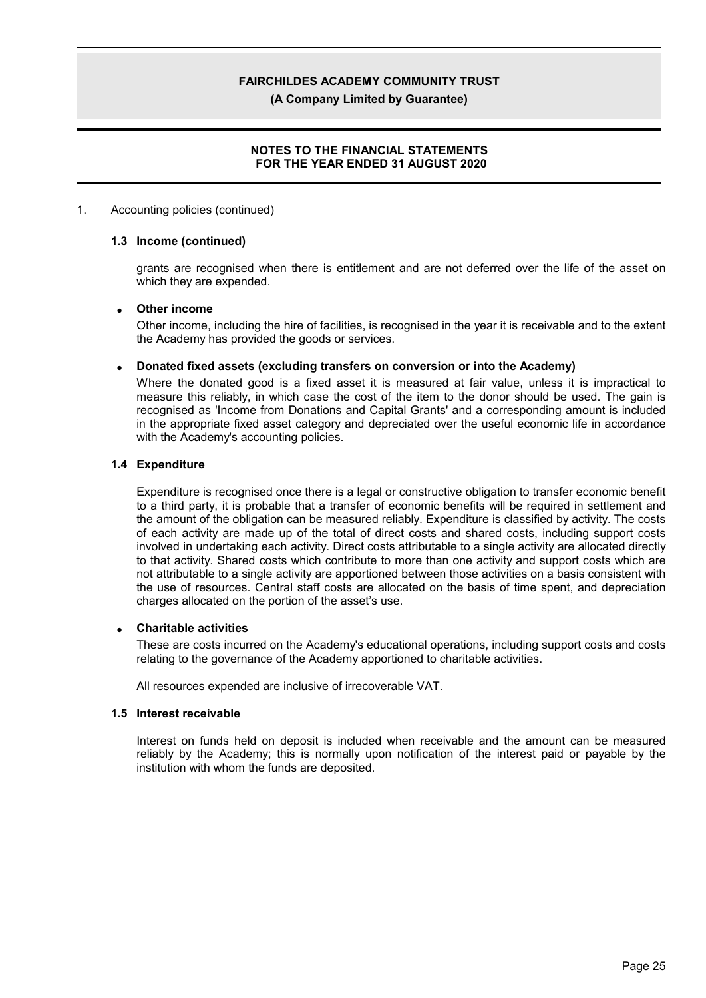**(A Company Limited by Guarantee)**

# **NOTES TO THE FINANCIAL STATEMENTS FOR THE YEAR ENDED 31 AUGUST 2020**

### 1. Accounting policies (continued)

### **1.3 Income (continued)**

grants are recognised when there is entitlement and are not deferred over the life of the asset on which they are expended.

# **Other income**

Other income, including the hire of facilities, is recognised in the year it is receivable and to the extent the Academy has provided the goods or services.

#### **Donated fixed assets (excluding transfers on conversion or into the Academy)**

Where the donated good is a fixed asset it is measured at fair value, unless it is impractical to measure this reliably, in which case the cost of the item to the donor should be used. The gain is recognised as 'Income from Donations and Capital Grants' and a corresponding amount is included in the appropriate fixed asset category and depreciated over the useful economic life in accordance with the Academy's accounting policies.

## **1.4 Expenditure**

Expenditure is recognised once there is a legal or constructive obligation to transfer economic benefit to a third party, it is probable that a transfer of economic benefits will be required in settlement and the amount of the obligation can be measured reliably. Expenditure is classified by activity. The costs of each activity are made up of the total of direct costs and shared costs, including support costs involved in undertaking each activity. Direct costs attributable to a single activity are allocated directly to that activity. Shared costs which contribute to more than one activity and support costs which are not attributable to a single activity are apportioned between those activities on a basis consistent with the use of resources. Central staff costs are allocated on the basis of time spent, and depreciation charges allocated on the portion of the asset's use.

#### **Charitable activities**

These are costs incurred on the Academy's educational operations, including support costs and costs relating to the governance of the Academy apportioned to charitable activities.

All resources expended are inclusive of irrecoverable VAT.

#### **1.5 Interest receivable**

Interest on funds held on deposit is included when receivable and the amount can be measured reliably by the Academy; this is normally upon notification of the interest paid or payable by the institution with whom the funds are deposited.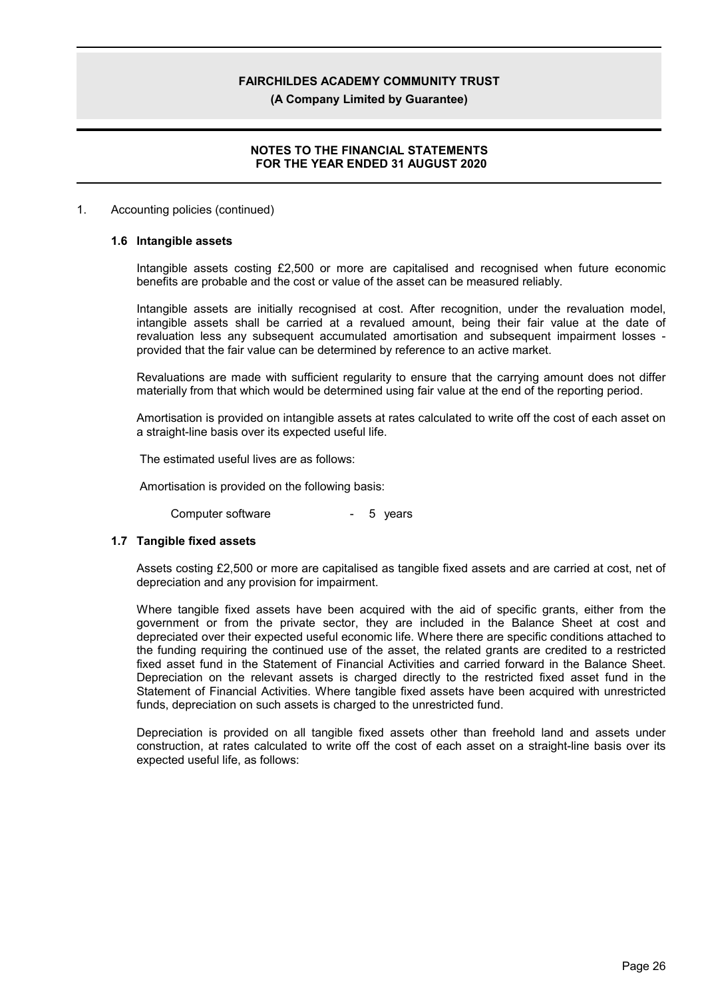**(A Company Limited by Guarantee)**

# **NOTES TO THE FINANCIAL STATEMENTS FOR THE YEAR ENDED 31 AUGUST 2020**

### 1. Accounting policies (continued)

## **1.6 Intangible assets**

Intangible assets costing £2,500 or more are capitalised and recognised when future economic benefits are probable and the cost or value of the asset can be measured reliably.

Intangible assets are initially recognised at cost. After recognition, under the revaluation model, intangible assets shall be carried at a revalued amount, being their fair value at the date of revaluation less any subsequent accumulated amortisation and subsequent impairment losses provided that the fair value can be determined by reference to an active market.

Revaluations are made with sufficient regularity to ensure that the carrying amount does not differ materially from that which would be determined using fair value at the end of the reporting period.

Amortisation is provided on intangible assets at rates calculated to write off the cost of each asset on a straight-line basis over its expected useful life.

The estimated useful lives are as follows:

Amortisation is provided on the following basis:

Computer software **- 5** years

#### **1.7 Tangible fixed assets**

Assets costing £2,500 or more are capitalised as tangible fixed assets and are carried at cost, net of depreciation and any provision for impairment.

Where tangible fixed assets have been acquired with the aid of specific grants, either from the government or from the private sector, they are included in the Balance Sheet at cost and depreciated over their expected useful economic life. Where there are specific conditions attached to the funding requiring the continued use of the asset, the related grants are credited to a restricted fixed asset fund in the Statement of Financial Activities and carried forward in the Balance Sheet. Depreciation on the relevant assets is charged directly to the restricted fixed asset fund in the Statement of Financial Activities. Where tangible fixed assets have been acquired with unrestricted funds, depreciation on such assets is charged to the unrestricted fund.

Depreciation is provided on all tangible fixed assets other than freehold land and assets under construction, at rates calculated to write off the cost of each asset on a straight-line basis over its expected useful life, as follows: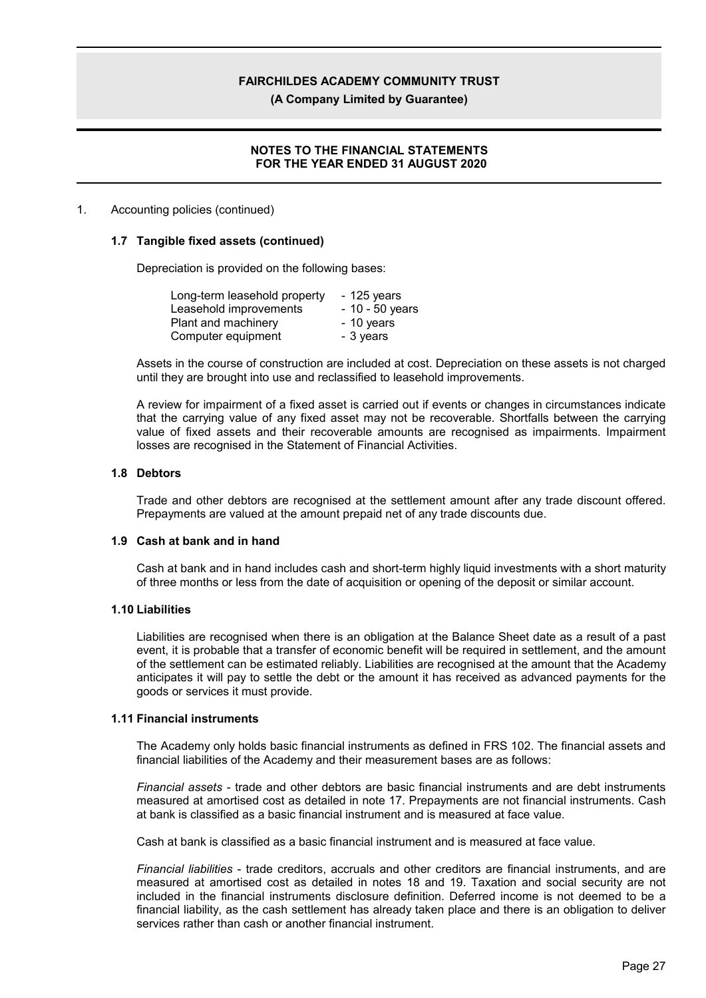**(A Company Limited by Guarantee)**

# **NOTES TO THE FINANCIAL STATEMENTS FOR THE YEAR ENDED 31 AUGUST 2020**

## 1. Accounting policies (continued)

### **1.7 Tangible fixed assets (continued)**

Depreciation is provided on the following bases:

| Long-term leasehold property | - 125 years      |
|------------------------------|------------------|
| Leasehold improvements       | $-10 - 50$ years |
| Plant and machinery          | - 10 years       |
| Computer equipment           | - 3 years        |

Assets in the course of construction are included at cost. Depreciation on these assets is not charged until they are brought into use and reclassified to leasehold improvements.

A review for impairment of a fixed asset is carried out if events or changes in circumstances indicate that the carrying value of any fixed asset may not be recoverable. Shortfalls between the carrying value of fixed assets and their recoverable amounts are recognised as impairments. Impairment losses are recognised in the Statement of Financial Activities.

## **1.8 Debtors**

Trade and other debtors are recognised at the settlement amount after any trade discount offered. Prepayments are valued at the amount prepaid net of any trade discounts due.

#### **1.9 Cash at bank and in hand**

Cash at bank and in hand includes cash and short-term highly liquid investments with a short maturity of three months or less from the date of acquisition or opening of the deposit or similar account.

#### **1.10 Liabilities**

Liabilities are recognised when there is an obligation at the Balance Sheet date as a result of a past event, it is probable that a transfer of economic benefit will be required in settlement, and the amount of the settlement can be estimated reliably. Liabilities are recognised at the amount that the Academy anticipates it will pay to settle the debt or the amount it has received as advanced payments for the goods or services it must provide.

#### **1.11 Financial instruments**

The Academy only holds basic financial instruments as defined in FRS 102. The financial assets and financial liabilities of the Academy and their measurement bases are as follows:

*Financial assets* - trade and other debtors are basic financial instruments and are debt instruments measured at amortised cost as detailed in note 17. Prepayments are not financial instruments. Cash at bank is classified as a basic financial instrument and is measured at face value.

Cash at bank is classified as a basic financial instrument and is measured at face value.

*Financial liabilities* - trade creditors, accruals and other creditors are financial instruments, and are measured at amortised cost as detailed in notes 18 and 19. Taxation and social security are not included in the financial instruments disclosure definition. Deferred income is not deemed to be a financial liability, as the cash settlement has already taken place and there is an obligation to deliver services rather than cash or another financial instrument.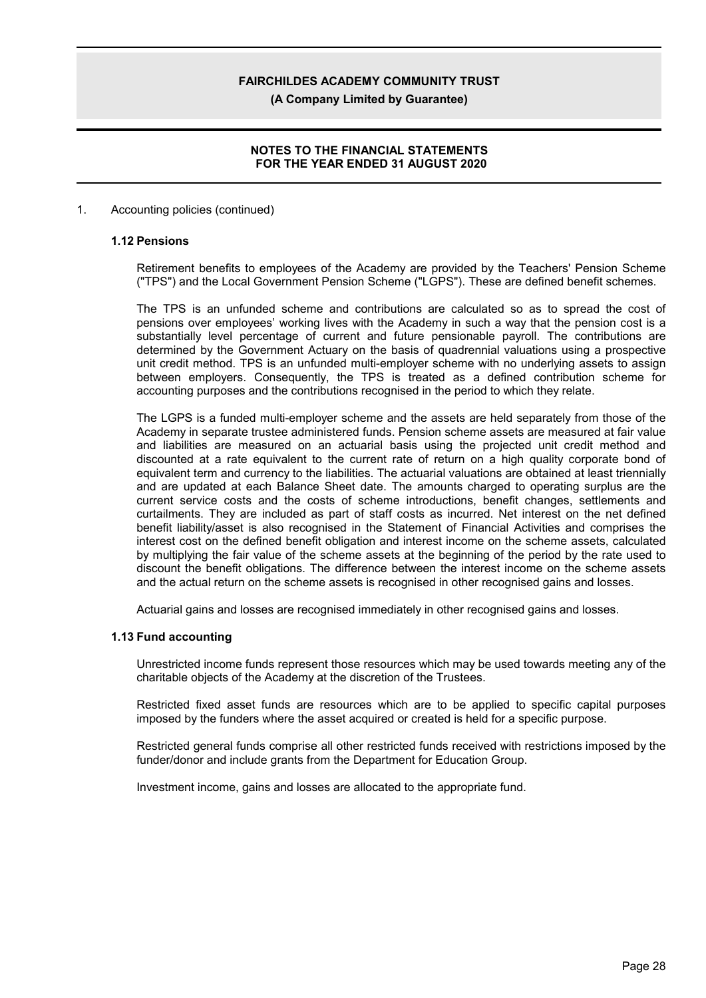**(A Company Limited by Guarantee)**

# **NOTES TO THE FINANCIAL STATEMENTS FOR THE YEAR ENDED 31 AUGUST 2020**

## 1. Accounting policies (continued)

# **1.12 Pensions**

Retirement benefits to employees of the Academy are provided by the Teachers' Pension Scheme ("TPS") and the Local Government Pension Scheme ("LGPS"). These are defined benefit schemes.

The TPS is an unfunded scheme and contributions are calculated so as to spread the cost of pensions over employees' working lives with the Academy in such a way that the pension cost is a substantially level percentage of current and future pensionable payroll. The contributions are determined by the Government Actuary on the basis of quadrennial valuations using a prospective unit credit method. TPS is an unfunded multi-employer scheme with no underlying assets to assign between employers. Consequently, the TPS is treated as a defined contribution scheme for accounting purposes and the contributions recognised in the period to which they relate.

The LGPS is a funded multi-employer scheme and the assets are held separately from those of the Academy in separate trustee administered funds. Pension scheme assets are measured at fair value and liabilities are measured on an actuarial basis using the projected unit credit method and discounted at a rate equivalent to the current rate of return on a high quality corporate bond of equivalent term and currency to the liabilities. The actuarial valuations are obtained at least triennially and are updated at each Balance Sheet date. The amounts charged to operating surplus are the current service costs and the costs of scheme introductions, benefit changes, settlements and curtailments. They are included as part of staff costs as incurred. Net interest on the net defined benefit liability/asset is also recognised in the Statement of Financial Activities and comprises the interest cost on the defined benefit obligation and interest income on the scheme assets, calculated by multiplying the fair value of the scheme assets at the beginning of the period by the rate used to discount the benefit obligations. The difference between the interest income on the scheme assets and the actual return on the scheme assets is recognised in other recognised gains and losses.

Actuarial gains and losses are recognised immediately in other recognised gains and losses.

#### **1.13 Fund accounting**

Unrestricted income funds represent those resources which may be used towards meeting any of the charitable objects of the Academy at the discretion of the Trustees.

Restricted fixed asset funds are resources which are to be applied to specific capital purposes imposed by the funders where the asset acquired or created is held for a specific purpose.

Restricted general funds comprise all other restricted funds received with restrictions imposed by the funder/donor and include grants from the Department for Education Group.

Investment income, gains and losses are allocated to the appropriate fund.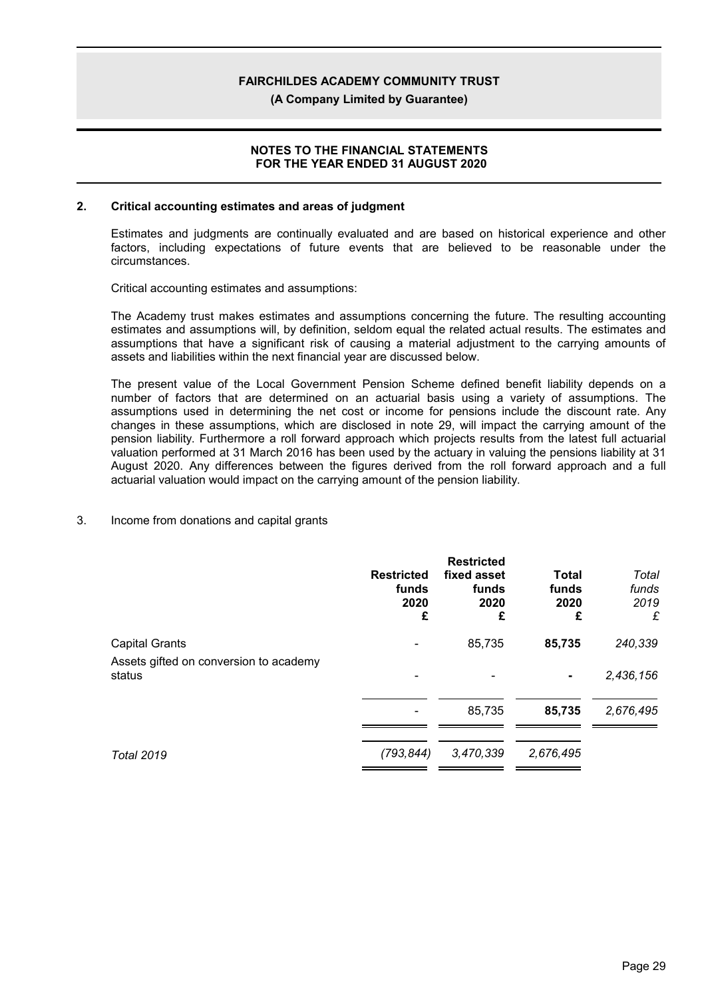**(A Company Limited by Guarantee)**

## **NOTES TO THE FINANCIAL STATEMENTS FOR THE YEAR ENDED 31 AUGUST 2020**

### **2. Critical accounting estimates and areas of judgment**

Estimates and judgments are continually evaluated and are based on historical experience and other factors, including expectations of future events that are believed to be reasonable under the circumstances.

Critical accounting estimates and assumptions:

The Academy trust makes estimates and assumptions concerning the future. The resulting accounting estimates and assumptions will, by definition, seldom equal the related actual results. The estimates and assumptions that have a significant risk of causing a material adjustment to the carrying amounts of assets and liabilities within the next financial year are discussed below.

The present value of the Local Government Pension Scheme defined benefit liability depends on a number of factors that are determined on an actuarial basis using a variety of assumptions. The assumptions used in determining the net cost or income for pensions include the discount rate. Any changes in these assumptions, which are disclosed in note 29, will impact the carrying amount of the pension liability. Furthermore a roll forward approach which projects results from the latest full actuarial valuation performed at 31 March 2016 has been used by the actuary in valuing the pensions liability at 31 August 2020. Any differences between the figures derived from the roll forward approach and a full actuarial valuation would impact on the carrying amount of the pension liability.

# 3. Income from donations and capital grants

|                                                  | <b>Restricted</b><br>funds<br>2020<br>£ | <b>Restricted</b><br>fixed asset<br>funds<br>2020<br>£ | <b>Total</b><br>funds<br>2020<br>£ | Total<br>funds<br>2019<br>£ |
|--------------------------------------------------|-----------------------------------------|--------------------------------------------------------|------------------------------------|-----------------------------|
| <b>Capital Grants</b>                            |                                         | 85,735                                                 | 85,735                             | 240,339                     |
| Assets gifted on conversion to academy<br>status |                                         |                                                        | $\blacksquare$                     | 2,436,156                   |
|                                                  |                                         | 85,735                                                 | 85,735                             | 2,676,495                   |
| <b>Total 2019</b>                                | (793, 844)                              | 3,470,339                                              | 2,676,495                          |                             |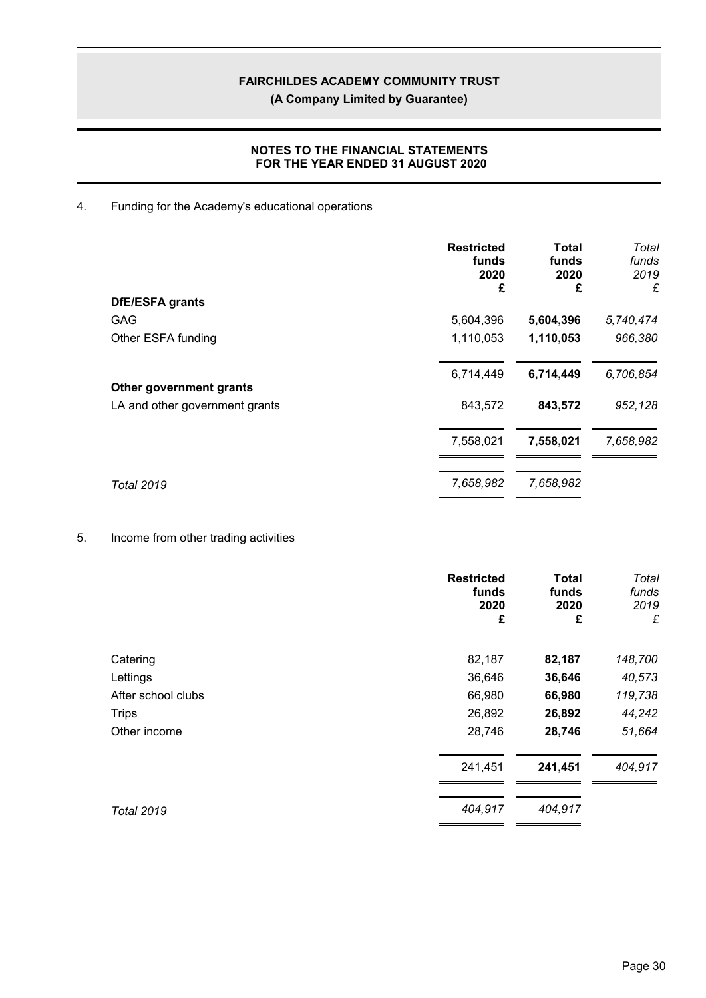**(A Company Limited by Guarantee)**

# **NOTES TO THE FINANCIAL STATEMENTS FOR THE YEAR ENDED 31 AUGUST 2020**

# 4. Funding for the Academy's educational operations

|                                | <b>Restricted</b><br>funds<br>2020<br>£ | Total<br>funds<br>2020<br>£ | Total<br>funds<br>2019<br>£ |
|--------------------------------|-----------------------------------------|-----------------------------|-----------------------------|
| DfE/ESFA grants                |                                         |                             |                             |
| <b>GAG</b>                     | 5,604,396                               | 5,604,396                   | 5,740,474                   |
| Other ESFA funding             | 1,110,053                               | 1,110,053                   | 966,380                     |
| Other government grants        | 6,714,449                               | 6,714,449                   | 6,706,854                   |
| LA and other government grants | 843,572                                 | 843,572                     | 952,128                     |
|                                | 7,558,021                               | 7,558,021                   | 7,658,982                   |
| <b>Total 2019</b>              | 7,658,982                               | 7,658,982                   |                             |

# 5. Income from other trading activities

|                    | <b>Restricted</b><br>funds<br>2020 | <b>Total</b><br>funds<br>2020 | Total<br>funds<br>2019 |
|--------------------|------------------------------------|-------------------------------|------------------------|
|                    | £                                  | £                             | £                      |
| Catering           | 82,187                             | 82,187                        | 148,700                |
| Lettings           | 36,646                             | 36,646                        | 40,573                 |
| After school clubs | 66,980                             | 66,980                        | 119,738                |
| <b>Trips</b>       | 26,892                             | 26,892                        | 44,242                 |
| Other income       | 28,746                             | 28,746                        | 51,664                 |
|                    | 241,451                            | 241,451                       | 404,917                |
| <b>Total 2019</b>  | 404,917                            | 404,917                       |                        |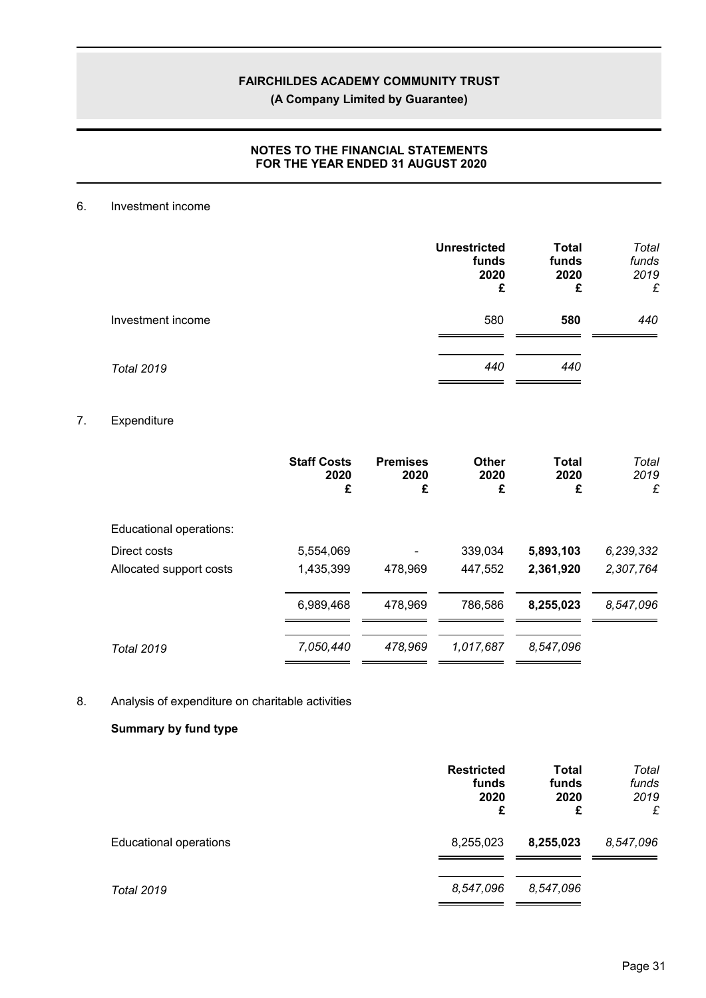**(A Company Limited by Guarantee)**

# **NOTES TO THE FINANCIAL STATEMENTS FOR THE YEAR ENDED 31 AUGUST 2020**

## 6. Investment income

|                   | <b>Unrestricted</b><br>funds<br>2020<br>£ | <b>Total</b><br>funds<br>2020<br>£ | Total<br>funds<br>2019<br>£ |
|-------------------|-------------------------------------------|------------------------------------|-----------------------------|
| Investment income | 580                                       | 580                                | 440                         |
| <b>Total 2019</b> | 440                                       | 440                                |                             |

## 7. Expenditure

|                         | <b>Staff Costs</b><br>2020<br>£ | <b>Premises</b><br>2020<br>£ | <b>Other</b><br>2020<br>£ | <b>Total</b><br>2020<br>£ | Total<br>2019<br>£ |
|-------------------------|---------------------------------|------------------------------|---------------------------|---------------------------|--------------------|
| Educational operations: |                                 |                              |                           |                           |                    |
| Direct costs            | 5,554,069                       |                              | 339,034                   | 5,893,103                 | 6,239,332          |
| Allocated support costs | 1,435,399                       | 478,969                      | 447,552                   | 2,361,920                 | 2,307,764          |
|                         | 6,989,468                       | 478,969                      | 786,586                   | 8,255,023                 | 8,547,096          |
| <b>Total 2019</b>       | 7,050,440                       | 478,969                      | 1,017,687                 | 8,547,096                 |                    |

# 8. Analysis of expenditure on charitable activities

# **Summary by fund type**

|                               | <b>Restricted</b><br>funds<br>2020<br>£ | <b>Total</b><br>funds<br>2020<br>£ | Total<br>funds<br>2019<br>£ |
|-------------------------------|-----------------------------------------|------------------------------------|-----------------------------|
| <b>Educational operations</b> | 8,255,023                               | 8,255,023                          | 8,547,096                   |
| <b>Total 2019</b>             | 8,547,096                               | 8,547,096                          |                             |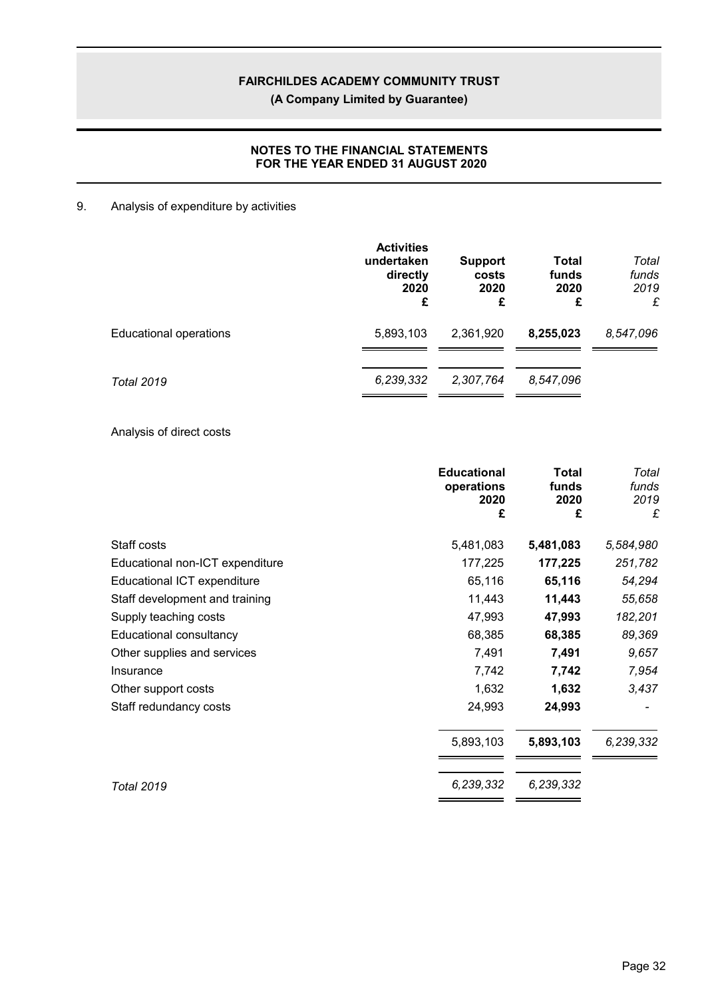**(A Company Limited by Guarantee)**

# **NOTES TO THE FINANCIAL STATEMENTS FOR THE YEAR ENDED 31 AUGUST 2020**

# 9. Analysis of expenditure by activities

|                               | <b>Activities</b><br>undertaken<br>directly<br>2020<br>£ | <b>Support</b><br>costs<br>2020<br>£ | <b>Total</b><br>funds<br>2020<br>£ | Total<br>funds<br>2019<br>£ |
|-------------------------------|----------------------------------------------------------|--------------------------------------|------------------------------------|-----------------------------|
| <b>Educational operations</b> | 5,893,103                                                | 2,361,920                            | 8,255,023                          | 8,547,096                   |
| <b>Total 2019</b>             | 6,239,332                                                | 2,307,764                            | 8,547,096                          |                             |

Analysis of direct costs

|                                 | <b>Educational</b><br>operations<br>2020<br>£ | Total<br>funds<br>2020<br>£ | Total<br>funds<br>2019<br>£ |
|---------------------------------|-----------------------------------------------|-----------------------------|-----------------------------|
|                                 |                                               |                             |                             |
| Staff costs                     | 5,481,083                                     | 5,481,083                   | 5,584,980                   |
| Educational non-ICT expenditure | 177,225                                       | 177,225                     | 251,782                     |
| Educational ICT expenditure     | 65,116                                        | 65,116                      | 54,294                      |
| Staff development and training  | 11,443                                        | 11,443                      | 55,658                      |
| Supply teaching costs           | 47,993                                        | 47,993                      | 182,201                     |
| Educational consultancy         | 68,385                                        | 68,385                      | 89,369                      |
| Other supplies and services     | 7,491                                         | 7,491                       | 9,657                       |
| Insurance                       | 7,742                                         | 7,742                       | 7,954                       |
| Other support costs             | 1,632                                         | 1,632                       | 3,437                       |
| Staff redundancy costs          | 24,993                                        | 24,993                      |                             |
|                                 | 5,893,103                                     | 5,893,103                   | 6,239,332                   |
| <b>Total 2019</b>               | 6,239,332                                     | 6,239,332                   |                             |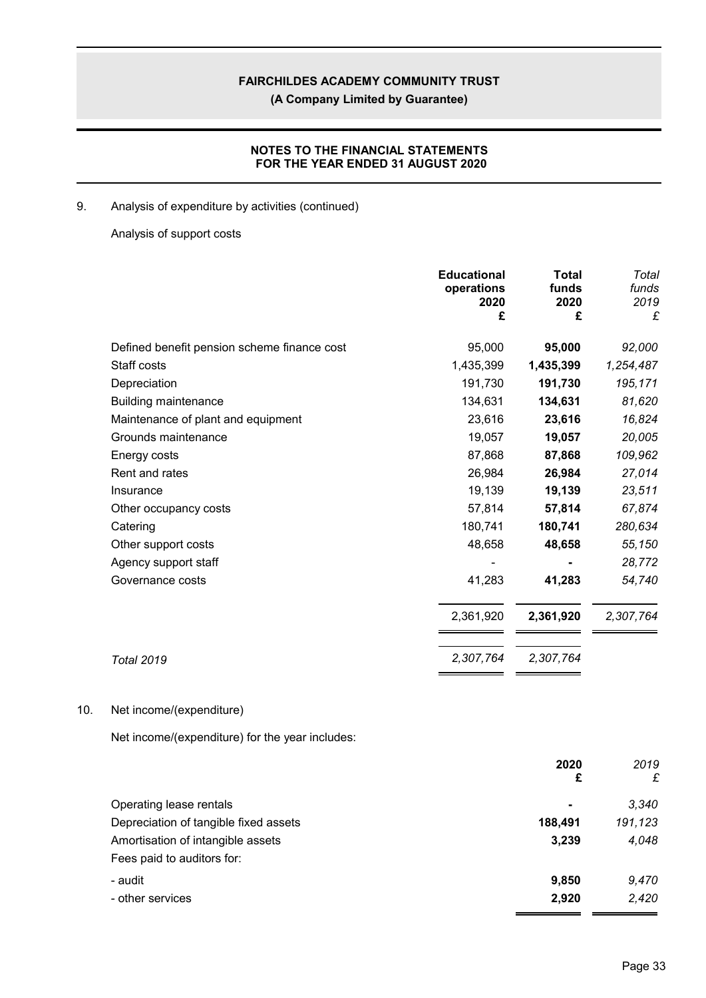**(A Company Limited by Guarantee)**

# **NOTES TO THE FINANCIAL STATEMENTS FOR THE YEAR ENDED 31 AUGUST 2020**

# 9. Analysis of expenditure by activities (continued)

Analysis of support costs

|                                             | <b>Educational</b><br>operations<br>2020<br>£ | Total<br>funds<br>2020<br>£ | Total<br>funds<br>2019<br>£ |
|---------------------------------------------|-----------------------------------------------|-----------------------------|-----------------------------|
|                                             |                                               |                             |                             |
| Defined benefit pension scheme finance cost | 95,000                                        | 95,000                      | 92,000                      |
| Staff costs                                 | 1,435,399                                     | 1,435,399                   | 1,254,487                   |
| Depreciation                                | 191,730                                       | 191,730                     | 195,171                     |
| Building maintenance                        | 134,631                                       | 134,631                     | 81,620                      |
| Maintenance of plant and equipment          | 23,616                                        | 23,616                      | 16,824                      |
| Grounds maintenance                         | 19,057                                        | 19,057                      | 20,005                      |
| Energy costs                                | 87,868                                        | 87,868                      | 109,962                     |
| Rent and rates                              | 26,984                                        | 26,984                      | 27,014                      |
| Insurance                                   | 19,139                                        | 19,139                      | 23,511                      |
| Other occupancy costs                       | 57,814                                        | 57,814                      | 67,874                      |
| Catering                                    | 180,741                                       | 180,741                     | 280,634                     |
| Other support costs                         | 48,658                                        | 48,658                      | 55,150                      |
| Agency support staff                        |                                               |                             | 28,772                      |
| Governance costs                            | 41,283                                        | 41,283                      | 54,740                      |
|                                             | 2,361,920                                     | 2,361,920                   | 2,307,764                   |
| <b>Total 2019</b>                           | 2,307,764                                     | 2,307,764                   |                             |

# 10. Net income/(expenditure)

Net income/(expenditure) for the year includes:

|                                       | 2020           | 2019    |
|---------------------------------------|----------------|---------|
|                                       | £              | £       |
| Operating lease rentals               | $\blacksquare$ | 3,340   |
| Depreciation of tangible fixed assets | 188,491        | 191,123 |
| Amortisation of intangible assets     | 3,239          | 4,048   |
| Fees paid to auditors for:            |                |         |
| - audit                               | 9,850          | 9,470   |
| - other services                      | 2,920          | 2,420   |
|                                       |                |         |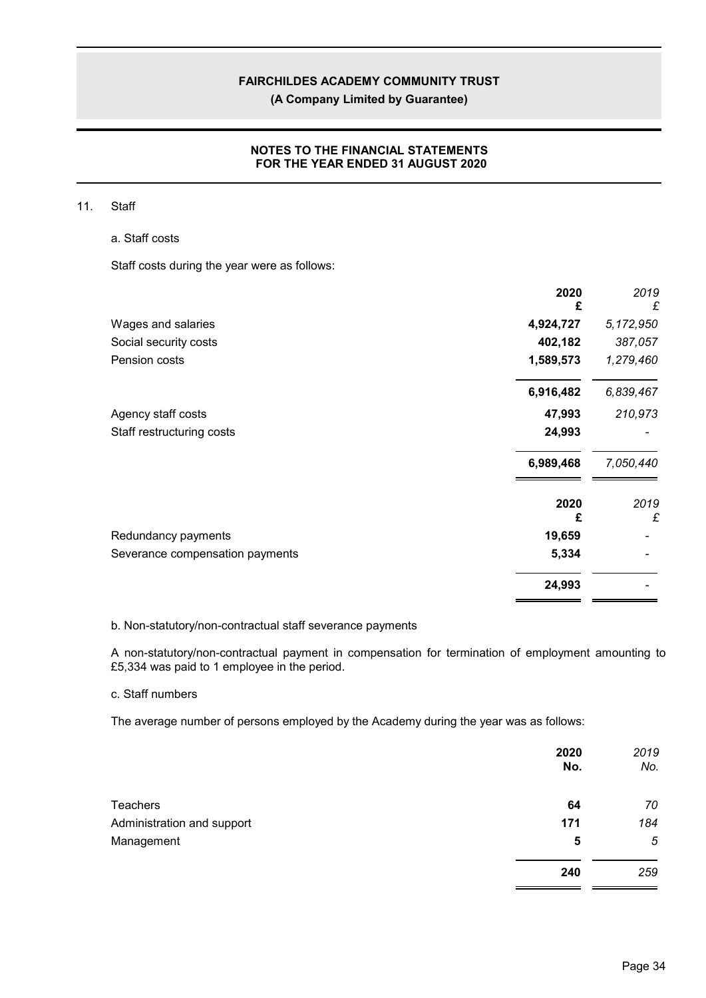**(A Company Limited by Guarantee)**

# **NOTES TO THE FINANCIAL STATEMENTS FOR THE YEAR ENDED 31 AUGUST 2020**

## 11. Staff

## a. Staff costs

Staff costs during the year were as follows:

|                                 | 2020<br>£ | 2019<br>£ |
|---------------------------------|-----------|-----------|
| Wages and salaries              | 4,924,727 | 5,172,950 |
| Social security costs           | 402,182   | 387,057   |
| Pension costs                   | 1,589,573 | 1,279,460 |
|                                 | 6,916,482 | 6,839,467 |
| Agency staff costs              | 47,993    | 210,973   |
| Staff restructuring costs       | 24,993    |           |
|                                 | 6,989,468 | 7,050,440 |
|                                 | 2020<br>£ | 2019<br>£ |
| Redundancy payments             | 19,659    |           |
| Severance compensation payments | 5,334     |           |
|                                 | 24,993    |           |
|                                 |           |           |

### b. Non-statutory/non-contractual staff severance payments

A non-statutory/non-contractual payment in compensation for termination of employment amounting to £5,334 was paid to 1 employee in the period.

## c. Staff numbers

The average number of persons employed by the Academy during the year was as follows:

|                            | 2020<br>No. | 2019<br>No. |
|----------------------------|-------------|-------------|
| Teachers                   | 64          | 70          |
| Administration and support | 171         | 184         |
| Management                 | 5           | 5           |
|                            | 240         | 259         |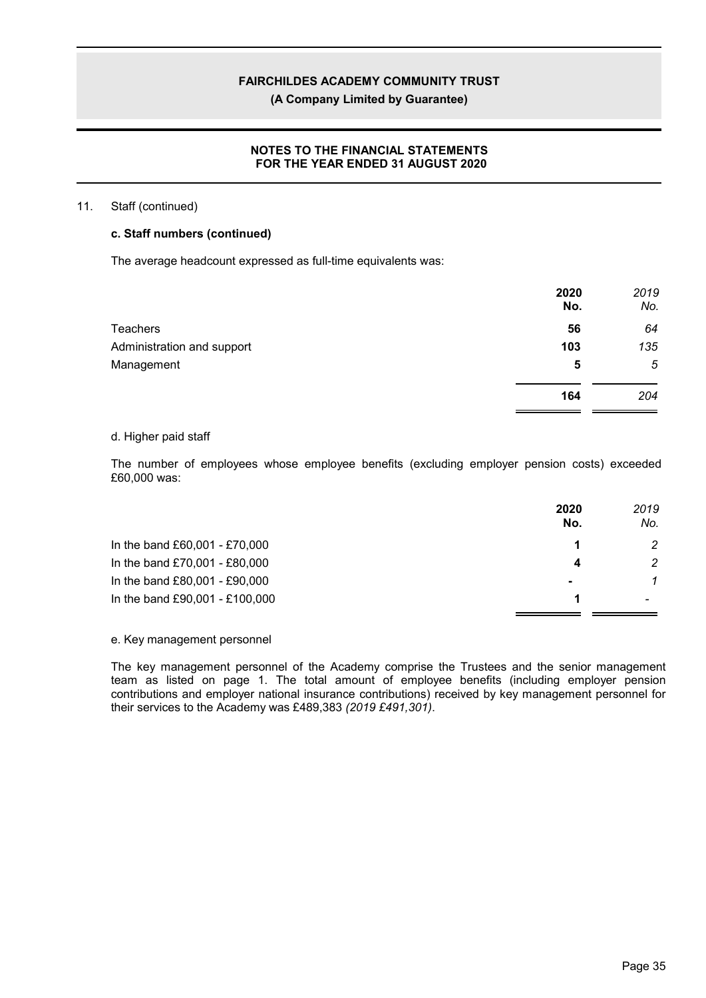## **(A Company Limited by Guarantee)**

# **NOTES TO THE FINANCIAL STATEMENTS FOR THE YEAR ENDED 31 AUGUST 2020**

#### 11. Staff (continued)

## **c. Staff numbers (continued)**

The average headcount expressed as full-time equivalents was:

|                            | 2020 | 2019 |
|----------------------------|------|------|
|                            | No.  | No.  |
| Teachers                   | 56   | 64   |
| Administration and support | 103  | 135  |
| Management                 | 5    | 5    |
|                            | 164  | 204  |

#### d. Higher paid staff

The number of employees whose employee benefits (excluding employer pension costs) exceeded £60,000 was:

|                                | 2020<br>No.    | 2019<br>No. |
|--------------------------------|----------------|-------------|
| In the band £60,001 - £70,000  |                | 2           |
| In the band £70,001 - £80,000  |                | 2           |
| In the band £80,001 - £90,000  | $\blacksquare$ |             |
| In the band £90,001 - £100,000 |                |             |

e. Key management personnel

The key management personnel of the Academy comprise the Trustees and the senior management team as listed on page 1. The total amount of employee benefits (including employer pension contributions and employer national insurance contributions) received by key management personnel for their services to the Academy was £489,383 *(2019 £491,301)*.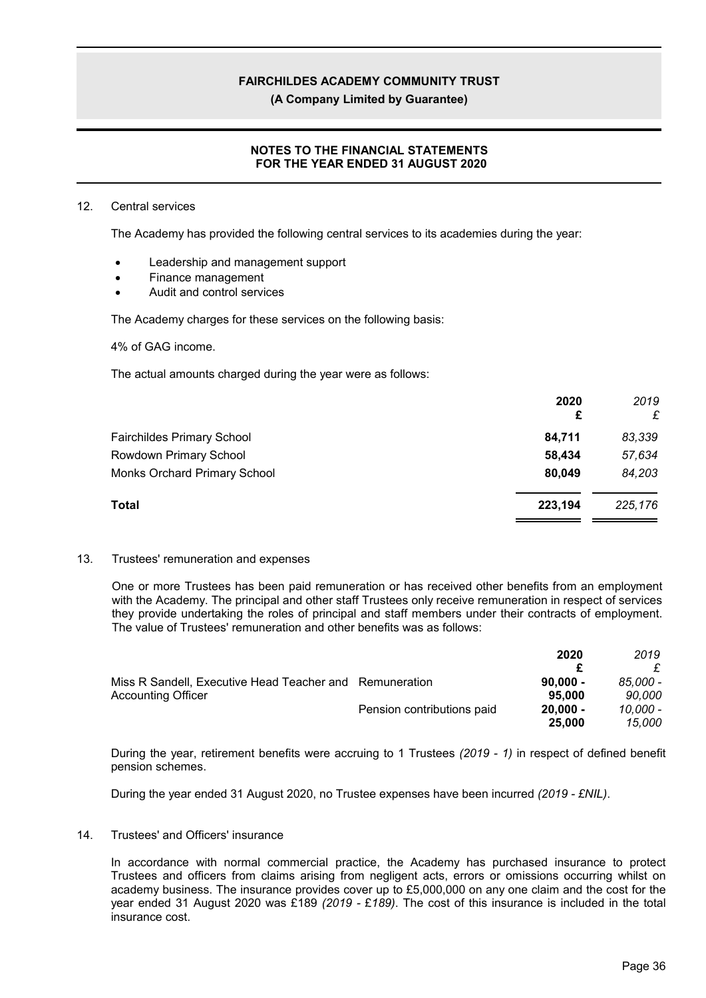**(A Company Limited by Guarantee)**

# **NOTES TO THE FINANCIAL STATEMENTS FOR THE YEAR ENDED 31 AUGUST 2020**

#### 12. Central services

The Academy has provided the following central services to its academies during the year:

- Leadership and management support
- Finance management
- Audit and control services

The Academy charges for these services on the following basis:

4% of GAG income.

The actual amounts charged during the year were as follows:

|                                   | 2020<br>£ | 2019<br>£ |
|-----------------------------------|-----------|-----------|
| <b>Fairchildes Primary School</b> | 84,711    | 83,339    |
| Rowdown Primary School            | 58,434    | 57,634    |
| Monks Orchard Primary School      | 80,049    | 84,203    |
| Total                             | 223,194   | 225.176   |

#### 13. Trustees' remuneration and expenses

One or more Trustees has been paid remuneration or has received other benefits from an employment with the Academy. The principal and other staff Trustees only receive remuneration in respect of services they provide undertaking the roles of principal and staff members under their contracts of employment. The value of Trustees' remuneration and other benefits was as follows:

|                                                         |                            | 2020       | 2019     |
|---------------------------------------------------------|----------------------------|------------|----------|
|                                                         |                            |            |          |
| Miss R Sandell. Executive Head Teacher and Remuneration |                            | $90.000 -$ | 85.000 - |
| <b>Accounting Officer</b>                               |                            | 95.000     | 90.000   |
|                                                         | Pension contributions paid | $20.000 -$ | 10.000 - |
|                                                         |                            | 25,000     | 15.000   |

During the year, retirement benefits were accruing to 1 Trustees *(2019 - 1)* in respect of defined benefit pension schemes.

During the year ended 31 August 2020, no Trustee expenses have been incurred *(2019 - £NIL)*.

# 14. Trustees' and Officers' insurance

In accordance with normal commercial practice, the Academy has purchased insurance to protect Trustees and officers from claims arising from negligent acts, errors or omissions occurring whilst on academy business. The insurance provides cover up to £5,000,000 on any one claim and the cost for the year ended 31 August 2020 was £189 *(2019 -* £*189)*. The cost of this insurance is included in the total insurance cost.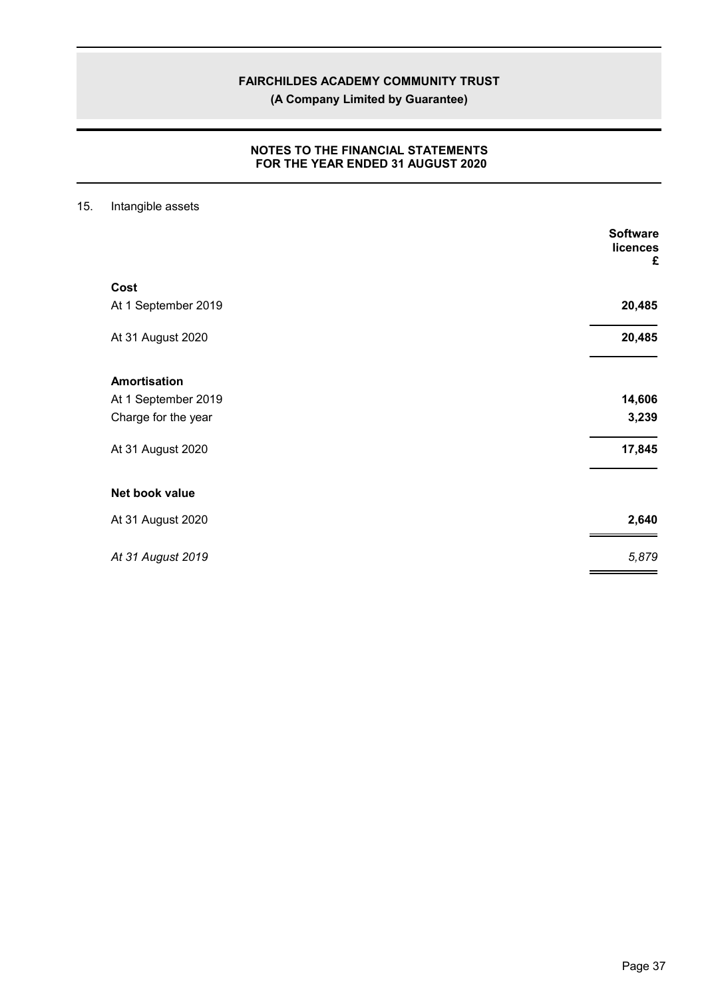**(A Company Limited by Guarantee)**

# **NOTES TO THE FINANCIAL STATEMENTS FOR THE YEAR ENDED 31 AUGUST 2020**

15. Intangible assets

|                     | <b>Software</b><br>licences<br>£ |
|---------------------|----------------------------------|
| Cost                |                                  |
| At 1 September 2019 | 20,485                           |
| At 31 August 2020   | 20,485                           |
| <b>Amortisation</b> |                                  |
| At 1 September 2019 | 14,606                           |
| Charge for the year | 3,239                            |
| At 31 August 2020   | 17,845                           |
| Net book value      |                                  |
| At 31 August 2020   | 2,640                            |
| At 31 August 2019   | 5,879                            |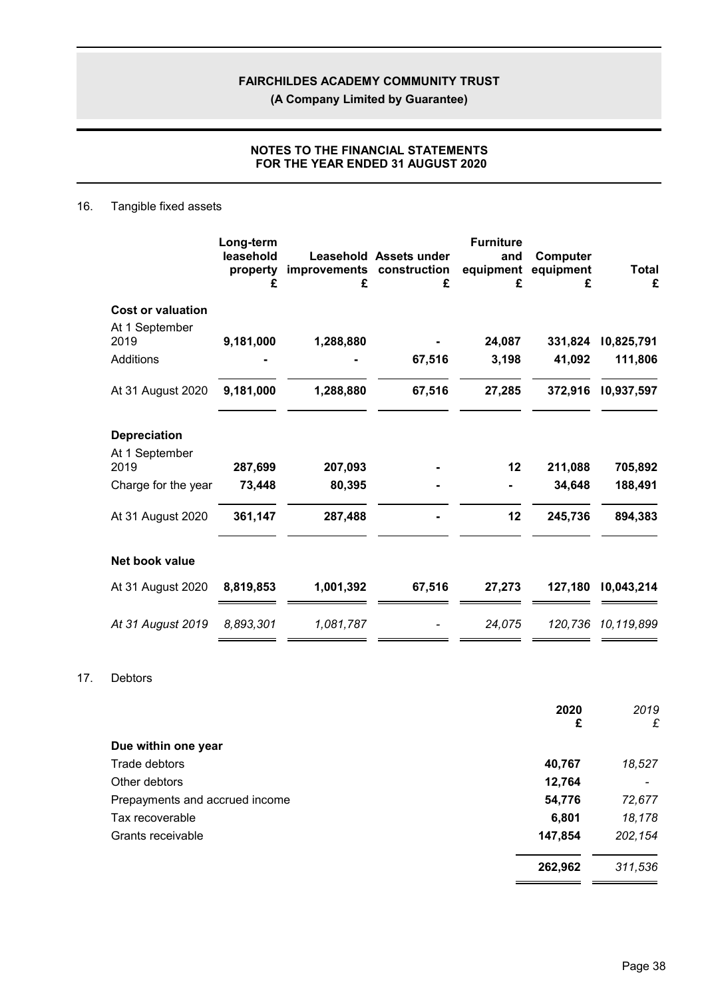**(A Company Limited by Guarantee)**

# **NOTES TO THE FINANCIAL STATEMENTS FOR THE YEAR ENDED 31 AUGUST 2020**

# 16. Tangible fixed assets

|                                       | Long-term<br>leasehold<br>property<br>£ | improvements construction<br>£ | Leasehold Assets under<br>£ | <b>Furniture</b><br>and<br>equipment<br>£ | Computer<br>equipment<br>£ | <b>Total</b><br>£ |
|---------------------------------------|-----------------------------------------|--------------------------------|-----------------------------|-------------------------------------------|----------------------------|-------------------|
| <b>Cost or valuation</b>              |                                         |                                |                             |                                           |                            |                   |
| At 1 September<br>2019                | 9,181,000                               | 1,288,880                      |                             | 24,087                                    | 331,824                    | 10,825,791        |
| Additions                             |                                         |                                | 67,516                      | 3,198                                     | 41,092                     | 111,806           |
| At 31 August 2020                     | 9,181,000                               | 1,288,880                      | 67,516                      | 27,285                                    | 372,916                    | 10,937,597        |
| <b>Depreciation</b><br>At 1 September |                                         |                                |                             |                                           |                            |                   |
| 2019                                  | 287,699                                 | 207,093                        |                             | 12                                        | 211,088                    | 705,892           |
| Charge for the year                   | 73,448                                  | 80,395                         |                             |                                           | 34,648                     | 188,491           |
| At 31 August 2020                     | 361,147                                 | 287,488                        |                             | 12                                        | 245,736                    | 894,383           |
| Net book value                        |                                         |                                |                             |                                           |                            |                   |
| At 31 August 2020                     | 8,819,853                               | 1,001,392                      | 67,516                      | 27.273                                    | 127,180                    | 10,043,214        |
| At 31 August 2019                     | 8,893,301                               | 1,081,787                      |                             | 24,075                                    | 120,736                    | 10,119,899        |

## 17. Debtors

|                                | 2020<br>£ | 2019<br>£ |
|--------------------------------|-----------|-----------|
| Due within one year            |           |           |
| Trade debtors                  | 40,767    | 18,527    |
| Other debtors                  | 12,764    |           |
| Prepayments and accrued income | 54,776    | 72,677    |
| Tax recoverable                | 6,801     | 18,178    |
| Grants receivable              | 147,854   | 202,154   |
|                                | 262,962   | 311,536   |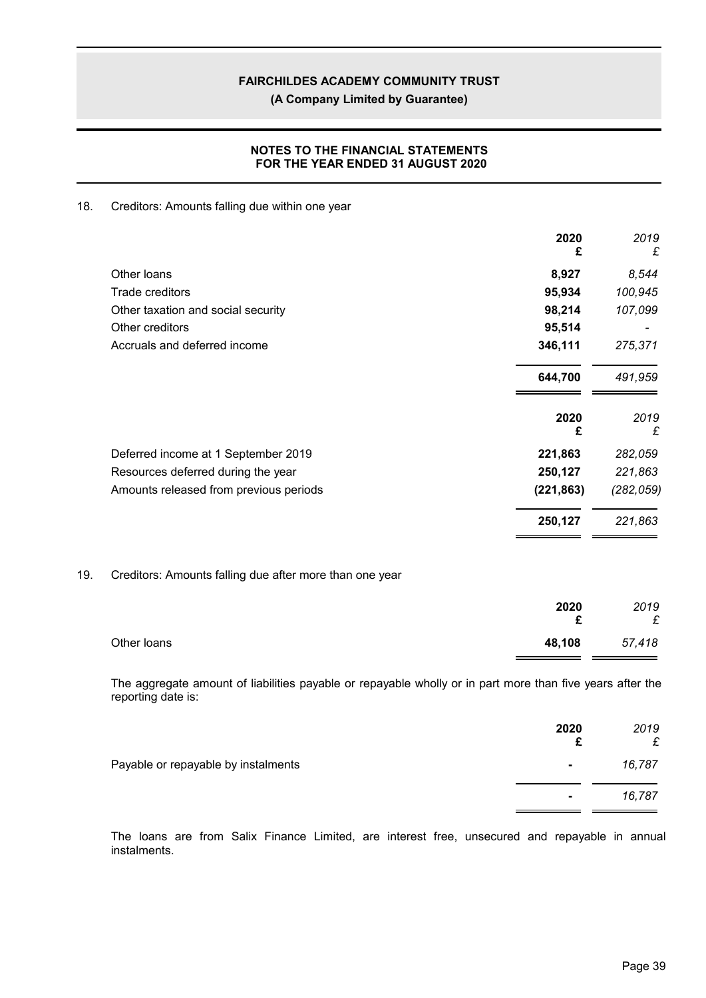**(A Company Limited by Guarantee)**

## **NOTES TO THE FINANCIAL STATEMENTS FOR THE YEAR ENDED 31 AUGUST 2020**

## 18. Creditors: Amounts falling due within one year

| 2020<br>£  | 2019<br>£  |
|------------|------------|
| 8,927      | 8,544      |
| 95,934     | 100,945    |
| 98,214     | 107,099    |
| 95,514     |            |
| 346,111    | 275,371    |
| 644,700    | 491,959    |
| 2020<br>£  | 2019<br>£  |
| 221,863    | 282,059    |
| 250,127    | 221,863    |
| (221, 863) | (282, 059) |
| 250,127    | 221,863    |
|            |            |

## 19. Creditors: Amounts falling due after more than one year

|             | 2020<br>c | 2019<br>£ |
|-------------|-----------|-----------|
| Other loans | 48,108    | 57,418    |

The aggregate amount of liabilities payable or repayable wholly or in part more than five years after the reporting date is:

|                                     | 2020           | 2019<br>£ |
|-------------------------------------|----------------|-----------|
| Payable or repayable by instalments | $\blacksquare$ | 16,787    |
|                                     | $\blacksquare$ | 16,787    |

The loans are from Salix Finance Limited, are interest free, unsecured and repayable in annual instalments.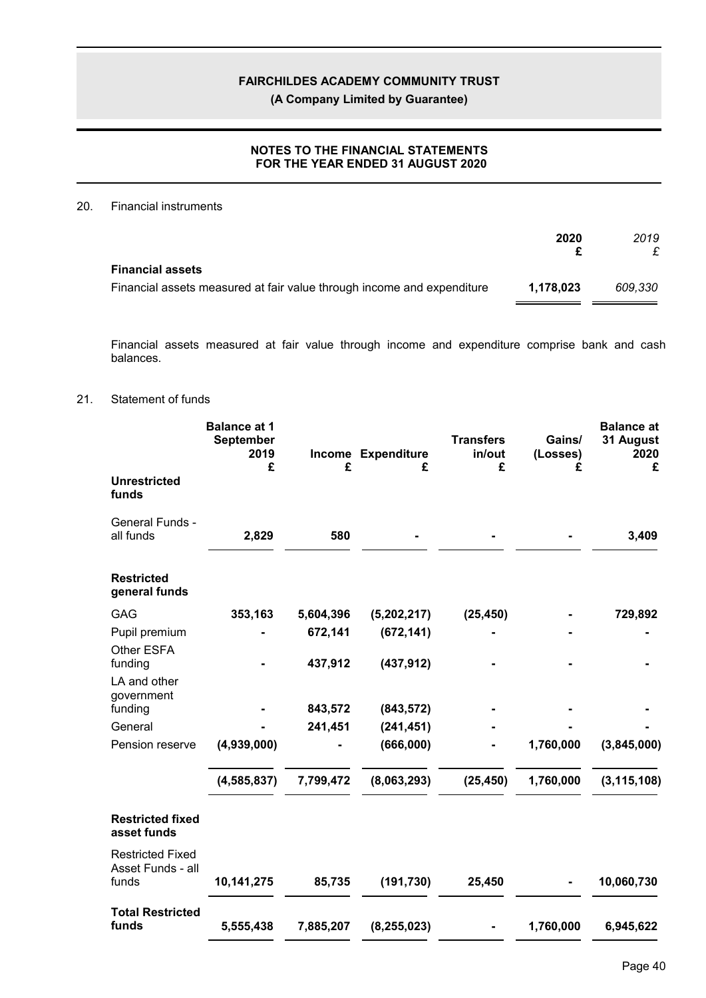**(A Company Limited by Guarantee)**

# **NOTES TO THE FINANCIAL STATEMENTS FOR THE YEAR ENDED 31 AUGUST 2020**

### 20. Financial instruments

|                                                                        | 2020      | 2019    |
|------------------------------------------------------------------------|-----------|---------|
| <b>Financial assets</b>                                                |           |         |
| Financial assets measured at fair value through income and expenditure | 1.178.023 | 609.330 |

Financial assets measured at fair value through income and expenditure comprise bank and cash balances.

# 21. Statement of funds

|                                                       | <b>Balance at 1</b><br>September<br>2019<br>£ | £         | Income Expenditure<br>£ | <b>Transfers</b><br>in/out<br>£ | Gains/<br>(Losses)<br>£ | <b>Balance at</b><br>31 August<br>2020<br>£ |
|-------------------------------------------------------|-----------------------------------------------|-----------|-------------------------|---------------------------------|-------------------------|---------------------------------------------|
| <b>Unrestricted</b><br>funds                          |                                               |           |                         |                                 |                         |                                             |
| General Funds -<br>all funds                          | 2,829                                         | 580       |                         |                                 |                         | 3,409                                       |
| <b>Restricted</b><br>general funds                    |                                               |           |                         |                                 |                         |                                             |
| GAG                                                   | 353,163                                       | 5,604,396 | (5,202,217)             | (25, 450)                       |                         | 729,892                                     |
| Pupil premium<br>Other ESFA                           |                                               | 672,141   | (672, 141)              |                                 |                         |                                             |
| funding<br>LA and other<br>government                 |                                               | 437,912   | (437, 912)              |                                 |                         |                                             |
| funding                                               |                                               | 843,572   | (843, 572)              |                                 |                         |                                             |
| General                                               |                                               | 241,451   | (241, 451)              |                                 |                         |                                             |
| Pension reserve                                       | (4,939,000)                                   |           | (666,000)               |                                 | 1,760,000               | (3,845,000)                                 |
|                                                       | (4, 585, 837)                                 | 7,799,472 | (8,063,293)             | (25, 450)                       | 1,760,000               | (3, 115, 108)                               |
| <b>Restricted fixed</b><br>asset funds                |                                               |           |                         |                                 |                         |                                             |
| <b>Restricted Fixed</b><br>Asset Funds - all<br>funds | 10,141,275                                    | 85,735    | (191, 730)              | 25,450                          |                         | 10,060,730                                  |
|                                                       |                                               |           |                         |                                 |                         |                                             |
| <b>Total Restricted</b><br>funds                      | 5,555,438                                     | 7,885,207 | (8, 255, 023)           |                                 | 1,760,000               | 6,945,622                                   |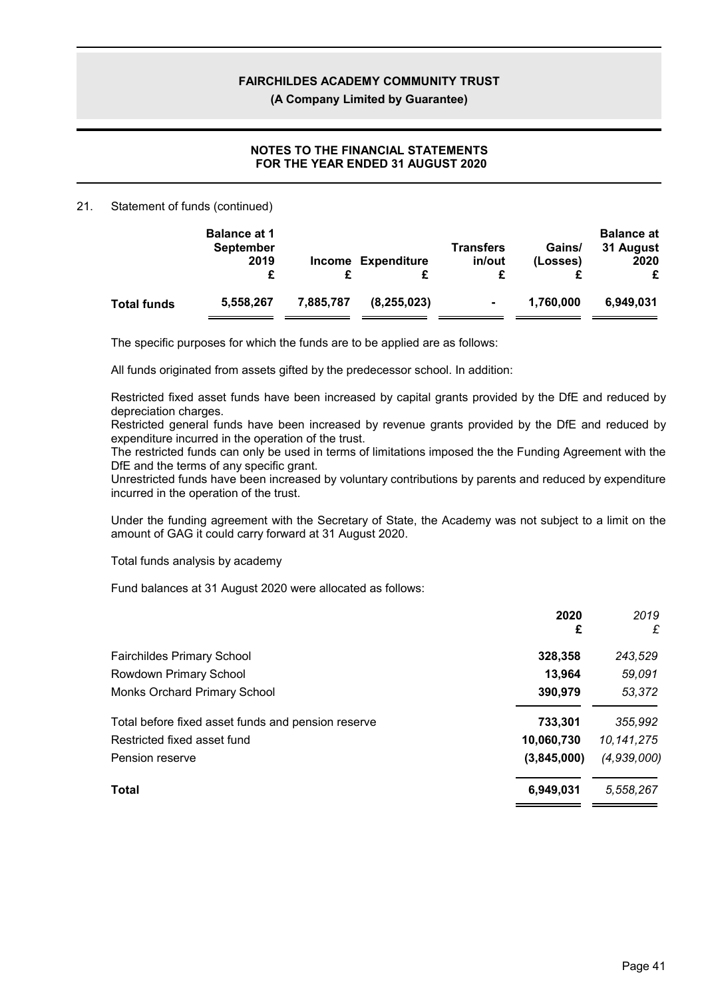**(A Company Limited by Guarantee)**

# **NOTES TO THE FINANCIAL STATEMENTS FOR THE YEAR ENDED 31 AUGUST 2020**

### 21. Statement of funds (continued)

|                    | <b>Balance at 1</b><br><b>September</b><br>2019<br>£ | <b>Income</b> | <b>Expenditure</b> | Transfers<br>in/out | Gains/<br>(Losses) | <b>Balance at</b><br>31 August<br>2020<br>£ |
|--------------------|------------------------------------------------------|---------------|--------------------|---------------------|--------------------|---------------------------------------------|
| <b>Total funds</b> | 5,558,267                                            | 7,885,787     | (8, 255, 023)      | ۰.                  | 1.760.000          | 6.949.031                                   |

The specific purposes for which the funds are to be applied are as follows:

All funds originated from assets gifted by the predecessor school. In addition:

Restricted fixed asset funds have been increased by capital grants provided by the DfE and reduced by depreciation charges.

Restricted general funds have been increased by revenue grants provided by the DfE and reduced by expenditure incurred in the operation of the trust.

The restricted funds can only be used in terms of limitations imposed the the Funding Agreement with the DfE and the terms of any specific grant.

Unrestricted funds have been increased by voluntary contributions by parents and reduced by expenditure incurred in the operation of the trust.

Under the funding agreement with the Secretary of State, the Academy was not subject to a limit on the amount of GAG it could carry forward at 31 August 2020.

Total funds analysis by academy

Fund balances at 31 August 2020 were allocated as follows:

|                                                    | 2020<br>£   | 2019<br>£   |
|----------------------------------------------------|-------------|-------------|
| <b>Fairchildes Primary School</b>                  | 328,358     | 243,529     |
| Rowdown Primary School                             | 13,964      | 59,091      |
| Monks Orchard Primary School                       | 390,979     | 53,372      |
| Total before fixed asset funds and pension reserve | 733,301     | 355,992     |
| Restricted fixed asset fund                        | 10,060,730  | 10,141,275  |
| Pension reserve                                    | (3,845,000) | (4,939,000) |
| <b>Total</b>                                       | 6,949,031   | 5,558,267   |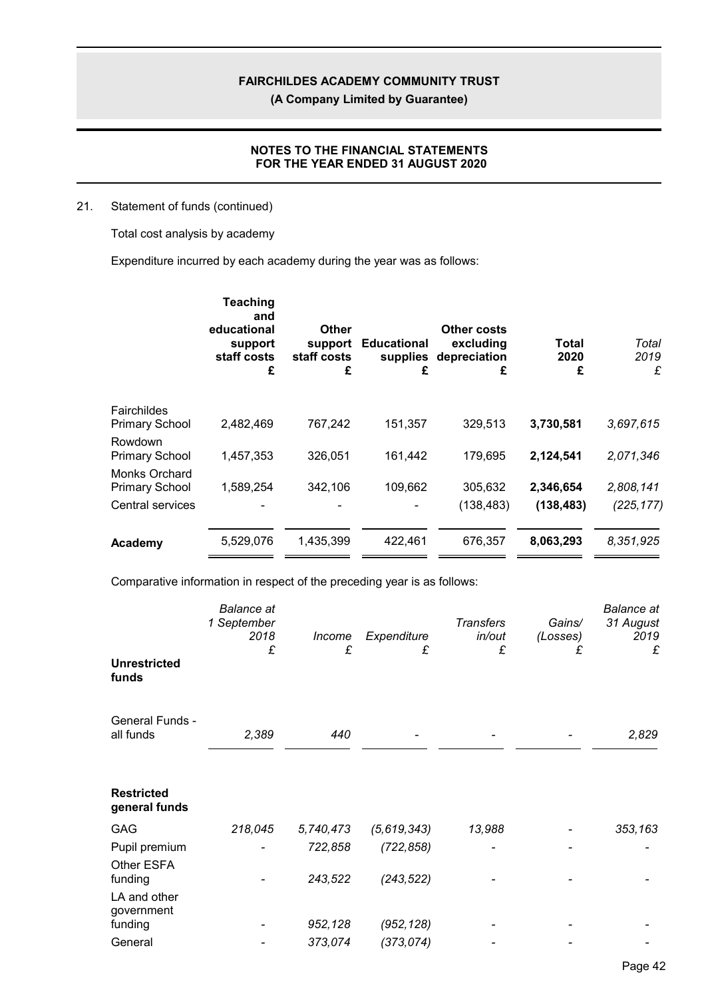**(A Company Limited by Guarantee)**

# **NOTES TO THE FINANCIAL STATEMENTS FOR THE YEAR ENDED 31 AUGUST 2020**

# 21. Statement of funds (continued)

Total cost analysis by academy

Expenditure incurred by each academy during the year was as follows:

|                                        | <b>Teaching</b><br>and<br>educational<br>support<br>staff costs<br>£ | <b>Other</b><br>support<br>staff costs<br>£ | <b>Educational</b><br>supplies<br>£ | Other costs<br>excluding<br>depreciation<br>£ | Total<br>2020<br>£ | Total<br>2019<br>£ |
|----------------------------------------|----------------------------------------------------------------------|---------------------------------------------|-------------------------------------|-----------------------------------------------|--------------------|--------------------|
| Fairchildes<br><b>Primary School</b>   | 2,482,469                                                            | 767,242                                     | 151,357                             | 329,513                                       | 3,730,581          | 3,697,615          |
| Rowdown<br><b>Primary School</b>       | 1,457,353                                                            | 326,051                                     | 161,442                             | 179,695                                       | 2,124,541          | 2,071,346          |
| Monks Orchard<br><b>Primary School</b> | 1,589,254                                                            | 342,106                                     | 109,662                             | 305,632                                       | 2,346,654          | 2,808,141          |
| Central services                       |                                                                      |                                             |                                     | (138, 483)                                    | (138, 483)         | (225, 177)         |
| Academy                                | 5,529,076                                                            | 1,435,399                                   | 422,461                             | 676,357                                       | 8,063,293          | 8,351,925          |

Comparative information in respect of the preceding year is as follows:

| <b>Unrestricted</b><br>funds          | <b>Balance</b> at<br>1 September<br>2018<br>£ | Income<br>£ | Expenditure<br>£ | <b>Transfers</b><br>in/out<br>£ | Gains/<br>(Losses)<br>£ | <b>Balance</b> at<br>31 August<br>2019<br>£ |
|---------------------------------------|-----------------------------------------------|-------------|------------------|---------------------------------|-------------------------|---------------------------------------------|
|                                       |                                               |             |                  |                                 |                         |                                             |
| General Funds -<br>all funds          | 2,389                                         | 440         |                  |                                 |                         | 2,829                                       |
| <b>Restricted</b><br>general funds    |                                               |             |                  |                                 |                         |                                             |
| GAG                                   | 218,045                                       | 5,740,473   | (5,619,343)      | 13,988                          |                         | 353,163                                     |
| Pupil premium                         |                                               | 722,858     | (722, 858)       |                                 |                         |                                             |
| Other ESFA<br>funding                 |                                               | 243,522     | (243, 522)       |                                 |                         |                                             |
| LA and other<br>government<br>funding |                                               | 952,128     | (952, 128)       |                                 |                         |                                             |
| General                               |                                               | 373,074     | (373, 074)       |                                 |                         |                                             |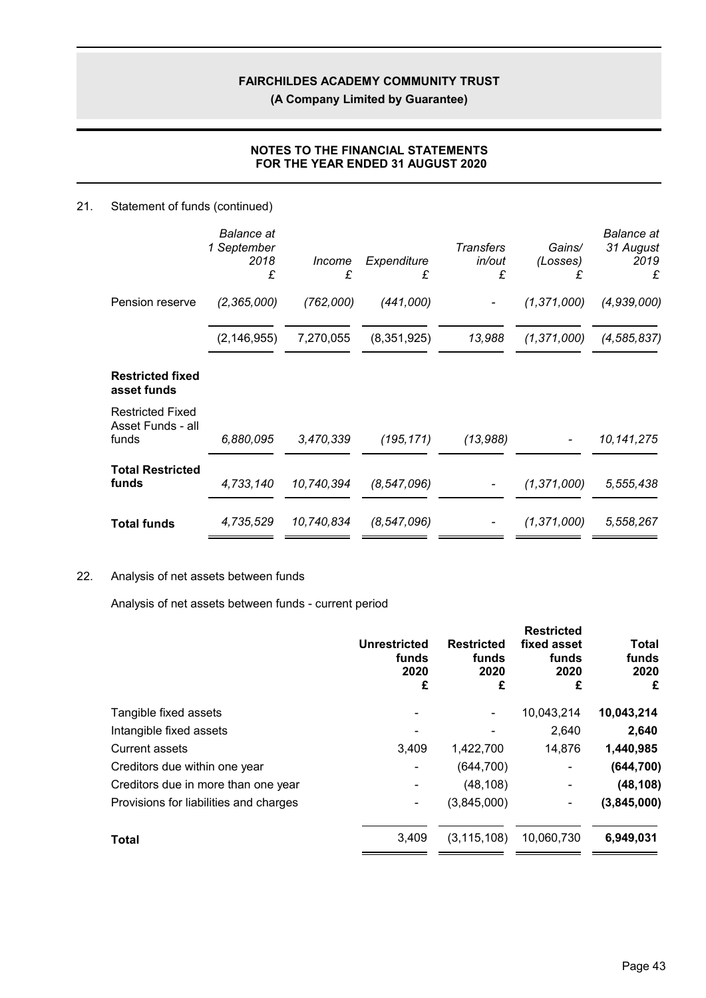**(A Company Limited by Guarantee)**

# **NOTES TO THE FINANCIAL STATEMENTS FOR THE YEAR ENDED 31 AUGUST 2020**

# 21. Statement of funds (continued)

|                                                       | <b>Balance</b> at<br>1 September<br>2018<br>£ | Income<br>£ | Expenditure<br>£ | <b>Transfers</b><br>in/out<br>£ | Gains/<br>(Losses)<br>£  | <b>Balance</b> at<br>31 August<br>2019<br>£ |
|-------------------------------------------------------|-----------------------------------------------|-------------|------------------|---------------------------------|--------------------------|---------------------------------------------|
| Pension reserve                                       | (2,365,000)                                   | (762,000)   | (441,000)        |                                 | (1,371,000)              | (4,939,000)                                 |
|                                                       | (2, 146, 955)                                 | 7,270,055   | (8,351,925)      | 13,988                          | (1,371,000)              | (4, 585, 837)                               |
| <b>Restricted fixed</b><br>asset funds                |                                               |             |                  |                                 |                          |                                             |
| <b>Restricted Fixed</b><br>Asset Funds - all<br>funds | 6,880,095                                     | 3,470,339   | (195, 171)       | (13,988)                        | $\overline{\phantom{a}}$ | 10,141,275                                  |
| <b>Total Restricted</b><br>funds                      | 4,733,140                                     | 10,740,394  | (8, 547, 096)    |                                 | (1,371,000)              | 5,555,438                                   |
| <b>Total funds</b>                                    | 4,735,529                                     | 10,740,834  | (8, 547, 096)    |                                 | (1,371,000)              | 5,558,267                                   |

## 22. Analysis of net assets between funds

Analysis of net assets between funds - current period

|                                        | <b>Unrestricted</b><br>funds<br>2020<br>£ | <b>Restricted</b><br>funds<br>2020<br>£ | <b>Restricted</b><br>fixed asset<br>funds<br>2020<br>£ | <b>Total</b><br>funds<br>2020<br>£ |
|----------------------------------------|-------------------------------------------|-----------------------------------------|--------------------------------------------------------|------------------------------------|
| Tangible fixed assets                  |                                           |                                         | 10,043,214                                             | 10,043,214                         |
| Intangible fixed assets                |                                           |                                         | 2.640                                                  | 2,640                              |
| Current assets                         | 3,409                                     | 1,422,700                               | 14,876                                                 | 1,440,985                          |
| Creditors due within one year          |                                           | (644, 700)                              |                                                        | (644, 700)                         |
| Creditors due in more than one year    |                                           | (48, 108)                               | $\overline{\phantom{0}}$                               | (48, 108)                          |
| Provisions for liabilities and charges |                                           | (3,845,000)                             |                                                        | (3,845,000)                        |
| <b>Total</b>                           | 3.409                                     | (3, 115, 108)                           | 10,060,730                                             | 6,949,031                          |
|                                        |                                           |                                         |                                                        |                                    |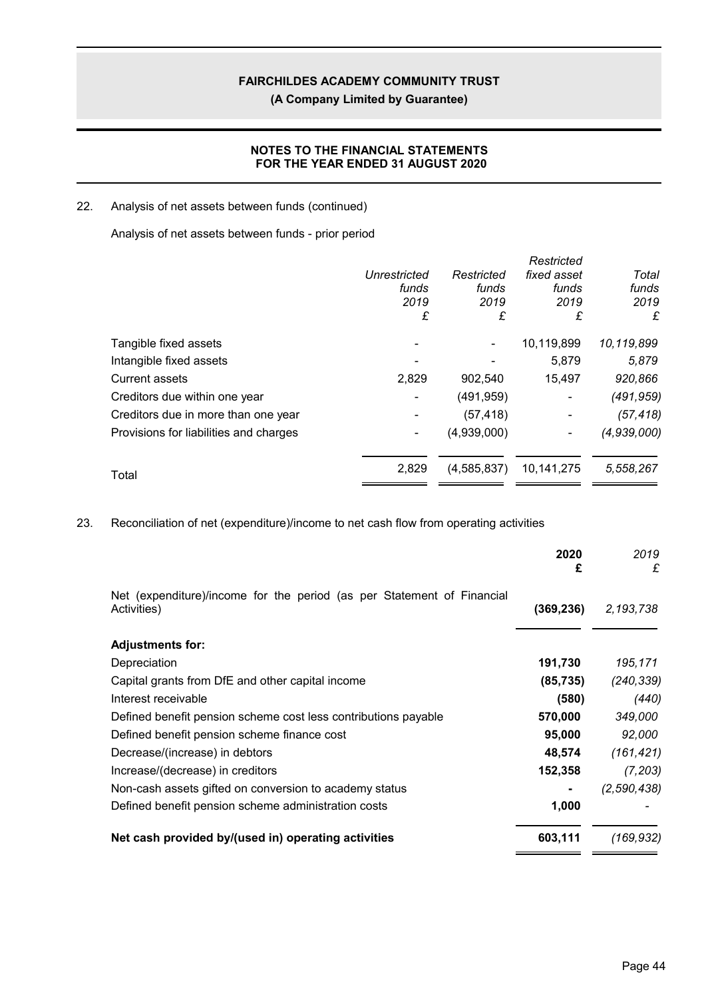**(A Company Limited by Guarantee)**

# **NOTES TO THE FINANCIAL STATEMENTS FOR THE YEAR ENDED 31 AUGUST 2020**

# 22. Analysis of net assets between funds (continued)

Analysis of net assets between funds - prior period

|                                        |              |             | Restricted  |             |
|----------------------------------------|--------------|-------------|-------------|-------------|
|                                        | Unrestricted | Restricted  | fixed asset | Total       |
|                                        | funds        | funds       | funds       | funds       |
|                                        | 2019         | 2019        | 2019        | 2019        |
|                                        | £            | £           | £           | £           |
| Tangible fixed assets                  |              |             | 10,119,899  | 10,119,899  |
| Intangible fixed assets                |              |             | 5,879       | 5,879       |
| Current assets                         | 2,829        | 902,540     | 15,497      | 920,866     |
| Creditors due within one year          |              | (491, 959)  | ۰           | (491, 959)  |
| Creditors due in more than one year    |              | (57, 418)   | ۰           | (57,418)    |
| Provisions for liabilities and charges |              | (4,939,000) |             | (4,939,000) |
| Total                                  | 2,829        | (4,585,837) | 10,141,275  | 5,558,267   |
|                                        |              |             |             |             |

23. Reconciliation of net (expenditure)/income to net cash flow from operating activities

|                                                                                       | 2020<br>£  | 2019<br>£     |
|---------------------------------------------------------------------------------------|------------|---------------|
| Net (expenditure)/income for the period (as per Statement of Financial<br>Activities) | (369, 236) | 2, 193, 738   |
| <b>Adjustments for:</b>                                                               |            |               |
| Depreciation                                                                          | 191,730    | 195,171       |
| Capital grants from DfE and other capital income                                      | (85, 735)  | (240, 339)    |
| Interest receivable                                                                   | (580)      | (440)         |
| Defined benefit pension scheme cost less contributions payable                        | 570,000    | 349,000       |
| Defined benefit pension scheme finance cost                                           | 95,000     | 92,000        |
| Decrease/(increase) in debtors                                                        | 48,574     | (161, 421)    |
| Increase/(decrease) in creditors                                                      | 152,358    | (7, 203)      |
| Non-cash assets gifted on conversion to academy status                                |            | (2, 590, 438) |
| Defined benefit pension scheme administration costs                                   | 1,000      |               |
| Net cash provided by/(used in) operating activities                                   | 603,111    | (169, 932)    |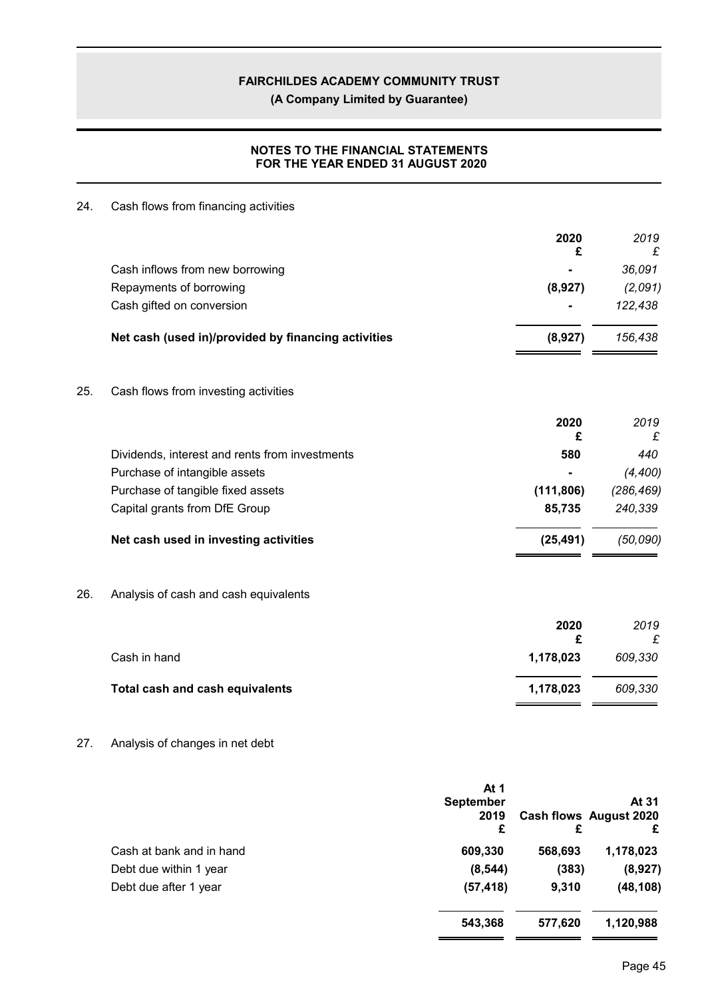**(A Company Limited by Guarantee)**

# **NOTES TO THE FINANCIAL STATEMENTS FOR THE YEAR ENDED 31 AUGUST 2020**

| Cash flows from financing activities                |                                                            |                   |
|-----------------------------------------------------|------------------------------------------------------------|-------------------|
|                                                     | 2020                                                       | 2019<br>£         |
|                                                     |                                                            | 36,091            |
|                                                     |                                                            | (2,091)           |
| Cash gifted on conversion                           |                                                            | 122,438           |
| Net cash (used in)/provided by financing activities | (8,927)                                                    | 156,438           |
| Cash flows from investing activities                |                                                            |                   |
|                                                     | 2020<br>£                                                  | 2019<br>£         |
| Dividends, interest and rents from investments      | 580                                                        | 440               |
| Purchase of intangible assets                       |                                                            | (4, 400)          |
| Purchase of tangible fixed assets                   | (111, 806)                                                 | (286, 469)        |
| Capital grants from DfE Group                       | 85,735                                                     | 240,339           |
| Net cash used in investing activities               | (25, 491)                                                  | (50,090)          |
| Analysis of cash and cash equivalents               |                                                            |                   |
|                                                     | 2020                                                       | 2019<br>£         |
| Cash in hand                                        | 1,178,023                                                  | 609,330           |
| <b>Total cash and cash equivalents</b>              | 1,178,023                                                  | 609,330           |
|                                                     | Cash inflows from new borrowing<br>Repayments of borrowing | £<br>(8,927)<br>£ |

27. Analysis of changes in net debt

| At 1             |         |                        |
|------------------|---------|------------------------|
| <b>September</b> |         | At 31                  |
| 2019             |         | Cash flows August 2020 |
| £                | £       | £                      |
| 609,330          | 568,693 | 1,178,023              |
| (8, 544)         | (383)   | (8,927)                |
| (57, 418)        | 9,310   | (48, 108)              |
| 543,368          | 577,620 | 1,120,988              |
|                  |         |                        |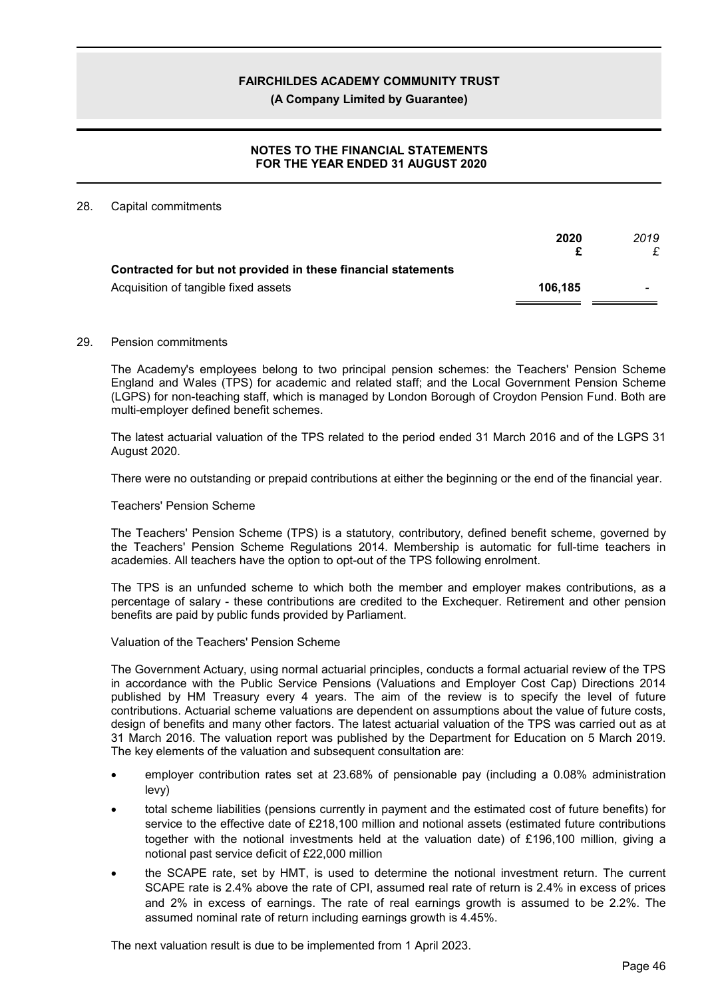**(A Company Limited by Guarantee)**

# **NOTES TO THE FINANCIAL STATEMENTS FOR THE YEAR ENDED 31 AUGUST 2020**

#### 28. Capital commitments

|                                                               | 2020    | 2019 |
|---------------------------------------------------------------|---------|------|
|                                                               |         |      |
| Contracted for but not provided in these financial statements |         |      |
| Acquisition of tangible fixed assets                          | 106.185 |      |
|                                                               |         |      |

#### 29. Pension commitments

The Academy's employees belong to two principal pension schemes: the Teachers' Pension Scheme England and Wales (TPS) for academic and related staff; and the Local Government Pension Scheme (LGPS) for non-teaching staff, which is managed by London Borough of Croydon Pension Fund. Both are multi-employer defined benefit schemes.

The latest actuarial valuation of the TPS related to the period ended 31 March 2016 and of the LGPS 31 August 2020.

There were no outstanding or prepaid contributions at either the beginning or the end of the financial year.

#### Teachers' Pension Scheme

The Teachers' Pension Scheme (TPS) is a statutory, contributory, defined benefit scheme, governed by the Teachers' Pension Scheme Regulations 2014. Membership is automatic for full-time teachers in academies. All teachers have the option to opt-out of the TPS following enrolment.

The TPS is an unfunded scheme to which both the member and employer makes contributions, as a percentage of salary - these contributions are credited to the Exchequer. Retirement and other pension benefits are paid by public funds provided by Parliament.

Valuation of the Teachers' Pension Scheme

The Government Actuary, using normal actuarial principles, conducts a formal actuarial review of the TPS in accordance with the Public Service Pensions (Valuations and Employer Cost Cap) Directions 2014 published by HM Treasury every 4 years. The aim of the review is to specify the level of future contributions. Actuarial scheme valuations are dependent on assumptions about the value of future costs, design of benefits and many other factors. The latest actuarial valuation of the TPS was carried out as at 31 March 2016. The valuation report was published by the Department for Education on 5 March 2019. The key elements of the valuation and subsequent consultation are:

- employer contribution rates set at 23.68% of pensionable pay (including a 0.08% administration levy)
- total scheme liabilities (pensions currently in payment and the estimated cost of future benefits) for service to the effective date of £218,100 million and notional assets (estimated future contributions together with the notional investments held at the valuation date) of £196,100 million, giving a notional past service deficit of £22,000 million
- the SCAPE rate, set by HMT, is used to determine the notional investment return. The current SCAPE rate is 2.4% above the rate of CPI, assumed real rate of return is 2.4% in excess of prices and 2% in excess of earnings. The rate of real earnings growth is assumed to be 2.2%. The assumed nominal rate of return including earnings growth is 4.45%.

The next valuation result is due to be implemented from 1 April 2023.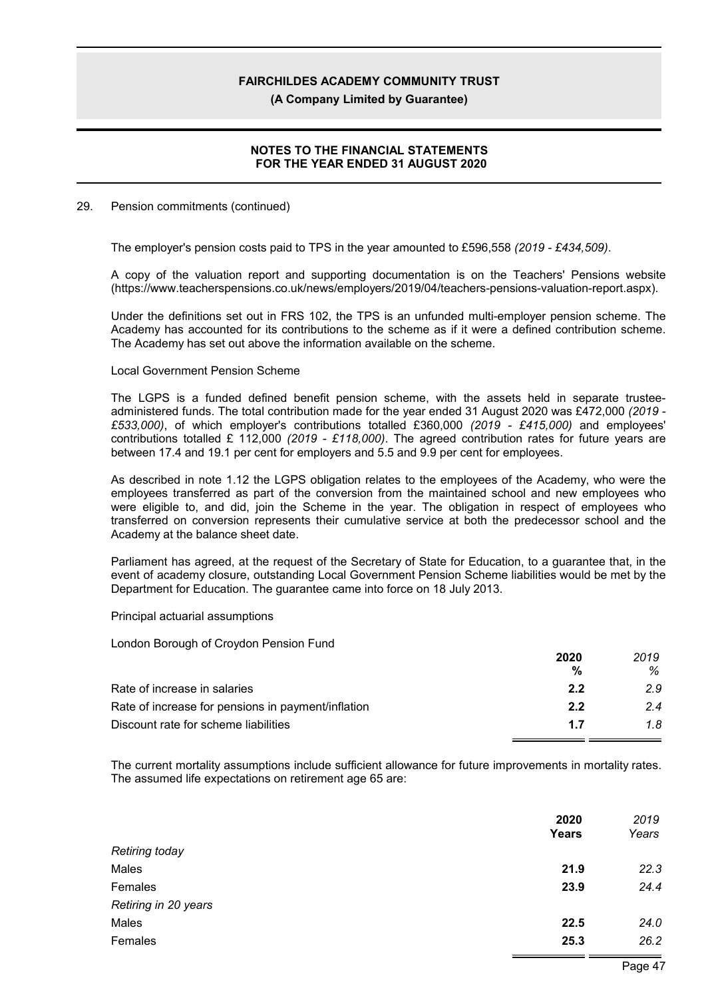**(A Company Limited by Guarantee)**

# **NOTES TO THE FINANCIAL STATEMENTS FOR THE YEAR ENDED 31 AUGUST 2020**

#### 29. Pension commitments (continued)

The employer's pension costs paid to TPS in the year amounted to £596,558 *(2019 - £434,509)*.

A copy of the valuation report and supporting documentation is on the Teachers' Pensions website (https://www.teacherspensions.co.uk/news/employers/2019/04/teachers-pensions-valuation-report.aspx).

Under the definitions set out in FRS 102, the TPS is an unfunded multi-employer pension scheme. The Academy has accounted for its contributions to the scheme as if it were a defined contribution scheme. The Academy has set out above the information available on the scheme.

### Local Government Pension Scheme

The LGPS is a funded defined benefit pension scheme, with the assets held in separate trusteeadministered funds. The total contribution made for the year ended 31 August 2020 was £472,000 *(2019 - £533,000)*, of which employer's contributions totalled £360,000 *(2019 - £415,000)* and employees' contributions totalled £ 112,000 *(2019 - £118,000)*. The agreed contribution rates for future years are between 17.4 and 19.1 per cent for employers and 5.5 and 9.9 per cent for employees.

As described in note 1.12 the LGPS obligation relates to the employees of the Academy, who were the employees transferred as part of the conversion from the maintained school and new employees who were eligible to, and did, join the Scheme in the year. The obligation in respect of employees who transferred on conversion represents their cumulative service at both the predecessor school and the Academy at the balance sheet date.

Parliament has agreed, at the request of the Secretary of State for Education, to a guarantee that, in the event of academy closure, outstanding Local Government Pension Scheme liabilities would be met by the Department for Education. The guarantee came into force on 18 July 2013.

Principal actuarial assumptions

London Borough of Croydon Pension Fund

|                                                    | 2020 | 2019 |
|----------------------------------------------------|------|------|
|                                                    | %    | %    |
| Rate of increase in salaries                       | 2.2  | 2.9  |
| Rate of increase for pensions in payment/inflation | 2.2  | 2.4  |
| Discount rate for scheme liabilities               | 17   | 1.8  |

The current mortality assumptions include sufficient allowance for future improvements in mortality rates. The assumed life expectations on retirement age 65 are:

|                       | 2020<br>Years | 2019<br>Years |
|-----------------------|---------------|---------------|
| <b>Retiring today</b> |               |               |
| Males                 | 21.9          | 22.3          |
| Females               | 23.9          | 24.4          |
| Retiring in 20 years  |               |               |
| Males                 | 22.5          | 24.0          |
| Females               | 25.3          | 26.2          |
|                       |               |               |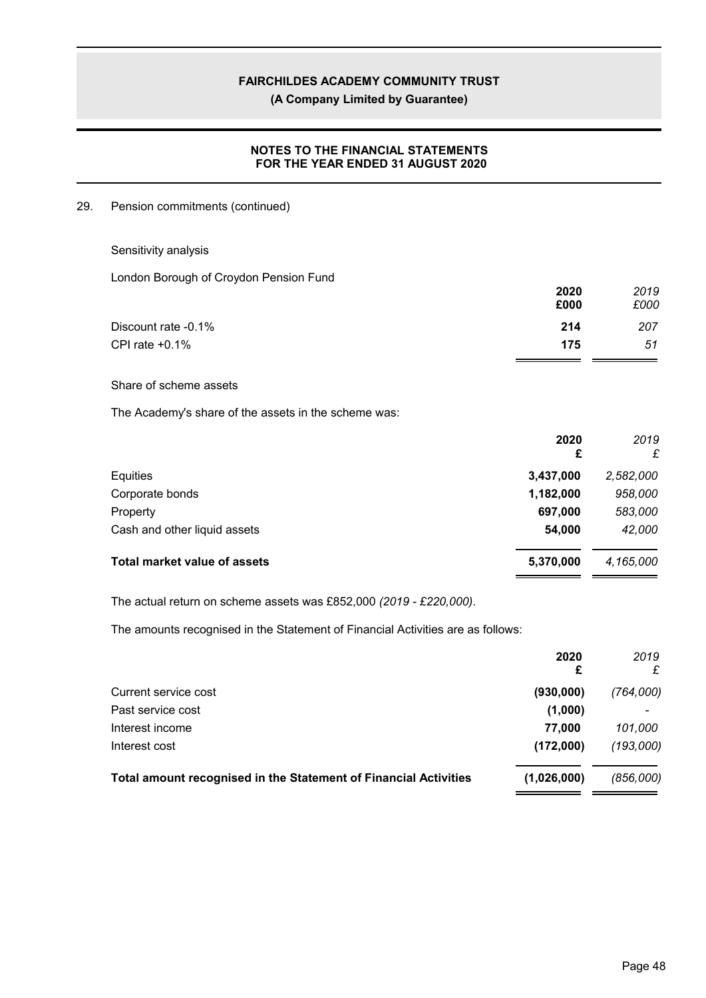**(A Company Limited by Guarantee)**

# **NOTES TO THE FINANCIAL STATEMENTS FOR THE YEAR ENDED 31 AUGUST 2020**

## 29. Pension commitments (continued)

Sensitivity analysis

## London Borough of Croydon Pension Fund

| £000 | £000 |
|------|------|
| 214  | 207  |
| 175  | 51   |
|      |      |

Share of scheme assets

The Academy's share of the assets in the scheme was:

|                              | 2020<br>£ | 2019<br>£ |
|------------------------------|-----------|-----------|
| Equities                     | 3,437,000 | 2,582,000 |
| Corporate bonds              | 1,182,000 | 958,000   |
| Property                     | 697,000   | 583,000   |
| Cash and other liquid assets | 54,000    | 42,000    |
| Total market value of assets | 5,370,000 | 4,165,000 |

The actual return on scheme assets was £852,000 *(2019 - £220,000)*.

The amounts recognised in the Statement of Financial Activities are as follows:

|                                                                  | 2020<br>£   | 2019<br>£ |
|------------------------------------------------------------------|-------------|-----------|
| Current service cost                                             | (930,000)   | (764,000) |
| Past service cost                                                | (1,000)     |           |
| Interest income                                                  | 77,000      | 101,000   |
| Interest cost                                                    | (172,000)   | (193,000) |
| Total amount recognised in the Statement of Financial Activities | (1,026,000) | (856,000) |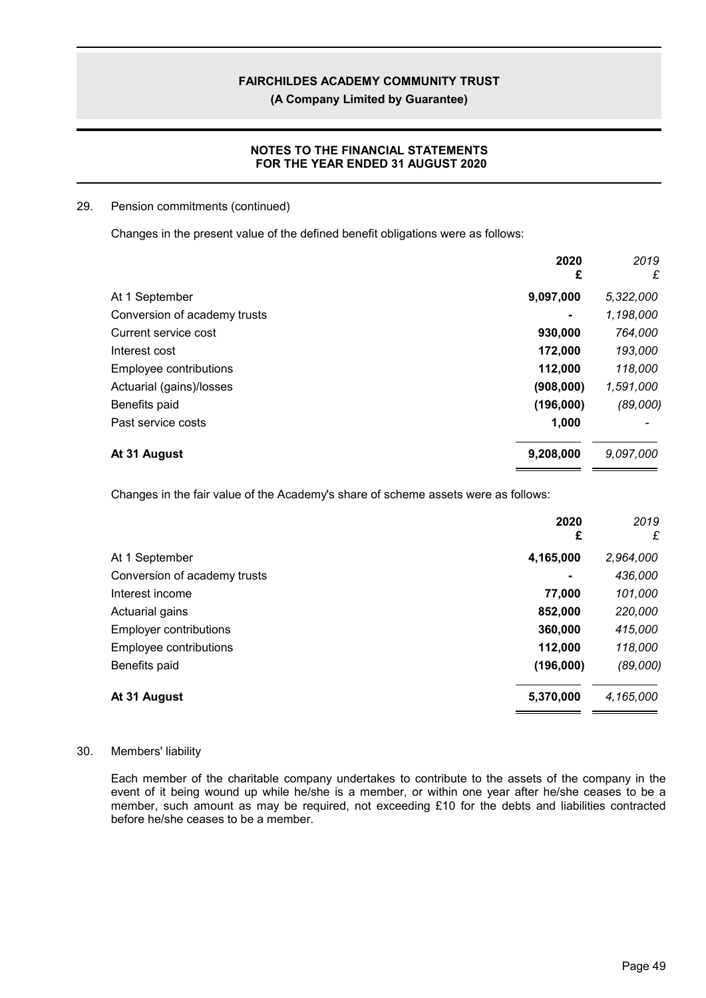**(A Company Limited by Guarantee)**

# **NOTES TO THE FINANCIAL STATEMENTS FOR THE YEAR ENDED 31 AUGUST 2020**

### 29. Pension commitments (continued)

Changes in the present value of the defined benefit obligations were as follows:

|                              | 2020<br>£      | 2019<br>£ |
|------------------------------|----------------|-----------|
| At 1 September               | 9,097,000      | 5,322,000 |
| Conversion of academy trusts | $\blacksquare$ | 1,198,000 |
| Current service cost         | 930,000        | 764,000   |
| Interest cost                | 172,000        | 193,000   |
| Employee contributions       | 112,000        | 118,000   |
| Actuarial (gains)/losses     | (908,000)      | 1,591,000 |
| Benefits paid                | (196,000)      | (89,000)  |
| Past service costs           | 1,000          |           |
| At 31 August                 | 9,208,000      | 9,097,000 |

Changes in the fair value of the Academy's share of scheme assets were as follows:

|                              | 2020<br>£ | 2019<br>£ |
|------------------------------|-----------|-----------|
| At 1 September               | 4,165,000 | 2,964,000 |
| Conversion of academy trusts | ٠         | 436,000   |
| Interest income              | 77,000    | 101,000   |
| Actuarial gains              | 852,000   | 220,000   |
| Employer contributions       | 360,000   | 415,000   |
| Employee contributions       | 112,000   | 118,000   |
| Benefits paid                | (196,000) | (89,000)  |
| At 31 August                 | 5,370,000 | 4,165,000 |

#### 30. Members' liability

Each member of the charitable company undertakes to contribute to the assets of the company in the event of it being wound up while he/she is a member, or within one year after he/she ceases to be a member, such amount as may be required, not exceeding £10 for the debts and liabilities contracted before he/she ceases to be a member.